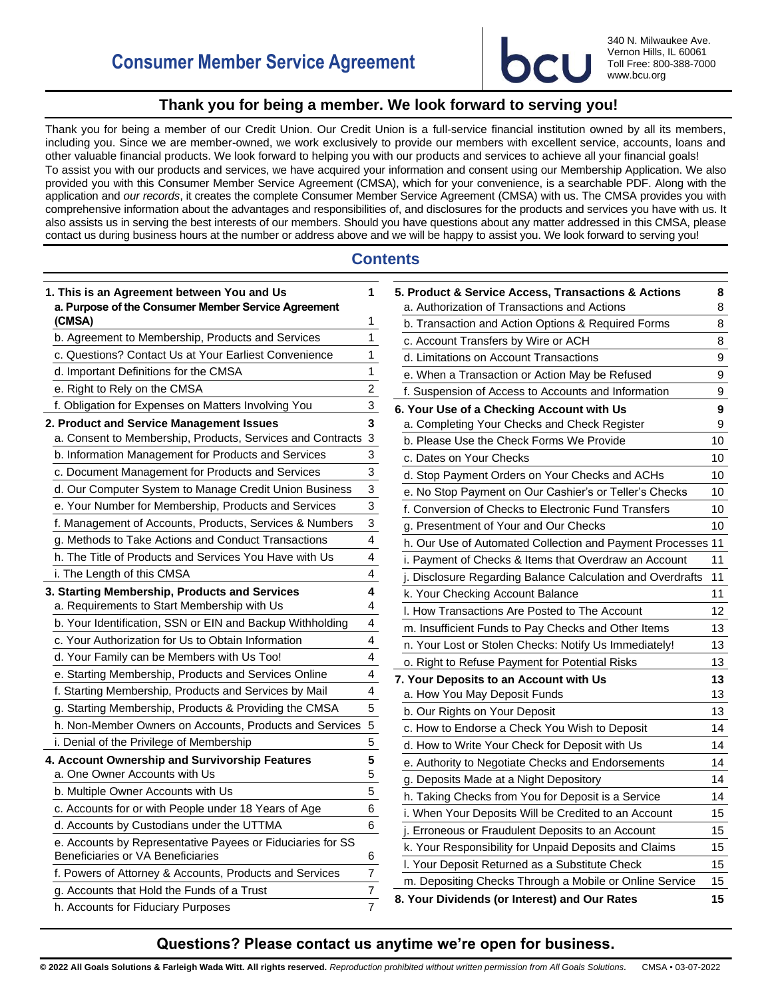

340 N. Milwaukee Ave. Vernon Hills, IL 60061 Toll Free: 800-388-7000 www.bcu.org

## **Thank you for being a member. We look forward to serving you!**

<span id="page-0-0"></span>Thank you for being a member of our Credit Union. Our Credit Union is a full-service financial institution owned by all its members, including you. Since we are member-owned, we work exclusively to provide our members with excellent service, accounts, loans and other valuable financial products. We look forward to helping you with our products and services to achieve all your financial goals! To assist you with our products and services, we have acquired your information and consent using our Membership Application. We also provided you with this Consumer Member Service Agreement (CMSA), which for your convenience, is a searchable PDF. Along with the application and *our records*, it creates the complete Consumer Member Service Agreement (CMSA) with us. The CMSA provides you with comprehensive information about the advantages and responsibilities of, and disclosures for the products and services you have with us. It also assists us in serving the best interests of our members. Should you have questions about any matter addressed in this CMSA, please contact us during business hours at the number or address above and we will be happy to assist you. We look forward to serving you!

## **Contents**

| 1. This is an Agreement between You and Us<br>a. Purpose of the Consumer Member Service Agreement | 1              |
|---------------------------------------------------------------------------------------------------|----------------|
| (CMSA)                                                                                            | 1              |
| b. Agreement to Membership, Products and Services                                                 | 1              |
| c. Questions? Contact Us at Your Earliest Convenience                                             | 1              |
| d. Important Definitions for the CMSA                                                             | 1              |
| e. Right to Rely on the CMSA                                                                      | $\overline{c}$ |
| f. Obligation for Expenses on Matters Involving You                                               | 3              |
| 2. Product and Service Management Issues                                                          | 3              |
| a. Consent to Membership, Products, Services and Contracts                                        | 3              |
| b. Information Management for Products and Services                                               | 3              |
| c. Document Management for Products and Services                                                  | 3              |
| d. Our Computer System to Manage Credit Union Business                                            | 3              |
| e. Your Number for Membership, Products and Services                                              | 3              |
| f. Management of Accounts, Products, Services & Numbers                                           | 3              |
| g. Methods to Take Actions and Conduct Transactions                                               | 4              |
| h. The Title of Products and Services You Have with Us                                            | 4              |
| i. The Length of this CMSA                                                                        | 4              |
| 3. Starting Membership, Products and Services                                                     | 4              |
| a. Requirements to Start Membership with Us                                                       | 4              |
| b. Your Identification, SSN or EIN and Backup Withholding                                         | 4              |
| c. Your Authorization for Us to Obtain Information                                                | 4              |
| d. Your Family can be Members with Us Too!                                                        | 4              |
| e. Starting Membership, Products and Services Online                                              | 4              |
| f. Starting Membership, Products and Services by Mail                                             | 4              |
| g. Starting Membership, Products & Providing the CMSA                                             | 5              |
| h. Non-Member Owners on Accounts, Products and Services                                           | 5              |
| i. Denial of the Privilege of Membership                                                          | 5              |
| 4. Account Ownership and Survivorship Features                                                    | 5              |
| a. One Owner Accounts with Us                                                                     | 5              |
| b. Multiple Owner Accounts with Us                                                                | 5              |
| c. Accounts for or with People under 18 Years of Age                                              | 6              |
| d. Accounts by Custodians under the UTTMA                                                         | 6              |
| e. Accounts by Representative Payees or Fiduciaries for SS<br>Beneficiaries or VA Beneficiaries   | 6              |
| f. Powers of Attorney & Accounts, Products and Services                                           | 7              |
| g. Accounts that Hold the Funds of a Trust                                                        | 7              |
| h. Accounts for Fiduciary Purposes                                                                | $\overline{7}$ |

| 5. Product & Service Access, Transactions & Actions                                                | 8      |
|----------------------------------------------------------------------------------------------------|--------|
| a. Authorization of Transactions and Actions<br>b. Transaction and Action Options & Required Forms | 8<br>8 |
|                                                                                                    |        |
| c. Account Transfers by Wire or ACH<br>d. Limitations on Account Transactions                      | 8<br>9 |
|                                                                                                    |        |
| e. When a Transaction or Action May be Refused                                                     | 9      |
| f. Suspension of Access to Accounts and Information                                                | 9      |
| 6. Your Use of a Checking Account with Us<br>a. Completing Your Checks and Check Register          | 9<br>9 |
| b. Please Use the Check Forms We Provide                                                           | 10     |
| c. Dates on Your Checks                                                                            | 10     |
|                                                                                                    |        |
| d. Stop Payment Orders on Your Checks and ACHs                                                     | 10     |
| e. No Stop Payment on Our Cashier's or Teller's Checks                                             | 10     |
| f. Conversion of Checks to Electronic Fund Transfers                                               | 10     |
| g. Presentment of Your and Our Checks                                                              | 10     |
| h. Our Use of Automated Collection and Payment Processes 11                                        |        |
| i. Payment of Checks & Items that Overdraw an Account                                              | 11     |
| j. Disclosure Regarding Balance Calculation and Overdrafts                                         | 11     |
| k. Your Checking Account Balance                                                                   | 11     |
| I. How Transactions Are Posted to The Account                                                      | 12     |
| m. Insufficient Funds to Pay Checks and Other Items                                                | 13     |
| n. Your Lost or Stolen Checks: Notify Us Immediately!                                              | 13     |
| o. Right to Refuse Payment for Potential Risks                                                     | 13     |
| 7. Your Deposits to an Account with Us                                                             | 13     |
| a. How You May Deposit Funds                                                                       | 13     |
| b. Our Rights on Your Deposit                                                                      | 13     |
| c. How to Endorse a Check You Wish to Deposit                                                      | 14     |
| d. How to Write Your Check for Deposit with Us                                                     | 14     |
| e. Authority to Negotiate Checks and Endorsements                                                  | 14     |
| g. Deposits Made at a Night Depository                                                             | 14     |
| h. Taking Checks from You for Deposit is a Service                                                 | 14     |
| i. When Your Deposits Will be Credited to an Account                                               | 15     |
| j. Erroneous or Fraudulent Deposits to an Account                                                  | 15     |
| k. Your Responsibility for Unpaid Deposits and Claims                                              | 15     |
| I. Your Deposit Returned as a Substitute Check                                                     | 15     |
| m. Depositing Checks Through a Mobile or Online Service                                            | 15     |
| 8. Your Dividends (or Interest) and Our Rates                                                      | 15     |

## **Questions? Please contact us anytime we're open for business.**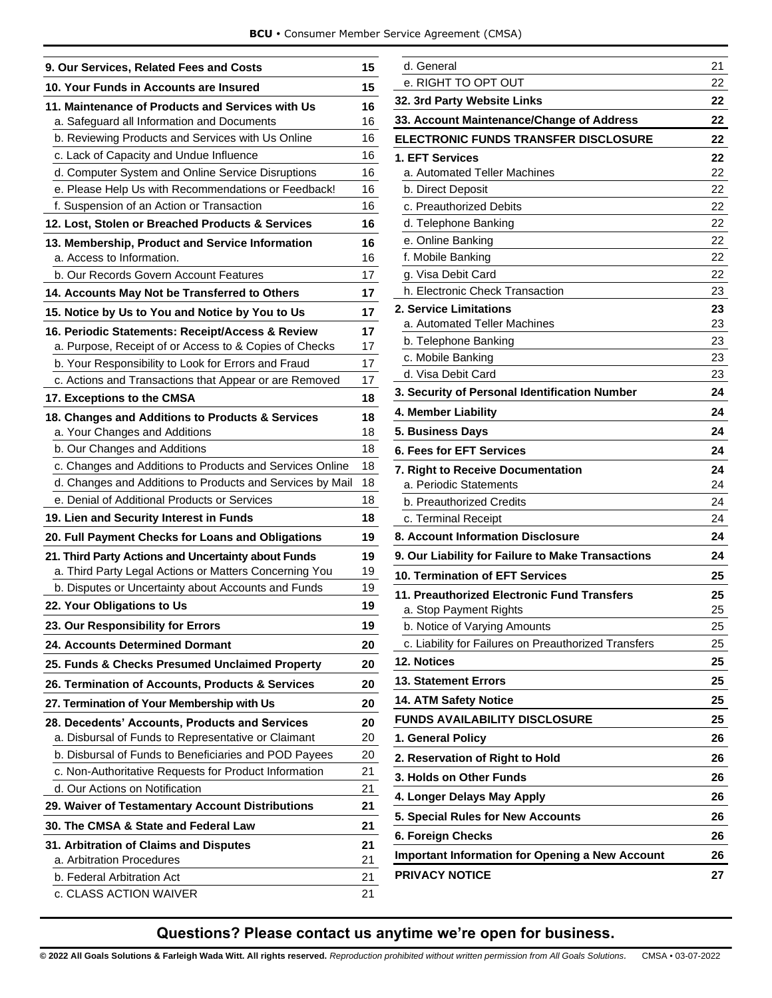|  |  |  |  | BCU · Consumer Member Service Agreement (CMSA) |  |  |
|--|--|--|--|------------------------------------------------|--|--|
|--|--|--|--|------------------------------------------------|--|--|

| 9. Our Services, Related Fees and Costs                                                                       |          |
|---------------------------------------------------------------------------------------------------------------|----------|
| 10. Your Funds in Accounts are Insured                                                                        | 15       |
| 11. Maintenance of Products and Services with Us                                                              | 16       |
| a. Safeguard all Information and Documents                                                                    | 16       |
| b. Reviewing Products and Services with Us Online                                                             | 16       |
| c. Lack of Capacity and Undue Influence                                                                       | 16       |
| d. Computer System and Online Service Disruptions                                                             | 16       |
| e. Please Help Us with Recommendations or Feedback!                                                           | 16       |
| f. Suspension of an Action or Transaction                                                                     | 16       |
| 12. Lost, Stolen or Breached Products & Services                                                              | 16       |
| 13. Membership, Product and Service Information<br>a. Access to Information.                                  | 16<br>16 |
| b. Our Records Govern Account Features                                                                        | 17       |
| 14. Accounts May Not be Transferred to Others                                                                 | 17       |
| 15. Notice by Us to You and Notice by You to Us                                                               | 17       |
|                                                                                                               |          |
| 16. Periodic Statements: Receipt/Access & Review<br>a. Purpose, Receipt of or Access to & Copies of Checks    | 17<br>17 |
| b. Your Responsibility to Look for Errors and Fraud                                                           | 17       |
| c. Actions and Transactions that Appear or are Removed                                                        | 17       |
| 17. Exceptions to the CMSA                                                                                    | 18       |
| 18. Changes and Additions to Products & Services                                                              | 18       |
| a. Your Changes and Additions                                                                                 | 18       |
| b. Our Changes and Additions                                                                                  | 18       |
| c. Changes and Additions to Products and Services Online                                                      | 18       |
| d. Changes and Additions to Products and Services by Mail                                                     | 18       |
| e. Denial of Additional Products or Services                                                                  | 18       |
| 19. Lien and Security Interest in Funds                                                                       | 18       |
| 20. Full Payment Checks for Loans and Obligations                                                             | 19       |
| 21. Third Party Actions and Uncertainty about Funds<br>a. Third Party Legal Actions or Matters Concerning You | 19<br>19 |
| b. Disputes or Uncertainty about Accounts and Funds                                                           | 19       |
| 22. Your Obligations to Us                                                                                    | 19       |
| 23. Our Responsibility for Errors                                                                             | 19       |
| <b>24. Accounts Determined Dormant</b>                                                                        | 20       |
|                                                                                                               |          |
| 25. Funds & Checks Presumed Unclaimed Property                                                                | 20       |
| 26. Termination of Accounts, Products & Services                                                              | 20       |
| 27. Termination of Your Membership with Us                                                                    | 20       |
| 28. Decedents' Accounts, Products and Services<br>a. Disbursal of Funds to Representative or Claimant         | 20<br>20 |
| b. Disbursal of Funds to Beneficiaries and POD Payees                                                         | 20       |
|                                                                                                               |          |
| c. Non-Authoritative Requests for Product Information<br>d. Our Actions on Notification                       | 21<br>21 |
|                                                                                                               | 21       |
| 29. Waiver of Testamentary Account Distributions                                                              |          |
| 30. The CMSA & State and Federal Law                                                                          | 21       |
| 31. Arbitration of Claims and Disputes<br>a. Arbitration Procedures                                           | 21<br>21 |
| b. Federal Arbitration Act                                                                                    | 21       |
| c. CLASS ACTION WAIVER                                                                                        | 21       |
|                                                                                                               |          |

| d. General                                             | 21 |
|--------------------------------------------------------|----|
| e. RIGHT TO OPT OUT                                    | 22 |
| 32. 3rd Party Website Links                            | 22 |
| 33. Account Maintenance/Change of Address              | 22 |
| ELECTRONIC FUNDS TRANSFER DISCLOSURE                   | 22 |
| 1. EFT Services                                        | 22 |
| a. Automated Teller Machines                           | 22 |
| b. Direct Deposit                                      | 22 |
| c. Preauthorized Debits                                | 22 |
| d. Telephone Banking                                   | 22 |
| e. Online Banking                                      | 22 |
| f. Mobile Banking                                      | 22 |
| g. Visa Debit Card                                     | 22 |
| h. Electronic Check Transaction                        | 23 |
| 2. Service Limitations                                 | 23 |
| a. Automated Teller Machines                           | 23 |
| b. Telephone Banking                                   | 23 |
| c. Mobile Banking                                      | 23 |
| d. Visa Debit Card                                     | 23 |
| 3. Security of Personal Identification Number          | 24 |
| 4. Member Liability                                    | 24 |
| 5. Business Days                                       | 24 |
| 6. Fees for EFT Services                               | 24 |
| <b>7. Right to Receive Documentation</b>               | 24 |
| a. Periodic Statements                                 | 24 |
| b. Preauthorized Credits                               | 24 |
| c. Terminal Receipt                                    | 24 |
| 8. Account Information Disclosure                      | 24 |
| 9. Our Liability for Failure to Make Transactions      | 24 |
| 10. Termination of EFT Services                        | 25 |
| 11. Preauthorized Electronic Fund Transfers            | 25 |
| a. Stop Payment Rights                                 | 25 |
| b. Notice of Varying Amounts                           | 25 |
| c. Liability for Failures on Preauthorized Transfers   | 25 |
| 12. Notices                                            | 25 |
| <b>13. Statement Errors</b>                            | 25 |
| 14. ATM Safety Notice                                  | 25 |
| <b>FUNDS AVAILABILITY DISCLOSURE</b>                   | 25 |
| 1. General Policy                                      | 26 |
| 2. Reservation of Right to Hold                        | 26 |
| 3. Holds on Other Funds                                | 26 |
| 4. Longer Delays May Apply                             | 26 |
| 5. Special Rules for New Accounts                      | 26 |
| 6. Foreign Checks                                      | 26 |
| <b>Important Information for Opening a New Account</b> | 26 |
| <b>PRIVACY NOTICE</b>                                  | 27 |

# **Questions? Please contact us anytime we're open for business.**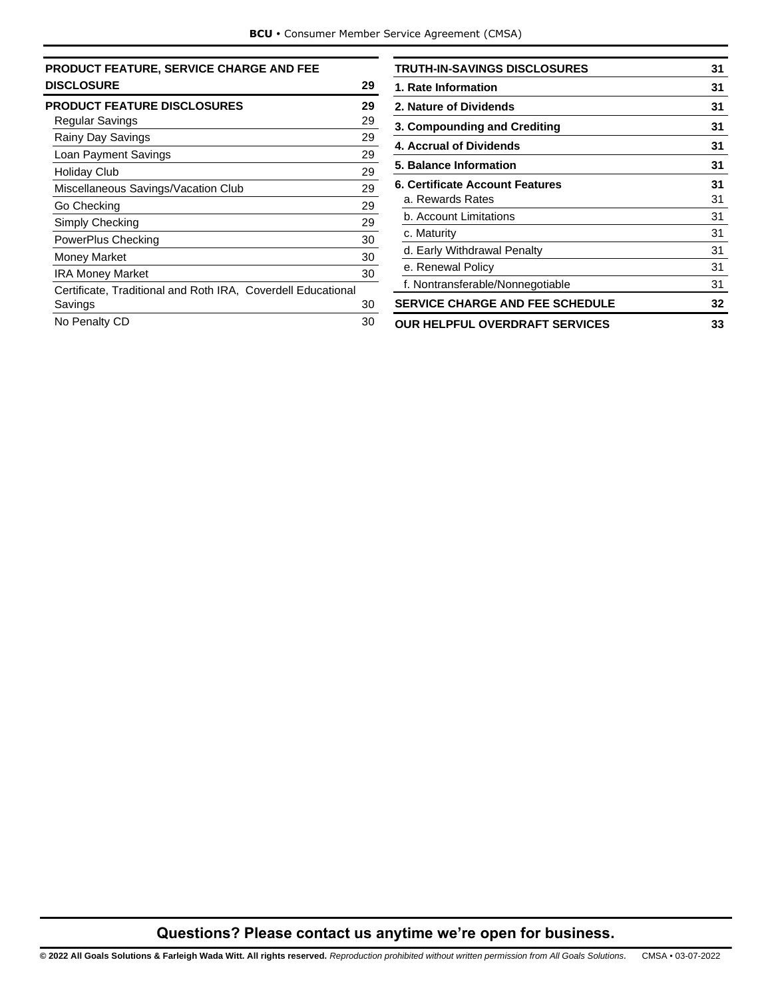| <b>PRODUCT FEATURE, SERVICE CHARGE AND FEE</b>               |    |
|--------------------------------------------------------------|----|
| <b>DISCLOSURE</b>                                            | 29 |
| <b>PRODUCT FEATURE DISCLOSURES</b>                           | 29 |
| Regular Savings                                              | 29 |
| Rainy Day Savings                                            | 29 |
| Loan Payment Savings                                         | 29 |
| <b>Holiday Club</b>                                          | 29 |
| Miscellaneous Savings/Vacation Club                          | 29 |
| Go Checking                                                  | 29 |
| Simply Checking                                              | 29 |
| PowerPlus Checking                                           | 30 |
| <b>Money Market</b>                                          | 30 |
| <b>IRA Money Market</b>                                      | 30 |
| Certificate, Traditional and Roth IRA, Coverdell Educational |    |
| Savings                                                      | 30 |
| No Penalty CD                                                | 30 |
|                                                              |    |

| TRUTH-IN-SAVINGS DISCLOSURES           | 31 |
|----------------------------------------|----|
| 1. Rate Information                    | 31 |
| 2. Nature of Dividends                 | 31 |
| 3. Compounding and Crediting           | 31 |
| 4. Accrual of Dividends                | 31 |
| 5. Balance Information                 | 31 |
| 6. Certificate Account Features        | 31 |
| a. Rewards Rates                       | 31 |
| b. Account Limitations                 | 31 |
| c. Maturity                            | 31 |
| d. Early Withdrawal Penalty            | 31 |
| e. Renewal Policy                      | 31 |
| f. Nontransferable/Nonnegotiable       | 31 |
| <b>SERVICE CHARGE AND FEE SCHEDULE</b> | 32 |
| <b>OUR HELPFUL OVERDRAFT SERVICES</b>  | 33 |

# **Questions? Please contact us anytime we're open for business.**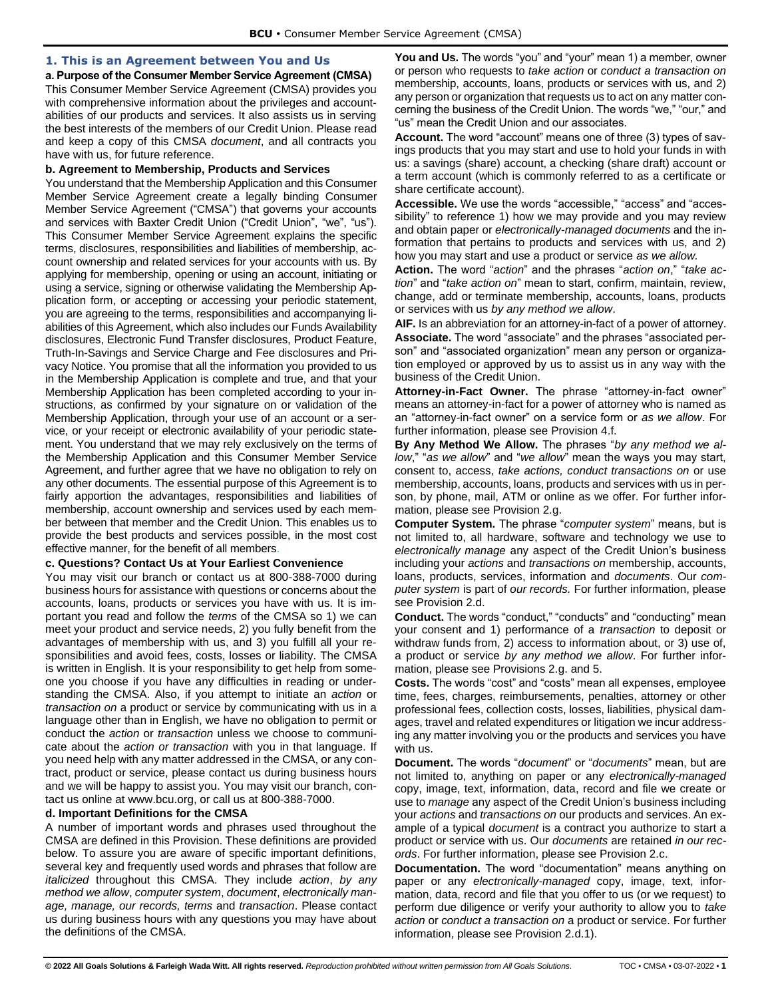## <span id="page-3-0"></span>**1. This is an Agreement between You and Us**

<span id="page-3-1"></span>**a. Purpose of the Consumer Member Service Agreement (CMSA)** This Consumer Member Service Agreement (CMSA) provides you with comprehensive information about the privileges and accountabilities of our products and services. It also assists us in serving the best interests of the members of our Credit Union. Please read and keep a copy of this CMSA *document*, and all contracts you have with us, for future reference.

#### <span id="page-3-2"></span>**b. Agreement to Membership, Products and Services**

You understand that the Membership Application and this Consumer Member Service Agreement create a legally binding Consumer Member Service Agreement ("CMSA") that governs your accounts and services with Baxter Credit Union ("Credit Union", "we", "us"). This Consumer Member Service Agreement explains the specific terms, disclosures, responsibilities and liabilities of membership, account ownership and related services for your accounts with us. By applying for membership, opening or using an account, initiating or using a service, signing or otherwise validating the Membership Application form, or accepting or accessing your periodic statement, you are agreeing to the terms, responsibilities and accompanying liabilities of this Agreement, which also includes our Funds Availability disclosures, Electronic Fund Transfer disclosures, Product Feature, Truth-In-Savings and Service Charge and Fee disclosures and Privacy Notice. You promise that all the information you provided to us in the Membership Application is complete and true, and that your Membership Application has been completed according to your instructions, as confirmed by your signature on or validation of the Membership Application, through your use of an account or a service, or your receipt or electronic availability of your periodic statement. You understand that we may rely exclusively on the terms of the Membership Application and this Consumer Member Service Agreement, and further agree that we have no obligation to rely on any other documents. The essential purpose of this Agreement is to fairly apportion the advantages, responsibilities and liabilities of membership, account ownership and services used by each member between that member and the Credit Union. This enables us to provide the best products and services possible, in the most cost effective manner, for the benefit of all members.

## <span id="page-3-3"></span>**c. Questions? Contact Us at Your Earliest Convenience**

You may visit our branch or contact us at 800-388-7000 during business hours for assistance with questions or concerns about the accounts, loans, products or services you have with us. It is important you read and follow the *terms* of the CMSA so 1) we can meet your product and service needs, 2) you fully benefit from the advantages of membership with us, and 3) you fulfill all your responsibilities and avoid fees, costs, losses or liability. The CMSA is written in English. It is your responsibility to get help from someone you choose if you have any difficulties in reading or understanding the CMSA. Also, if you attempt to initiate an *action* or *transaction on* a product or service by communicating with us in a language other than in English, we have no obligation to permit or conduct the *action* or *transaction* unless we choose to communicate about the *action or transaction* with you in that language. If you need help with any matter addressed in the CMSA, or any contract, product or service, please contact us during business hours and we will be happy to assist you. You may visit our branch, contact us online a[t www.bcu.org,](http://www.bcu.org/) or call us at 800-388-7000.

#### <span id="page-3-4"></span>**d. Important Definitions for the CMSA**

A number of important words and phrases used throughout the CMSA are defined in this Provision. These definitions are provided below. To assure you are aware of specific important definitions, several key and frequently used words and phrases that follow are *italicized* throughout this CMSA. They include *action*, *by any method we allow*, *computer system*, *document*, *electronically manage, manage, our records, terms* and *transaction*. Please contact us during business hours with any questions you may have about the definitions of the CMSA.

**You and Us.** The words "you" and "your" mean 1) a member, owner or person who requests to *take action* or *conduct a transaction on* membership, accounts, loans, products or services with us, and 2) any person or organization that requests us to act on any matter concerning the business of the Credit Union. The words "we," "our," and "us" mean the Credit Union and our associates.

**Account.** The word "account" means one of three (3) types of savings products that you may start and use to hold your funds in with us: a savings (share) account, a checking (share draft) account or a term account (which is commonly referred to as a certificate or share certificate account).

**Accessible.** We use the words "accessible," "access" and "accessibility" to reference 1) how we may provide and you may review and obtain paper or *electronically-managed documents* and the information that pertains to products and services with us, and 2) how you may start and use a product or service *as we allow.* 

**Action.** The word "*action*" and the phrases "*action on*," "*take action*" and "*take action on*" mean to start, confirm, maintain, review, change, add or terminate membership, accounts, loans, products or services with us *by any method we allow*.

**AIF.** Is an abbreviation for an attorney-in-fact of a power of attorney. **Associate.** The word "associate" and the phrases "associated person" and "associated organization" mean any person or organization employed or approved by us to assist us in any way with the business of the Credit Union.

**Attorney-in-Fact Owner.** The phrase "attorney-in-fact owner" means an attorney-in-fact for a power of attorney who is named as an "attorney-in-fact owner" on a service form or *as we allow*. For further information, please see Provision 4.f.

**By Any Method We Allow.** The phrases "*by any method we allow*," "*as we allow*" and "*we allow*" mean the ways you may start, consent to, access, *take actions, conduct transactions on* or use membership, accounts, loans, products and services with us in person, by phone, mail, ATM or online as we offer. For further information, please see Provision 2.g.

**Computer System.** The phrase "*computer system*" means, but is not limited to, all hardware, software and technology we use to *electronically manage* any aspect of the Credit Union's business including your *actions* and *transactions on* membership, accounts, loans, products, services, information and *documents*. Our *computer system* is part of *our records.* For further information, please see Provision 2.d.

**Conduct.** The words "conduct," "conducts" and "conducting" mean your consent and 1) performance of a *transaction* to deposit or withdraw funds from, 2) access to information about, or 3) use of, a product or service *by any method we allow*. For further information, please see Provisions 2.g. and 5.

**Costs.** The words "cost" and "costs" mean all expenses, employee time, fees, charges, reimbursements, penalties, attorney or other professional fees, collection costs, losses, liabilities, physical damages, travel and related expenditures or litigation we incur addressing any matter involving you or the products and services you have with us.

**Document.** The words "*document*" or "*documents*" mean, but are not limited to, anything on paper or any *electronically-managed*  copy, image, text, information, data, record and file we create or use to *manage* any aspect of the Credit Union's business including your *actions* and *transactions on* our products and services. An example of a typical *document* is a contract you authorize to start a product or service with us. Our *documents* are retained *in our records*. For further information, please see Provision 2.c.

**Documentation.** The word "documentation" means anything on paper or any *electronically-managed* copy, image, text, information, data, record and file that you offer to us (or we request) to perform due diligence or verify your authority to allow you to *take action* or *conduct a transaction on* a product or service. For further information, please see Provision 2.d.1).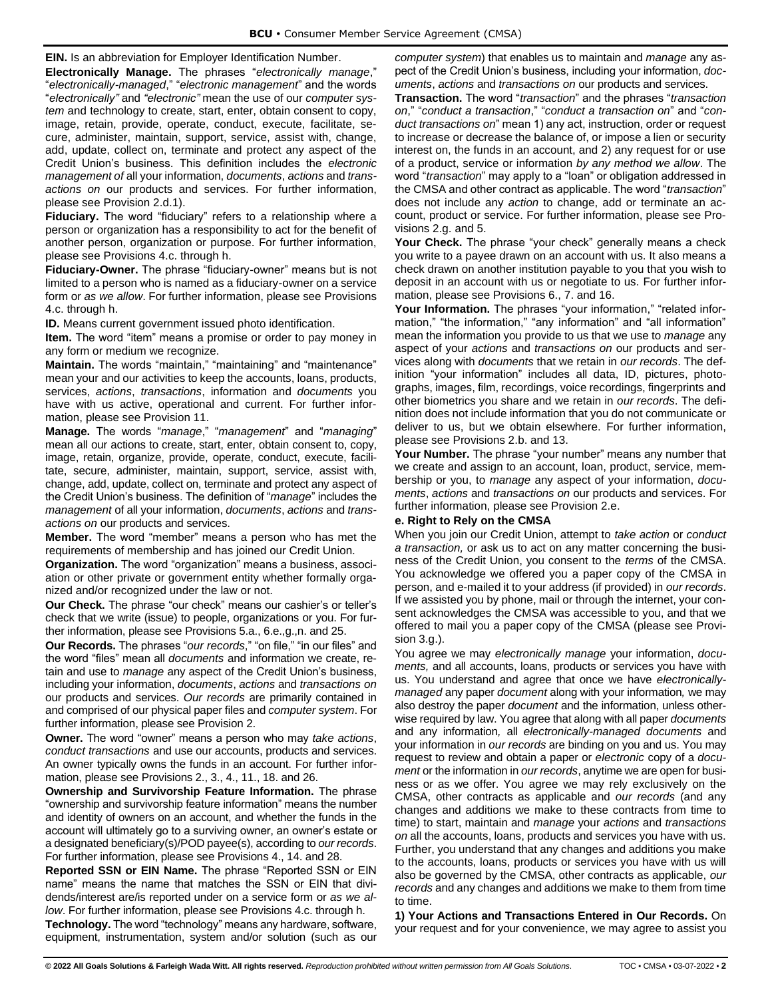**EIN.** Is an abbreviation for Employer Identification Number.

**Electronically Manage.** The phrases "*electronically manage*," "*electronically-managed*," "*electronic management*" and the words "*electronically"* and *"electronic"* mean the use of our *computer system* and technology to create, start, enter, obtain consent to copy, image, retain, provide, operate, conduct, execute, facilitate, secure, administer, maintain, support, service, assist with, change, add, update, collect on, terminate and protect any aspect of the Credit Union's business. This definition includes the *electronic management of* all your information, *documents*, *actions* and *transactions on* our products and services. For further information, please see Provision 2.d.1).

**Fiduciary.** The word "fiduciary" refers to a relationship where a person or organization has a responsibility to act for the benefit of another person, organization or purpose. For further information, please see Provisions 4.c. through h.

**Fiduciary-Owner.** The phrase "fiduciary-owner" means but is not limited to a person who is named as a fiduciary-owner on a service form or *as we allow*. For further information, please see Provisions 4.c. through h.

**ID.** Means current government issued photo identification.

**Item.** The word "item" means a promise or order to pay money in any form or medium we recognize.

**Maintain.** The words "maintain," "maintaining" and "maintenance" mean your and our activities to keep the accounts, loans, products, services, *actions*, *transactions*, information and *documents* you have with us active, operational and current. For further information, please see Provision 11.

**Manage.** The words "*manage*," "*management*" and "*managing*" mean all our actions to create, start, enter, obtain consent to, copy, image, retain, organize, provide, operate, conduct, execute, facilitate, secure, administer, maintain, support, service, assist with, change, add, update, collect on, terminate and protect any aspect of the Credit Union's business. The definition of "*manage*" includes the *management* of all your information, *documents*, *actions* and *transactions on* our products and services.

**Member.** The word "member" means a person who has met the requirements of membership and has joined our Credit Union.

**Organization.** The word "organization" means a business, association or other private or government entity whether formally organized and/or recognized under the law or not.

**Our Check.** The phrase "our check" means our cashier's or teller's check that we write (issue) to people, organizations or you. For further information, please see Provisions 5.a., 6.e.,g.,n. and 25.

**Our Records.** The phrases "*our records*," "on file," "in our files" and the word "files" mean all *documents* and information we create, retain and use to *manage* any aspect of the Credit Union's business, including your information, *documents*, *actions* and *transactions on* our products and services. *Our records* are primarily contained in and comprised of our physical paper files and *computer system*. For further information, please see Provision 2.

**Owner.** The word "owner" means a person who may *take actions*, *conduct transactions* and use our accounts, products and services. An owner typically owns the funds in an account. For further information, please see Provisions 2., 3., 4., 11., 18. and 26.

**Ownership and Survivorship Feature Information.** The phrase "ownership and survivorship feature information" means the number and identity of owners on an account, and whether the funds in the account will ultimately go to a surviving owner, an owner's estate or a designated beneficiary(s)/POD payee(s), according to *our records*. For further information, please see Provisions 4., 14. and 28.

**Reported SSN or EIN Name.** The phrase "Reported SSN or EIN name" means the name that matches the SSN or EIN that dividends/interest are/is reported under on a service form or *as we allow*. For further information, please see Provisions 4.c. through h.

**Technology.** The word "technology" means any hardware, software, equipment, instrumentation, system and/or solution (such as our *computer system*) that enables us to maintain and *manage* any aspect of the Credit Union's business, including your information, *documents*, *actions* and *transactions on* our products and services.

**Transaction.** The word "*transaction*" and the phrases "*transaction on*," "*conduct a transaction*," "*conduct a transaction on*" and "*conduct transactions on*" mean 1) any act, instruction, order or request to increase or decrease the balance of, or impose a lien or security interest on, the funds in an account, and 2) any request for or use of a product, service or information *by any method we allow*. The word "*transaction*" may apply to a "loan" or obligation addressed in the CMSA and other contract as applicable. The word "*transaction*" does not include any *action* to change, add or terminate an account, product or service. For further information, please see Provisions 2.g. and 5.

**Your Check.** The phrase "your check" generally means a check you write to a payee drawn on an account with us. It also means a check drawn on another institution payable to you that you wish to deposit in an account with us or negotiate to us. For further information, please see Provisions 6., 7. and 16.

Your Information. The phrases "your information," "related information," "the information," "any information" and "all information" mean the information you provide to us that we use to *manage* any aspect of your *actions* and *transactions on* our products and services along with *documents* that we retain in *our records*. The definition "your information" includes all data, ID, pictures, photographs, images, film, recordings, voice recordings, fingerprints and other biometrics you share and we retain in *our records*. The definition does not include information that you do not communicate or deliver to us, but we obtain elsewhere. For further information, please see Provisions 2.b. and 13.

**Your Number.** The phrase "your number" means any number that we create and assign to an account, loan, product, service, membership or you, to *manage* any aspect of your information, *documents*, *actions* and *transactions on* our products and services. For further information, please see Provision 2.e.

## <span id="page-4-0"></span>**e. Right to Rely on the CMSA**

When you join our Credit Union, attempt to *take action* or *conduct a transaction,* or ask us to act on any matter concerning the business of the Credit Union, you consent to the *terms* of the CMSA. You acknowledge we offered you a paper copy of the CMSA in person, and e-mailed it to your address (if provided) in *our records*. If we assisted you by phone, mail or through the internet, your consent acknowledges the CMSA was accessible to you, and that we offered to mail you a paper copy of the CMSA (please see Provision 3.g.).

You agree we may *electronically manage* your information, *documents,* and all accounts, loans, products or services you have with us. You understand and agree that once we have *electronicallymanaged* any paper *document* along with your information*,* we may also destroy the paper *document* and the information, unless otherwise required by law. You agree that along with all paper *documents*  and any information*,* all *electronically-managed documents* and your information in *our records* are binding on you and us. You may request to review and obtain a paper or *electronic* copy of a *document* or the information in *our records*, anytime we are open for business or as we offer. You agree we may rely exclusively on the CMSA, other contracts as applicable and *our records* (and any changes and additions we make to these contracts from time to time) to start, maintain and *manage* your *actions* and *transactions on* all the accounts, loans, products and services you have with us. Further, you understand that any changes and additions you make to the accounts, loans, products or services you have with us will also be governed by the CMSA, other contracts as applicable, *our records* and any changes and additions we make to them from time to time.

**1) Your Actions and Transactions Entered in Our Records.** On your request and for your convenience, we may agree to assist you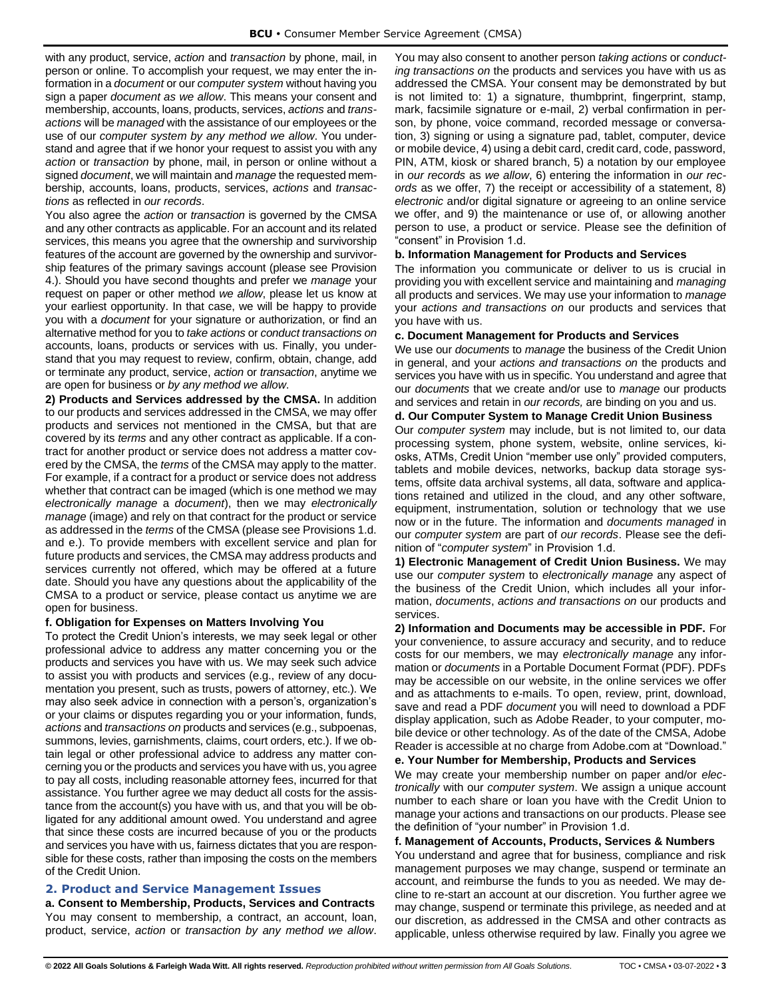with any product, service, *action* and *transaction* by phone, mail, in person or online. To accomplish your request, we may enter the information in a *document* or our *computer system* without having you sign a paper *document as we allow*. This means your consent and membership, accounts, loans, products, services, *actions* and *transactions* will be *managed* with the assistance of our employees or the use of our *computer system by any method we allow*. You understand and agree that if we honor your request to assist you with any *action* or *transaction* by phone, mail, in person or online without a signed *document*, we will maintain and *manage* the requested membership, accounts, loans, products, services, *actions* and *transactions* as reflected in *our records*.

You also agree the *action* or *transaction* is governed by the CMSA and any other contracts as applicable. For an account and its related services, this means you agree that the ownership and survivorship features of the account are governed by the ownership and survivorship features of the primary savings account (please see Provision 4.). Should you have second thoughts and prefer we *manage* your request on paper or other method *we allow*, please let us know at your earliest opportunity. In that case, we will be happy to provide you with a *document* for your signature or authorization, or find an alternative method for you to *take actions* or *conduct transactions on* accounts, loans, products or services with us. Finally, you understand that you may request to review, confirm, obtain, change, add or terminate any product, service, *action* or *transaction*, anytime we are open for business or *by any method we allow*.

**2) Products and Services addressed by the CMSA.** In addition to our products and services addressed in the CMSA, we may offer products and services not mentioned in the CMSA, but that are covered by its *terms* and any other contract as applicable. If a contract for another product or service does not address a matter covered by the CMSA, the *terms* of the CMSA may apply to the matter. For example, if a contract for a product or service does not address whether that contract can be imaged (which is one method we may *electronically manage* a *document*), then we may *electronically manage* (image) and rely on that contract for the product or service as addressed in the *terms* of the CMSA (please see Provisions 1.d. and e.). To provide members with excellent service and plan for future products and services, the CMSA may address products and services currently not offered, which may be offered at a future date. Should you have any questions about the applicability of the CMSA to a product or service, please contact us anytime we are open for business.

#### <span id="page-5-0"></span>**f. Obligation for Expenses on Matters Involving You**

To protect the Credit Union's interests, we may seek legal or other professional advice to address any matter concerning you or the products and services you have with us. We may seek such advice to assist you with products and services (e.g., review of any documentation you present, such as trusts, powers of attorney, etc.). We may also seek advice in connection with a person's, organization's or your claims or disputes regarding you or your information, funds, *actions* and *transactions on* products and services (e.g., subpoenas, summons, levies, garnishments, claims, court orders, etc.). If we obtain legal or other professional advice to address any matter concerning you or the products and services you have with us, you agree to pay all costs, including reasonable attorney fees, incurred for that assistance. You further agree we may deduct all costs for the assistance from the account(s) you have with us, and that you will be obligated for any additional amount owed. You understand and agree that since these costs are incurred because of you or the products and services you have with us, fairness dictates that you are responsible for these costs, rather than imposing the costs on the members of the Credit Union.

## <span id="page-5-1"></span>**2. Product and Service Management Issues**

<span id="page-5-2"></span>**a. Consent to Membership, Products, Services and Contracts** You may consent to membership, a contract, an account, loan, product, service, *action* or *transaction by any method we allow*.

You may also consent to another person *taking actions* or *conducting transactions on* the products and services you have with us as addressed the CMSA. Your consent may be demonstrated by but is not limited to: 1) a signature, thumbprint, fingerprint, stamp, mark, facsimile signature or e-mail, 2) verbal confirmation in person, by phone, voice command, recorded message or conversation, 3) signing or using a signature pad, tablet, computer, device or mobile device, 4) using a debit card, credit card, code, password, PIN, ATM, kiosk or shared branch, 5) a notation by our employee in *our records* as *we allow*, 6) entering the information in *our records* as we offer, 7) the receipt or accessibility of a statement, 8) *electronic* and/or digital signature or agreeing to an online service we offer, and 9) the maintenance or use of, or allowing another person to use, a product or service. Please see the definition of "consent" in Provision 1.d.

#### <span id="page-5-3"></span>**b. Information Management for Products and Services**

The information you communicate or deliver to us is crucial in providing you with excellent service and maintaining and *managing* all products and services. We may use your information to *manage*  your *actions and transactions on* our products and services that you have with us.

#### <span id="page-5-4"></span>**c. Document Management for Products and Services**

We use our *documents* to *manage* the business of the Credit Union in general, and your *actions and transactions on* the products and services you have with us in specific. You understand and agree that our *documents* that we create and/or use to *manage* our products and services and retain in *our records,* are binding on you and us.

## <span id="page-5-5"></span>**d. Our Computer System to Manage Credit Union Business**

Our *computer system* may include, but is not limited to, our data processing system, phone system, website, online services, kiosks, ATMs, Credit Union "member use only" provided computers, tablets and mobile devices, networks, backup data storage systems, offsite data archival systems, all data, software and applications retained and utilized in the cloud, and any other software, equipment, instrumentation, solution or technology that we use now or in the future. The information and *documents managed* in our *computer system* are part of *our records*. Please see the definition of "*computer system*" in Provision 1.d.

**1) Electronic Management of Credit Union Business.** We may use our *computer system* to *electronically manage* any aspect of the business of the Credit Union, which includes all your information, *documents*, *actions and transactions on* our products and services.

**2) Information and Documents may be accessible in PDF.** For your convenience, to assure accuracy and security, and to reduce costs for our members, we may *electronically manage* any information or *documents* in a Portable Document Format (PDF). PDFs may be accessible on our website, in the online services we offer and as attachments to e-mails. To open, review, print, download, save and read a PDF *document* you will need to download a PDF display application, such as Adobe Reader, to your computer, mobile device or other technology. As of the date of the CMSA, Adobe Reader is accessible at no charge from Adobe.com at "Download."

## <span id="page-5-6"></span>**e. Your Number for Membership, Products and Services**

We may create your membership number on paper and/or *electronically* with our *computer system*. We assign a unique account number to each share or loan you have with the Credit Union to manage your actions and transactions on our products. Please see the definition of "your number" in Provision 1.d.

#### <span id="page-5-7"></span>**f. Management of Accounts, Products, Services & Numbers**

You understand and agree that for business, compliance and risk management purposes we may change, suspend or terminate an account, and reimburse the funds to you as needed. We may decline to re-start an account at our discretion. You further agree we may change, suspend or terminate this privilege, as needed and at our discretion, as addressed in the CMSA and other contracts as applicable, unless otherwise required by law. Finally you agree we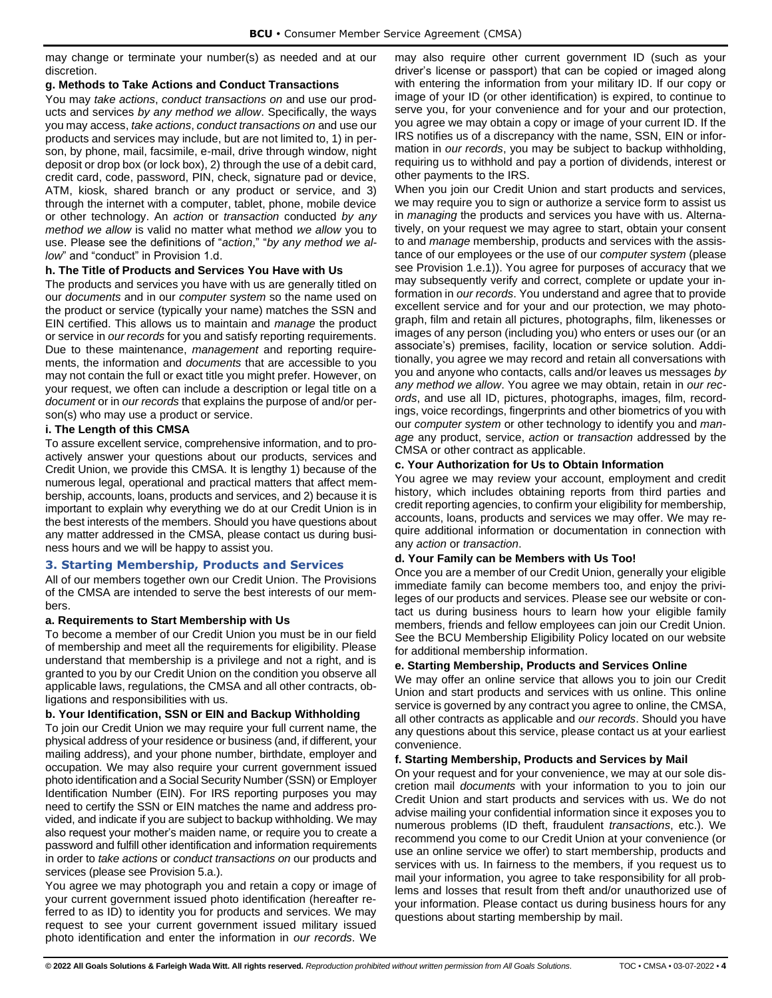may change or terminate your number(s) as needed and at our discretion.

## <span id="page-6-0"></span>**g. Methods to Take Actions and Conduct Transactions**

You may *take actions*, *conduct transactions on* and use our products and services *by any method we allow*. Specifically, the ways you may access, *take actions*, *conduct transactions on* and use our products and services may include, but are not limited to, 1) in person, by phone, mail, facsimile, e-mail, drive through window, night deposit or drop box (or lock box), 2) through the use of a debit card, credit card, code, password, PIN, check, signature pad or device, ATM, kiosk, shared branch or any product or service, and 3) through the internet with a computer, tablet, phone, mobile device or other technology. An *action* or *transaction* conducted *by any method we allow* is valid no matter what method *we allow* you to use. Please see the definitions of "*action*," "*by any method we allow*" and "conduct" in Provision 1.d.

## <span id="page-6-1"></span>**h. The Title of Products and Services You Have with Us**

The products and services you have with us are generally titled on our *documents* and in our *computer system* so the name used on the product or service (typically your name) matches the SSN and EIN certified. This allows us to maintain and *manage* the product or service in *our records* for you and satisfy reporting requirements. Due to these maintenance, *management* and reporting requirements, the information and *documents* that are accessible to you may not contain the full or exact title you might prefer. However, on your request, we often can include a description or legal title on a *document* or in *our records* that explains the purpose of and/or person(s) who may use a product or service.

#### <span id="page-6-2"></span>**i. The Length of this CMSA**

To assure excellent service, comprehensive information, and to proactively answer your questions about our products, services and Credit Union, we provide this CMSA. It is lengthy 1) because of the numerous legal, operational and practical matters that affect membership, accounts, loans, products and services, and 2) because it is important to explain why everything we do at our Credit Union is in the best interests of the members. Should you have questions about any matter addressed in the CMSA, please contact us during business hours and we will be happy to assist you.

## <span id="page-6-3"></span>**3. Starting Membership, Products and Services**

All of our members together own our Credit Union. The Provisions of the CMSA are intended to serve the best interests of our members.

## <span id="page-6-4"></span>**a. Requirements to Start Membership with Us**

To become a member of our Credit Union you must be in our field of membership and meet all the requirements for eligibility. Please understand that membership is a privilege and not a right, and is granted to you by our Credit Union on the condition you observe all applicable laws, regulations, the CMSA and all other contracts, obligations and responsibilities with us.

## <span id="page-6-5"></span>**b. Your Identification, SSN or EIN and Backup Withholding**

To join our Credit Union we may require your full current name, the physical address of your residence or business (and, if different, your mailing address), and your phone number, birthdate, employer and occupation. We may also require your current government issued photo identification and a Social Security Number (SSN) or Employer Identification Number (EIN). For IRS reporting purposes you may need to certify the SSN or EIN matches the name and address provided, and indicate if you are subject to backup withholding. We may also request your mother's maiden name, or require you to create a password and fulfill other identification and information requirements in order to *take actions* or *conduct transactions on* our products and services (please see Provision 5.a.).

You agree we may photograph you and retain a copy or image of your current government issued photo identification (hereafter referred to as ID) to identity you for products and services. We may request to see your current government issued military issued photo identification and enter the information in *our records*. We may also require other current government ID (such as your driver's license or passport) that can be copied or imaged along with entering the information from your military ID. If our copy or image of your ID (or other identification) is expired, to continue to serve you, for your convenience and for your and our protection, you agree we may obtain a copy or image of your current ID. If the IRS notifies us of a discrepancy with the name, SSN, EIN or information in *our records*, you may be subject to backup withholding, requiring us to withhold and pay a portion of dividends, interest or other payments to the IRS.

When you join our Credit Union and start products and services, we may require you to sign or authorize a service form to assist us in *managing* the products and services you have with us. Alternatively, on your request we may agree to start, obtain your consent to and *manage* membership, products and services with the assistance of our employees or the use of our *computer system* (please see Provision 1.e.1)). You agree for purposes of accuracy that we may subsequently verify and correct, complete or update your information in *our records*. You understand and agree that to provide excellent service and for your and our protection, we may photograph, film and retain all pictures, photographs, film, likenesses or images of any person (including you) who enters or uses our (or an associate's) premises, facility, location or service solution. Additionally, you agree we may record and retain all conversations with you and anyone who contacts, calls and/or leaves us messages *by any method we allow*. You agree we may obtain, retain in *our records*, and use all ID, pictures, photographs, images, film, recordings, voice recordings, fingerprints and other biometrics of you with our *computer system* or other technology to identify you and *manage* any product, service, *action* or *transaction* addressed by the CMSA or other contract as applicable.

#### <span id="page-6-6"></span>**c. Your Authorization for Us to Obtain Information**

You agree we may review your account, employment and credit history, which includes obtaining reports from third parties and credit reporting agencies, to confirm your eligibility for membership, accounts, loans, products and services we may offer. We may require additional information or documentation in connection with any *action* or *transaction*.

## <span id="page-6-7"></span>**d. Your Family can be Members with Us Too!**

Once you are a member of our Credit Union, generally your eligible immediate family can become members too, and enjoy the privileges of our products and services. Please see our website or contact us during business hours to learn how your eligible family members, friends and fellow employees can join our Credit Union. See the BCU Membership Eligibility Policy located on our website for additional membership information.

#### <span id="page-6-8"></span>**e. Starting Membership, Products and Services Online**

We may offer an online service that allows you to join our Credit Union and start products and services with us online. This online service is governed by any contract you agree to online, the CMSA, all other contracts as applicable and *our records*. Should you have any questions about this service, please contact us at your earliest convenience.

#### <span id="page-6-9"></span>**f. Starting Membership, Products and Services by Mail**

On your request and for your convenience, we may at our sole discretion mail *documents* with your information to you to join our Credit Union and start products and services with us. We do not advise mailing your confidential information since it exposes you to numerous problems (ID theft, fraudulent *transactions*, etc.). We recommend you come to our Credit Union at your convenience (or use an online service we offer) to start membership, products and services with us. In fairness to the members, if you request us to mail your information, you agree to take responsibility for all problems and losses that result from theft and/or unauthorized use of your information. Please contact us during business hours for any questions about starting membership by mail.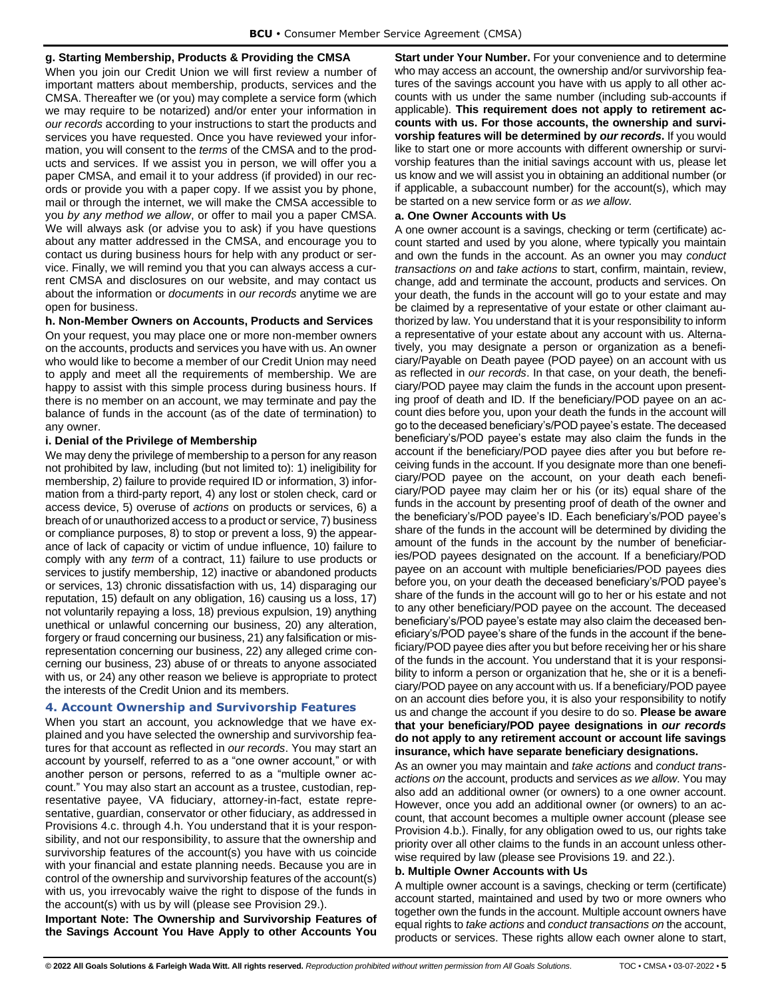### <span id="page-7-0"></span>**g. Starting Membership, Products & Providing the CMSA**

When you join our Credit Union we will first review a number of important matters about membership, products, services and the CMSA. Thereafter we (or you) may complete a service form (which we may require to be notarized) and/or enter your information in *our records* according to your instructions to start the products and services you have requested. Once you have reviewed your information, you will consent to the *terms* of the CMSA and to the products and services. If we assist you in person, we will offer you a paper CMSA, and email it to your address (if provided) in our records or provide you with a paper copy. If we assist you by phone, mail or through the internet, we will make the CMSA accessible to you *by any method we allow*, or offer to mail you a paper CMSA. We will always ask (or advise you to ask) if you have questions about any matter addressed in the CMSA, and encourage you to contact us during business hours for help with any product or service. Finally, we will remind you that you can always access a current CMSA and disclosures on our website, and may contact us about the information or *documents* in *our records* anytime we are open for business.

#### <span id="page-7-1"></span>**h. Non-Member Owners on Accounts, Products and Services**

On your request, you may place one or more non-member owners on the accounts, products and services you have with us. An owner who would like to become a member of our Credit Union may need to apply and meet all the requirements of membership. We are happy to assist with this simple process during business hours. If there is no member on an account, we may terminate and pay the balance of funds in the account (as of the date of termination) to any owner.

#### <span id="page-7-2"></span>**i. Denial of the Privilege of Membership**

We may deny the privilege of membership to a person for any reason not prohibited by law, including (but not limited to): 1) ineligibility for membership, 2) failure to provide required ID or information, 3) information from a third-party report, 4) any lost or stolen check, card or access device, 5) overuse of *actions* on products or services, 6) a breach of or unauthorized access to a product or service, 7) business or compliance purposes, 8) to stop or prevent a loss, 9) the appearance of lack of capacity or victim of undue influence, 10) failure to comply with any *term* of a contract, 11) failure to use products or services to justify membership, 12) inactive or abandoned products or services, 13) chronic dissatisfaction with us, 14) disparaging our reputation, 15) default on any obligation, 16) causing us a loss, 17) not voluntarily repaying a loss, 18) previous expulsion, 19) anything unethical or unlawful concerning our business, 20) any alteration, forgery or fraud concerning our business, 21) any falsification or misrepresentation concerning our business, 22) any alleged crime concerning our business, 23) abuse of or threats to anyone associated with us, or 24) any other reason we believe is appropriate to protect the interests of the Credit Union and its members.

## <span id="page-7-3"></span>**4. Account Ownership and Survivorship Features**

When you start an account, you acknowledge that we have explained and you have selected the ownership and survivorship features for that account as reflected in *our records*. You may start an account by yourself, referred to as a "one owner account," or with another person or persons, referred to as a "multiple owner account." You may also start an account as a trustee, custodian, representative payee, VA fiduciary, attorney-in-fact, estate representative, guardian, conservator or other fiduciary, as addressed in Provisions 4.c. through 4.h. You understand that it is your responsibility, and not our responsibility, to assure that the ownership and survivorship features of the account(s) you have with us coincide with your financial and estate planning needs. Because you are in control of the ownership and survivorship features of the account(s) with us, you irrevocably waive the right to dispose of the funds in the account(s) with us by will (please see Provision 29.).

**Important Note: The Ownership and Survivorship Features of the Savings Account You Have Apply to other Accounts You**  **Start under Your Number.** For your convenience and to determine who may access an account, the ownership and/or survivorship features of the savings account you have with us apply to all other accounts with us under the same number (including sub-accounts if applicable). **This requirement does not apply to retirement accounts with us. For those accounts, the ownership and survivorship features will be determined by** *our records***.** If you would like to start one or more accounts with different ownership or survivorship features than the initial savings account with us, please let us know and we will assist you in obtaining an additional number (or if applicable, a subaccount number) for the account(s), which may be started on a new service form or *as we allow*.

#### <span id="page-7-4"></span>**a. One Owner Accounts with Us**

A one owner account is a savings, checking or term (certificate) account started and used by you alone, where typically you maintain and own the funds in the account. As an owner you may *conduct transactions on* and *take actions* to start, confirm, maintain, review, change, add and terminate the account, products and services. On your death, the funds in the account will go to your estate and may be claimed by a representative of your estate or other claimant authorized by law. You understand that it is your responsibility to inform a representative of your estate about any account with us. Alternatively, you may designate a person or organization as a beneficiary/Payable on Death payee (POD payee) on an account with us as reflected in *our records*. In that case, on your death, the beneficiary/POD payee may claim the funds in the account upon presenting proof of death and ID. If the beneficiary/POD payee on an account dies before you, upon your death the funds in the account will go to the deceased beneficiary's/POD payee's estate. The deceased beneficiary's/POD payee's estate may also claim the funds in the account if the beneficiary/POD payee dies after you but before receiving funds in the account. If you designate more than one beneficiary/POD payee on the account, on your death each beneficiary/POD payee may claim her or his (or its) equal share of the funds in the account by presenting proof of death of the owner and the beneficiary's/POD payee's ID. Each beneficiary's/POD payee's share of the funds in the account will be determined by dividing the amount of the funds in the account by the number of beneficiaries/POD payees designated on the account. If a beneficiary/POD payee on an account with multiple beneficiaries/POD payees dies before you, on your death the deceased beneficiary's/POD payee's share of the funds in the account will go to her or his estate and not to any other beneficiary/POD payee on the account. The deceased beneficiary's/POD payee's estate may also claim the deceased beneficiary's/POD payee's share of the funds in the account if the beneficiary/POD payee dies after you but before receiving her or his share of the funds in the account. You understand that it is your responsibility to inform a person or organization that he, she or it is a beneficiary/POD payee on any account with us. If a beneficiary/POD payee on an account dies before you, it is also your responsibility to notify us and change the account if you desire to do so. **Please be aware that your beneficiary/POD payee designations in** *our records* **do not apply to any retirement account or account life savings insurance, which have separate beneficiary designations.**

As an owner you may maintain and *take actions* and *conduct transactions on* the account, products and services *as we allow*. You may also add an additional owner (or owners) to a one owner account. However, once you add an additional owner (or owners) to an account, that account becomes a multiple owner account (please see Provision 4.b.). Finally, for any obligation owed to us, our rights take priority over all other claims to the funds in an account unless otherwise required by law (please see Provisions 19. and 22.).

## <span id="page-7-5"></span>**b. Multiple Owner Accounts with Us**

A multiple owner account is a savings, checking or term (certificate) account started, maintained and used by two or more owners who together own the funds in the account. Multiple account owners have equal rights to *take actions* and *conduct transactions on* the account, products or services. These rights allow each owner alone to start,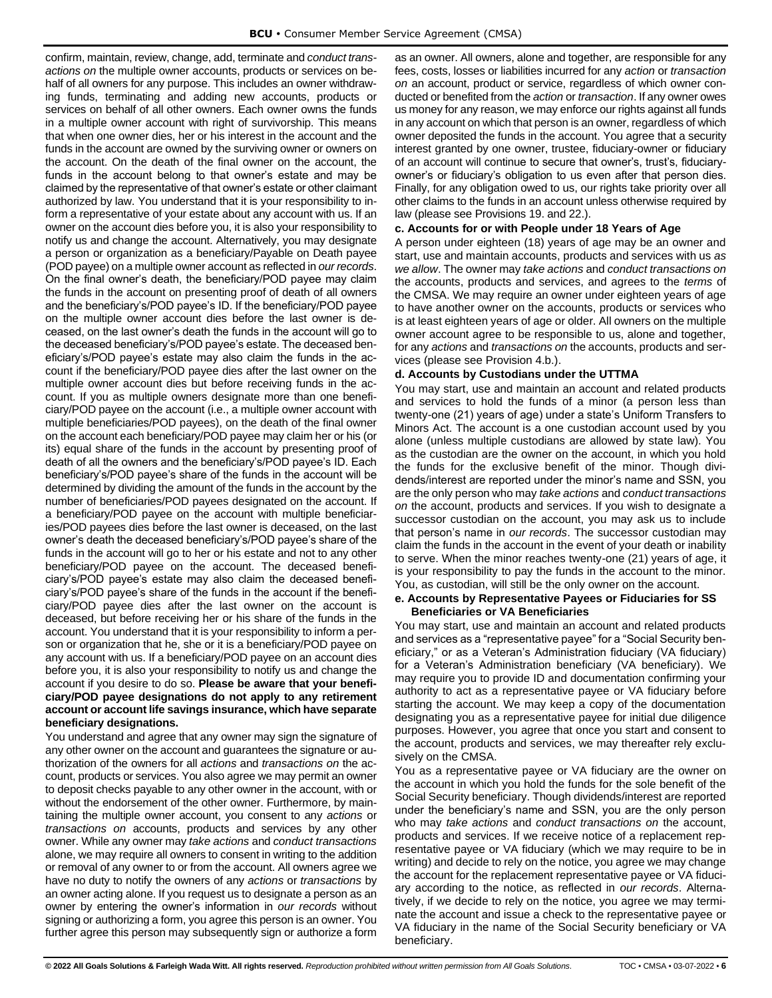confirm, maintain, review, change, add, terminate and *conduct transactions on* the multiple owner accounts, products or services on behalf of all owners for any purpose. This includes an owner withdrawing funds, terminating and adding new accounts, products or services on behalf of all other owners. Each owner owns the funds in a multiple owner account with right of survivorship. This means that when one owner dies, her or his interest in the account and the funds in the account are owned by the surviving owner or owners on the account. On the death of the final owner on the account, the funds in the account belong to that owner's estate and may be claimed by the representative of that owner's estate or other claimant authorized by law. You understand that it is your responsibility to inform a representative of your estate about any account with us. If an owner on the account dies before you, it is also your responsibility to notify us and change the account. Alternatively, you may designate a person or organization as a beneficiary/Payable on Death payee (POD payee) on a multiple owner account as reflected in *our records*. On the final owner's death, the beneficiary/POD payee may claim the funds in the account on presenting proof of death of all owners and the beneficiary's/POD payee's ID. If the beneficiary/POD payee on the multiple owner account dies before the last owner is deceased, on the last owner's death the funds in the account will go to the deceased beneficiary's/POD payee's estate. The deceased beneficiary's/POD payee's estate may also claim the funds in the account if the beneficiary/POD payee dies after the last owner on the multiple owner account dies but before receiving funds in the account. If you as multiple owners designate more than one beneficiary/POD payee on the account (i.e., a multiple owner account with multiple beneficiaries/POD payees), on the death of the final owner on the account each beneficiary/POD payee may claim her or his (or its) equal share of the funds in the account by presenting proof of death of all the owners and the beneficiary's/POD payee's ID. Each beneficiary's/POD payee's share of the funds in the account will be determined by dividing the amount of the funds in the account by the number of beneficiaries/POD payees designated on the account. If a beneficiary/POD payee on the account with multiple beneficiaries/POD payees dies before the last owner is deceased, on the last owner's death the deceased beneficiary's/POD payee's share of the funds in the account will go to her or his estate and not to any other beneficiary/POD payee on the account. The deceased beneficiary's/POD payee's estate may also claim the deceased beneficiary's/POD payee's share of the funds in the account if the beneficiary/POD payee dies after the last owner on the account is deceased, but before receiving her or his share of the funds in the account. You understand that it is your responsibility to inform a person or organization that he, she or it is a beneficiary/POD payee on any account with us. If a beneficiary/POD payee on an account dies before you, it is also your responsibility to notify us and change the account if you desire to do so. **Please be aware that your beneficiary/POD payee designations do not apply to any retirement account or account life savings insurance, which have separate beneficiary designations.**

You understand and agree that any owner may sign the signature of any other owner on the account and guarantees the signature or authorization of the owners for all *actions* and *transactions on* the account, products or services. You also agree we may permit an owner to deposit checks payable to any other owner in the account, with or without the endorsement of the other owner. Furthermore, by maintaining the multiple owner account, you consent to any *actions* or *transactions on* accounts, products and services by any other owner. While any owner may *take actions* and *conduct transactions*  alone, we may require all owners to consent in writing to the addition or removal of any owner to or from the account. All owners agree we have no duty to notify the owners of any *actions* or *transactions* by an owner acting alone. If you request us to designate a person as an owner by entering the owner's information in *our records* without signing or authorizing a form, you agree this person is an owner. You further agree this person may subsequently sign or authorize a form as an owner. All owners, alone and together, are responsible for any fees, costs, losses or liabilities incurred for any *action* or *transaction on* an account, product or service, regardless of which owner conducted or benefited from the *action* or *transaction*. If any owner owes us money for any reason, we may enforce our rights against all funds in any account on which that person is an owner, regardless of which owner deposited the funds in the account. You agree that a security interest granted by one owner, trustee, fiduciary-owner or fiduciary of an account will continue to secure that owner's, trust's, fiduciaryowner's or fiduciary's obligation to us even after that person dies. Finally, for any obligation owed to us, our rights take priority over all other claims to the funds in an account unless otherwise required by law (please see Provisions 19. and 22.).

#### <span id="page-8-0"></span>**c. Accounts for or with People under 18 Years of Age**

A person under eighteen (18) years of age may be an owner and start, use and maintain accounts, products and services with us *as we allow*. The owner may *take actions* and *conduct transactions on*  the accounts, products and services, and agrees to the *terms* of the CMSA. We may require an owner under eighteen years of age to have another owner on the accounts, products or services who is at least eighteen years of age or older. All owners on the multiple owner account agree to be responsible to us, alone and together, for any *actions* and *transactions on* the accounts, products and services (please see Provision 4.b.).

#### <span id="page-8-1"></span>**d. Accounts by Custodians under the UTTMA**

You may start, use and maintain an account and related products and services to hold the funds of a minor (a person less than twenty-one (21) years of age) under a state's Uniform Transfers to Minors Act. The account is a one custodian account used by you alone (unless multiple custodians are allowed by state law). You as the custodian are the owner on the account, in which you hold the funds for the exclusive benefit of the minor. Though dividends/interest are reported under the minor's name and SSN, you are the only person who may *take actions* and *conduct transactions on* the account, products and services. If you wish to designate a successor custodian on the account, you may ask us to include that person's name in *our records*. The successor custodian may claim the funds in the account in the event of your death or inability to serve. When the minor reaches twenty-one (21) years of age, it is your responsibility to pay the funds in the account to the minor. You, as custodian, will still be the only owner on the account.

#### <span id="page-8-2"></span>**e. Accounts by Representative Payees or Fiduciaries for SS Beneficiaries or VA Beneficiaries**

You may start, use and maintain an account and related products and services as a "representative payee" for a "Social Security beneficiary," or as a Veteran's Administration fiduciary (VA fiduciary) for a Veteran's Administration beneficiary (VA beneficiary). We may require you to provide ID and documentation confirming your authority to act as a representative payee or VA fiduciary before starting the account. We may keep a copy of the documentation designating you as a representative payee for initial due diligence purposes. However, you agree that once you start and consent to the account, products and services, we may thereafter rely exclusively on the CMSA.

You as a representative payee or VA fiduciary are the owner on the account in which you hold the funds for the sole benefit of the Social Security beneficiary. Though dividends/interest are reported under the beneficiary's name and SSN, you are the only person who may *take actions* and *conduct transactions on* the account, products and services. If we receive notice of a replacement representative payee or VA fiduciary (which we may require to be in writing) and decide to rely on the notice, you agree we may change the account for the replacement representative payee or VA fiduciary according to the notice, as reflected in *our records*. Alternatively, if we decide to rely on the notice, you agree we may terminate the account and issue a check to the representative payee or VA fiduciary in the name of the Social Security beneficiary or VA beneficiary.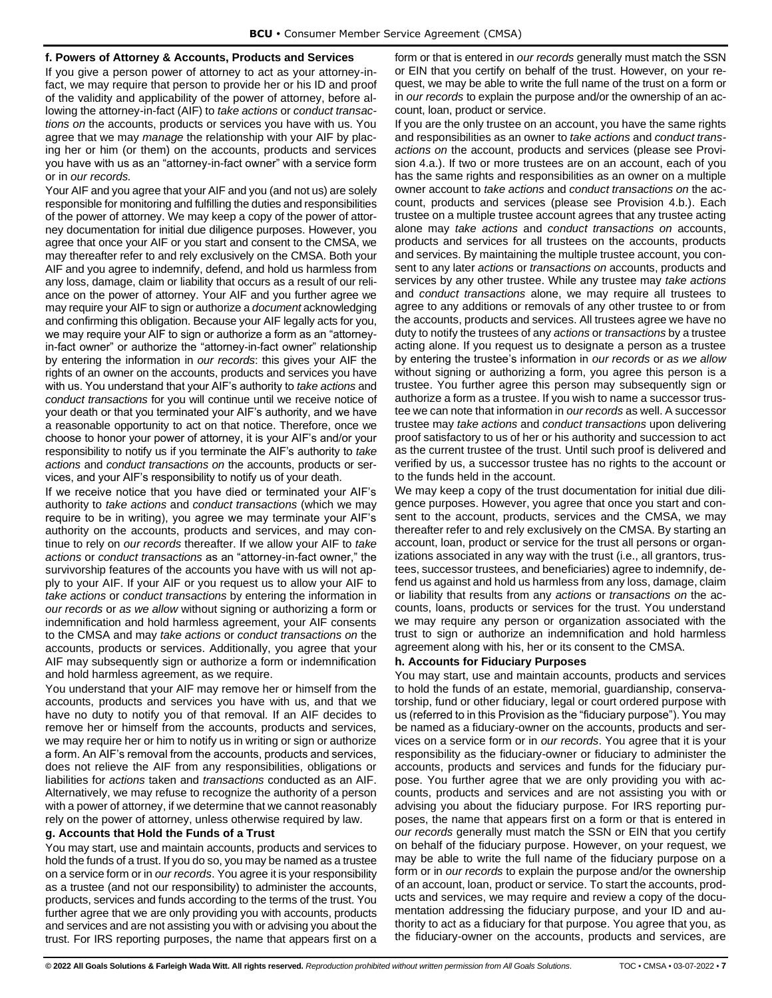#### <span id="page-9-0"></span>**f. Powers of Attorney & Accounts, Products and Services**

If you give a person power of attorney to act as your attorney-infact, we may require that person to provide her or his ID and proof of the validity and applicability of the power of attorney, before allowing the attorney-in-fact (AIF) to *take actions* or *conduct transactions on* the accounts, products or services you have with us. You agree that we may *manage* the relationship with your AIF by placing her or him (or them) on the accounts, products and services you have with us as an "attorney-in-fact owner" with a service form or in *our records.*

Your AIF and you agree that your AIF and you (and not us) are solely responsible for monitoring and fulfilling the duties and responsibilities of the power of attorney. We may keep a copy of the power of attorney documentation for initial due diligence purposes. However, you agree that once your AIF or you start and consent to the CMSA, we may thereafter refer to and rely exclusively on the CMSA. Both your AIF and you agree to indemnify, defend, and hold us harmless from any loss, damage, claim or liability that occurs as a result of our reliance on the power of attorney. Your AIF and you further agree we may require your AIF to sign or authorize a *document* acknowledging and confirming this obligation. Because your AIF legally acts for you, we may require your AIF to sign or authorize a form as an "attorneyin-fact owner" or authorize the "attorney-in-fact owner" relationship by entering the information in *our records*: this gives your AIF the rights of an owner on the accounts, products and services you have with us. You understand that your AIF's authority to *take actions* and *conduct transactions* for you will continue until we receive notice of your death or that you terminated your AIF's authority, and we have a reasonable opportunity to act on that notice. Therefore, once we choose to honor your power of attorney, it is your AIF's and/or your responsibility to notify us if you terminate the AIF's authority to *take actions* and *conduct transactions on* the accounts, products or services, and your AIF's responsibility to notify us of your death.

If we receive notice that you have died or terminated your AIF's authority to *take actions* and *conduct transactions* (which we may require to be in writing), you agree we may terminate your AIF's authority on the accounts, products and services, and may continue to rely on *our records* thereafter. If we allow your AIF to *take actions* or *conduct transactions* as an "attorney-in-fact owner," the survivorship features of the accounts you have with us will not apply to your AIF. If your AIF or you request us to allow your AIF to *take actions* or *conduct transactions* by entering the information in *our records* or *as we allow* without signing or authorizing a form or indemnification and hold harmless agreement, your AIF consents to the CMSA and may *take actions* or *conduct transactions on* the accounts, products or services. Additionally, you agree that your AIF may subsequently sign or authorize a form or indemnification and hold harmless agreement, as we require.

You understand that your AIF may remove her or himself from the accounts, products and services you have with us, and that we have no duty to notify you of that removal. If an AIF decides to remove her or himself from the accounts, products and services, we may require her or him to notify us in writing or sign or authorize a form. An AIF's removal from the accounts, products and services, does not relieve the AIF from any responsibilities, obligations or liabilities for *actions* taken and *transactions* conducted as an AIF. Alternatively, we may refuse to recognize the authority of a person with a power of attorney, if we determine that we cannot reasonably rely on the power of attorney, unless otherwise required by law.

#### <span id="page-9-1"></span>**g. Accounts that Hold the Funds of a Trust**

You may start, use and maintain accounts, products and services to hold the funds of a trust. If you do so, you may be named as a trustee on a service form or in *our records*. You agree it is your responsibility as a trustee (and not our responsibility) to administer the accounts, products, services and funds according to the terms of the trust. You further agree that we are only providing you with accounts, products and services and are not assisting you with or advising you about the trust. For IRS reporting purposes, the name that appears first on a form or that is entered in *our records* generally must match the SSN or EIN that you certify on behalf of the trust. However, on your request, we may be able to write the full name of the trust on a form or in *our records* to explain the purpose and/or the ownership of an account, loan, product or service.

If you are the only trustee on an account, you have the same rights and responsibilities as an owner to *take actions* and *conduct transactions on* the account, products and services (please see Provision 4.a.). If two or more trustees are on an account, each of you has the same rights and responsibilities as an owner on a multiple owner account to *take actions* and *conduct transactions on* the account, products and services (please see Provision 4.b.). Each trustee on a multiple trustee account agrees that any trustee acting alone may *take actions* and *conduct transactions on* accounts, products and services for all trustees on the accounts, products and services. By maintaining the multiple trustee account, you consent to any later *actions* or *transactions on* accounts, products and services by any other trustee. While any trustee may *take actions* and *conduct transactions* alone, we may require all trustees to agree to any additions or removals of any other trustee to or from the accounts, products and services. All trustees agree we have no duty to notify the trustees of any *actions* or *transactions* by a trustee acting alone. If you request us to designate a person as a trustee by entering the trustee's information in *our records* or *as we allow* without signing or authorizing a form, you agree this person is a trustee. You further agree this person may subsequently sign or authorize a form as a trustee. If you wish to name a successor trustee we can note that information in *our records* as well. A successor trustee may *take actions* and *conduct transactions* upon delivering proof satisfactory to us of her or his authority and succession to act as the current trustee of the trust. Until such proof is delivered and verified by us, a successor trustee has no rights to the account or to the funds held in the account.

We may keep a copy of the trust documentation for initial due diligence purposes. However, you agree that once you start and consent to the account, products, services and the CMSA, we may thereafter refer to and rely exclusively on the CMSA. By starting an account, loan, product or service for the trust all persons or organizations associated in any way with the trust (i.e., all grantors, trustees, successor trustees, and beneficiaries) agree to indemnify, defend us against and hold us harmless from any loss, damage, claim or liability that results from any *actions* or *transactions on* the accounts, loans, products or services for the trust. You understand we may require any person or organization associated with the trust to sign or authorize an indemnification and hold harmless agreement along with his, her or its consent to the CMSA.

#### <span id="page-9-2"></span>**h. Accounts for Fiduciary Purposes**

You may start, use and maintain accounts, products and services to hold the funds of an estate, memorial, guardianship, conservatorship, fund or other fiduciary, legal or court ordered purpose with us (referred to in this Provision as the "fiduciary purpose"). You may be named as a fiduciary-owner on the accounts, products and services on a service form or in *our records*. You agree that it is your responsibility as the fiduciary-owner or fiduciary to administer the accounts, products and services and funds for the fiduciary purpose. You further agree that we are only providing you with accounts, products and services and are not assisting you with or advising you about the fiduciary purpose. For IRS reporting purposes, the name that appears first on a form or that is entered in *our records* generally must match the SSN or EIN that you certify on behalf of the fiduciary purpose. However, on your request, we may be able to write the full name of the fiduciary purpose on a form or in *our records* to explain the purpose and/or the ownership of an account, loan, product or service. To start the accounts, products and services, we may require and review a copy of the documentation addressing the fiduciary purpose, and your ID and authority to act as a fiduciary for that purpose. You agree that you, as the fiduciary-owner on the accounts, products and services, are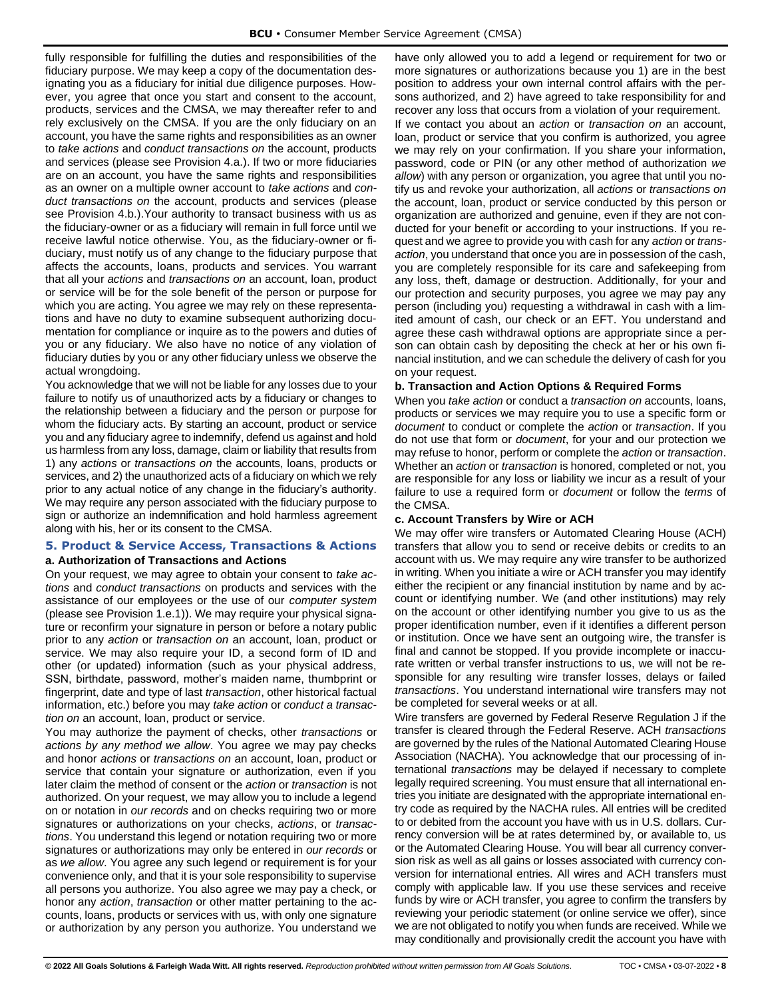fully responsible for fulfilling the duties and responsibilities of the fiduciary purpose. We may keep a copy of the documentation designating you as a fiduciary for initial due diligence purposes. However, you agree that once you start and consent to the account, products, services and the CMSA, we may thereafter refer to and rely exclusively on the CMSA. If you are the only fiduciary on an account, you have the same rights and responsibilities as an owner to *take actions* and *conduct transactions on* the account, products and services (please see Provision 4.a.). If two or more fiduciaries are on an account, you have the same rights and responsibilities as an owner on a multiple owner account to *take actions* and *conduct transactions on* the account, products and services (please see Provision 4.b.).Your authority to transact business with us as the fiduciary-owner or as a fiduciary will remain in full force until we receive lawful notice otherwise. You, as the fiduciary-owner or fiduciary, must notify us of any change to the fiduciary purpose that affects the accounts, loans, products and services. You warrant that all your *actions* and *transactions on* an account, loan, product or service will be for the sole benefit of the person or purpose for which you are acting. You agree we may rely on these representations and have no duty to examine subsequent authorizing documentation for compliance or inquire as to the powers and duties of you or any fiduciary. We also have no notice of any violation of fiduciary duties by you or any other fiduciary unless we observe the actual wrongdoing.

You acknowledge that we will not be liable for any losses due to your failure to notify us of unauthorized acts by a fiduciary or changes to the relationship between a fiduciary and the person or purpose for whom the fiduciary acts. By starting an account, product or service you and any fiduciary agree to indemnify, defend us against and hold us harmless from any loss, damage, claim or liability that results from 1) any *actions* or *transactions on* the accounts, loans, products or services, and 2) the unauthorized acts of a fiduciary on which we rely prior to any actual notice of any change in the fiduciary's authority. We may require any person associated with the fiduciary purpose to sign or authorize an indemnification and hold harmless agreement along with his, her or its consent to the CMSA.

## <span id="page-10-1"></span><span id="page-10-0"></span>**5. Product & Service Access, Transactions & Actions a. Authorization of Transactions and Actions**

On your request, we may agree to obtain your consent to *take actions* and *conduct transactions* on products and services with the assistance of our employees or the use of our *computer system*  (please see Provision 1.e.1)). We may require your physical signature or reconfirm your signature in person or before a notary public prior to any *action* or *transaction on* an account, loan, product or service. We may also require your ID, a second form of ID and other (or updated) information (such as your physical address, SSN, birthdate, password, mother's maiden name, thumbprint or fingerprint, date and type of last *transaction*, other historical factual information, etc.) before you may *take action* or *conduct a transaction on* an account, loan, product or service.

You may authorize the payment of checks, other *transactions* or *actions by any method we allow*. You agree we may pay checks and honor *actions* or *transactions on* an account, loan, product or service that contain your signature or authorization, even if you later claim the method of consent or the *action* or *transaction* is not authorized. On your request, we may allow you to include a legend on or notation in *our records* and on checks requiring two or more signatures or authorizations on your checks, *actions*, or *transactions*. You understand this legend or notation requiring two or more signatures or authorizations may only be entered in *our records* or as *we allow*. You agree any such legend or requirement is for your convenience only, and that it is your sole responsibility to supervise all persons you authorize. You also agree we may pay a check, or honor any *action*, *transaction* or other matter pertaining to the accounts, loans, products or services with us, with only one signature or authorization by any person you authorize. You understand we have only allowed you to add a legend or requirement for two or more signatures or authorizations because you 1) are in the best position to address your own internal control affairs with the persons authorized, and 2) have agreed to take responsibility for and recover any loss that occurs from a violation of your requirement.

If we contact you about an *action* or *transaction on* an account, loan, product or service that you confirm is authorized, you agree we may rely on your confirmation. If you share your information, password, code or PIN (or any other method of authorization *we allow*) with any person or organization, you agree that until you notify us and revoke your authorization, all *actions* or *transactions on*  the account, loan, product or service conducted by this person or organization are authorized and genuine, even if they are not conducted for your benefit or according to your instructions. If you request and we agree to provide you with cash for any *action* or *transaction*, you understand that once you are in possession of the cash, you are completely responsible for its care and safekeeping from any loss, theft, damage or destruction. Additionally, for your and our protection and security purposes, you agree we may pay any person (including you) requesting a withdrawal in cash with a limited amount of cash, our check or an EFT. You understand and agree these cash withdrawal options are appropriate since a person can obtain cash by depositing the check at her or his own financial institution, and we can schedule the delivery of cash for you on your request.

#### <span id="page-10-2"></span>**b. Transaction and Action Options & Required Forms**

When you *take action* or conduct a *transaction on* accounts, loans, products or services we may require you to use a specific form or *document* to conduct or complete the *action* or *transaction*. If you do not use that form or *document*, for your and our protection we may refuse to honor, perform or complete the *action* or *transaction*. Whether an *action* or *transaction* is honored, completed or not, you are responsible for any loss or liability we incur as a result of your failure to use a required form or *document* or follow the *terms* of the CMSA.

#### <span id="page-10-3"></span>**c. Account Transfers by Wire or ACH**

We may offer wire transfers or Automated Clearing House (ACH) transfers that allow you to send or receive debits or credits to an account with us. We may require any wire transfer to be authorized in writing. When you initiate a wire or ACH transfer you may identify either the recipient or any financial institution by name and by account or identifying number. We (and other institutions) may rely on the account or other identifying number you give to us as the proper identification number, even if it identifies a different person or institution. Once we have sent an outgoing wire, the transfer is final and cannot be stopped. If you provide incomplete or inaccurate written or verbal transfer instructions to us, we will not be responsible for any resulting wire transfer losses, delays or failed *transactions*. You understand international wire transfers may not be completed for several weeks or at all.

Wire transfers are governed by Federal Reserve Regulation J if the transfer is cleared through the Federal Reserve. ACH *transactions* are governed by the rules of the National Automated Clearing House Association (NACHA). You acknowledge that our processing of international *transactions* may be delayed if necessary to complete legally required screening. You must ensure that all international entries you initiate are designated with the appropriate international entry code as required by the NACHA rules. All entries will be credited to or debited from the account you have with us in U.S. dollars. Currency conversion will be at rates determined by, or available to, us or the Automated Clearing House. You will bear all currency conversion risk as well as all gains or losses associated with currency conversion for international entries. All wires and ACH transfers must comply with applicable law. If you use these services and receive funds by wire or ACH transfer, you agree to confirm the transfers by reviewing your periodic statement (or online service we offer), since we are not obligated to notify you when funds are received. While we may conditionally and provisionally credit the account you have with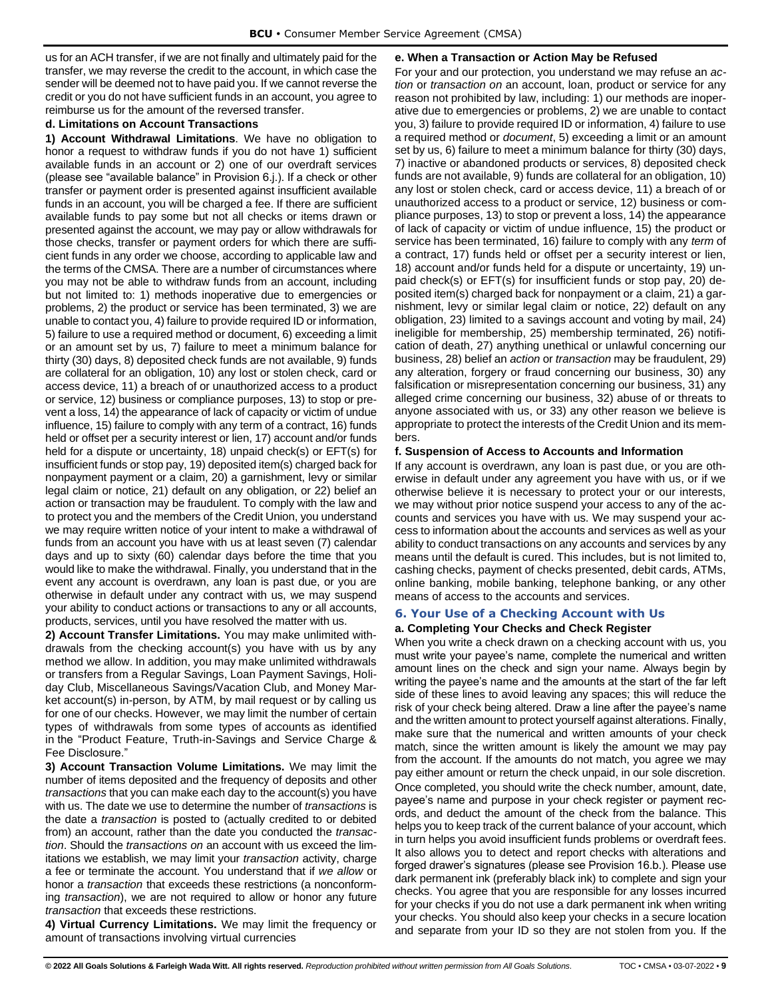us for an ACH transfer, if we are not finally and ultimately paid for the transfer, we may reverse the credit to the account, in which case the sender will be deemed not to have paid you. If we cannot reverse the credit or you do not have sufficient funds in an account, you agree to reimburse us for the amount of the reversed transfer.

## <span id="page-11-0"></span>**d. Limitations on Account Transactions**

**1) Account Withdrawal Limitations**. We have no obligation to honor a request to withdraw funds if you do not have 1) sufficient available funds in an account or 2) one of our overdraft services (please see "available balance" in Provision 6.j.). If a check or other transfer or payment order is presented against insufficient available funds in an account, you will be charged a fee. If there are sufficient available funds to pay some but not all checks or items drawn or presented against the account, we may pay or allow withdrawals for those checks, transfer or payment orders for which there are sufficient funds in any order we choose, according to applicable law and the terms of the CMSA. There are a number of circumstances where you may not be able to withdraw funds from an account, including but not limited to: 1) methods inoperative due to emergencies or problems, 2) the product or service has been terminated, 3) we are unable to contact you, 4) failure to provide required ID or information, 5) failure to use a required method or document, 6) exceeding a limit or an amount set by us, 7) failure to meet a minimum balance for thirty (30) days, 8) deposited check funds are not available, 9) funds are collateral for an obligation, 10) any lost or stolen check, card or access device, 11) a breach of or unauthorized access to a product or service, 12) business or compliance purposes, 13) to stop or prevent a loss, 14) the appearance of lack of capacity or victim of undue influence, 15) failure to comply with any term of a contract, 16) funds held or offset per a security interest or lien, 17) account and/or funds held for a dispute or uncertainty, 18) unpaid check(s) or EFT(s) for insufficient funds or stop pay, 19) deposited item(s) charged back for nonpayment payment or a claim, 20) a garnishment, levy or similar legal claim or notice, 21) default on any obligation, or 22) belief an action or transaction may be fraudulent. To comply with the law and to protect you and the members of the Credit Union, you understand we may require written notice of your intent to make a withdrawal of funds from an account you have with us at least seven (7) calendar days and up to sixty (60) calendar days before the time that you would like to make the withdrawal. Finally, you understand that in the event any account is overdrawn, any loan is past due, or you are otherwise in default under any contract with us, we may suspend your ability to conduct actions or transactions to any or all accounts, products, services, until you have resolved the matter with us.

**2) Account Transfer Limitations.** You may make unlimited withdrawals from the checking account(s) you have with us by any method we allow. In addition, you may make unlimited withdrawals or transfers from a Regular Savings, Loan Payment Savings, Holiday Club, Miscellaneous Savings/Vacation Club, and Money Market account(s) in-person, by ATM, by mail request or by calling us for one of our checks. However, we may limit the number of certain types of withdrawals from some types of accounts as identified in the "Product Feature, Truth-in-Savings and Service Charge & Fee Disclosure."

**3) Account Transaction Volume Limitations.** We may limit the number of items deposited and the frequency of deposits and other *transactions* that you can make each day to the account(s) you have with us. The date we use to determine the number of *transactions* is the date a *transaction* is posted to (actually credited to or debited from) an account, rather than the date you conducted the *transaction*. Should the *transactions on* an account with us exceed the limitations we establish, we may limit your *transaction* activity, charge a fee or terminate the account. You understand that if *we allow* or honor a *transaction* that exceeds these restrictions (a nonconforming *transaction*), we are not required to allow or honor any future *transaction* that exceeds these restrictions.

**4) Virtual Currency Limitations.** We may limit the frequency or amount of transactions involving virtual currencies

## <span id="page-11-1"></span>**e. When a Transaction or Action May be Refused**

For your and our protection, you understand we may refuse an *action* or *transaction on* an account, loan, product or service for any reason not prohibited by law, including: 1) our methods are inoperative due to emergencies or problems, 2) we are unable to contact you, 3) failure to provide required ID or information, 4) failure to use a required method or *document*, 5) exceeding a limit or an amount set by us, 6) failure to meet a minimum balance for thirty (30) days, 7) inactive or abandoned products or services, 8) deposited check funds are not available, 9) funds are collateral for an obligation, 10) any lost or stolen check, card or access device, 11) a breach of or unauthorized access to a product or service, 12) business or compliance purposes, 13) to stop or prevent a loss, 14) the appearance of lack of capacity or victim of undue influence, 15) the product or service has been terminated, 16) failure to comply with any *term* of a contract, 17) funds held or offset per a security interest or lien, 18) account and/or funds held for a dispute or uncertainty, 19) unpaid check(s) or EFT(s) for insufficient funds or stop pay, 20) deposited item(s) charged back for nonpayment or a claim, 21) a garnishment, levy or similar legal claim or notice, 22) default on any obligation, 23) limited to a savings account and voting by mail, 24) ineligible for membership, 25) membership terminated, 26) notification of death, 27) anything unethical or unlawful concerning our business, 28) belief an *action* or *transaction* may be fraudulent, 29) any alteration, forgery or fraud concerning our business, 30) any falsification or misrepresentation concerning our business, 31) any alleged crime concerning our business, 32) abuse of or threats to anyone associated with us, or 33) any other reason we believe is appropriate to protect the interests of the Credit Union and its members.

## <span id="page-11-2"></span>**f. Suspension of Access to Accounts and Information**

If any account is overdrawn, any loan is past due, or you are otherwise in default under any agreement you have with us, or if we otherwise believe it is necessary to protect your or our interests, we may without prior notice suspend your access to any of the accounts and services you have with us. We may suspend your access to information about the accounts and services as well as your ability to conduct transactions on any accounts and services by any means until the default is cured. This includes, but is not limited to, cashing checks, payment of checks presented, debit cards, ATMs, online banking, mobile banking, telephone banking, or any other means of access to the accounts and services.

## <span id="page-11-3"></span>**6. Your Use of a Checking Account with Us**

## <span id="page-11-4"></span>**a. Completing Your Checks and Check Register**

When you write a check drawn on a checking account with us, you must write your payee's name, complete the numerical and written amount lines on the check and sign your name. Always begin by writing the payee's name and the amounts at the start of the far left side of these lines to avoid leaving any spaces; this will reduce the risk of your check being altered. Draw a line after the payee's name and the written amount to protect yourself against alterations. Finally, make sure that the numerical and written amounts of your check match, since the written amount is likely the amount we may pay from the account. If the amounts do not match, you agree we may pay either amount or return the check unpaid, in our sole discretion. Once completed, you should write the check number, amount, date, payee's name and purpose in your check register or payment records, and deduct the amount of the check from the balance. This helps you to keep track of the current balance of your account, which in turn helps you avoid insufficient funds problems or overdraft fees. It also allows you to detect and report checks with alterations and forged drawer's signatures (please see Provision 16.b.). Please use dark permanent ink (preferably black ink) to complete and sign your checks. You agree that you are responsible for any losses incurred for your checks if you do not use a dark permanent ink when writing your checks. You should also keep your checks in a secure location and separate from your ID so they are not stolen from you. If the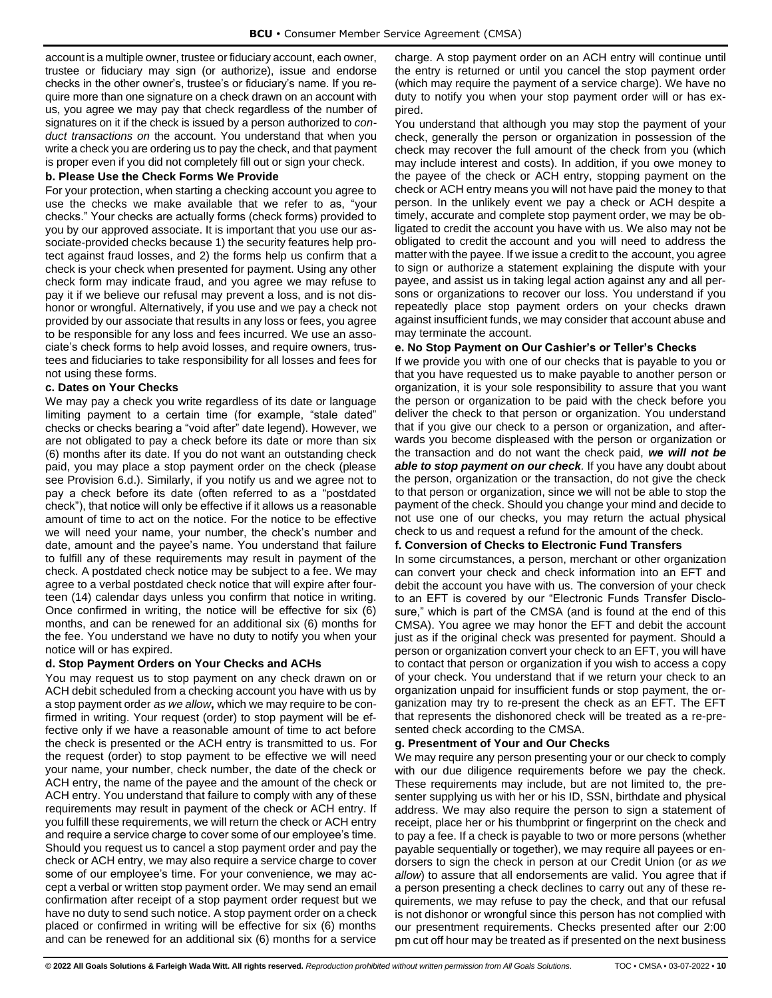account is a multiple owner, trustee or fiduciary account, each owner, trustee or fiduciary may sign (or authorize), issue and endorse checks in the other owner's, trustee's or fiduciary's name. If you require more than one signature on a check drawn on an account with us, you agree we may pay that check regardless of the number of signatures on it if the check is issued by a person authorized to *conduct transactions on* the account. You understand that when you write a check you are ordering us to pay the check, and that payment is proper even if you did not completely fill out or sign your check.

#### <span id="page-12-0"></span>**b. Please Use the Check Forms We Provide**

For your protection, when starting a checking account you agree to use the checks we make available that we refer to as, "your checks." Your checks are actually forms (check forms) provided to you by our approved associate. It is important that you use our associate-provided checks because 1) the security features help protect against fraud losses, and 2) the forms help us confirm that a check is your check when presented for payment. Using any other check form may indicate fraud, and you agree we may refuse to pay it if we believe our refusal may prevent a loss, and is not dishonor or wrongful. Alternatively, if you use and we pay a check not provided by our associate that results in any loss or fees, you agree to be responsible for any loss and fees incurred. We use an associate's check forms to help avoid losses, and require owners, trustees and fiduciaries to take responsibility for all losses and fees for not using these forms.

#### <span id="page-12-1"></span>**c. Dates on Your Checks**

We may pay a check you write regardless of its date or language limiting payment to a certain time (for example, "stale dated" checks or checks bearing a "void after" date legend). However, we are not obligated to pay a check before its date or more than six (6) months after its date. If you do not want an outstanding check paid, you may place a stop payment order on the check (please see Provision 6.d.). Similarly, if you notify us and we agree not to pay a check before its date (often referred to as a "postdated check"), that notice will only be effective if it allows us a reasonable amount of time to act on the notice. For the notice to be effective we will need your name, your number, the check's number and date, amount and the payee's name. You understand that failure to fulfill any of these requirements may result in payment of the check. A postdated check notice may be subject to a fee. We may agree to a verbal postdated check notice that will expire after fourteen (14) calendar days unless you confirm that notice in writing. Once confirmed in writing, the notice will be effective for six (6) months, and can be renewed for an additional six (6) months for the fee. You understand we have no duty to notify you when your notice will or has expired.

## <span id="page-12-2"></span>**d. Stop Payment Orders on Your Checks and ACHs**

You may request us to stop payment on any check drawn on or ACH debit scheduled from a checking account you have with us by a stop payment order *as we allow***,** which we may require to be confirmed in writing. Your request (order) to stop payment will be effective only if we have a reasonable amount of time to act before the check is presented or the ACH entry is transmitted to us. For the request (order) to stop payment to be effective we will need your name, your number, check number, the date of the check or ACH entry, the name of the payee and the amount of the check or ACH entry. You understand that failure to comply with any of these requirements may result in payment of the check or ACH entry. If you fulfill these requirements, we will return the check or ACH entry and require a service charge to cover some of our employee's time. Should you request us to cancel a stop payment order and pay the check or ACH entry, we may also require a service charge to cover some of our employee's time. For your convenience, we may accept a verbal or written stop payment order. We may send an email confirmation after receipt of a stop payment order request but we have no duty to send such notice. A stop payment order on a check placed or confirmed in writing will be effective for six (6) months and can be renewed for an additional six (6) months for a service charge. A stop payment order on an ACH entry will continue until the entry is returned or until you cancel the stop payment order (which may require the payment of a service charge). We have no duty to notify you when your stop payment order will or has expired.

You understand that although you may stop the payment of your check, generally the person or organization in possession of the check may recover the full amount of the check from you (which may include interest and costs). In addition, if you owe money to the payee of the check or ACH entry, stopping payment on the check or ACH entry means you will not have paid the money to that person. In the unlikely event we pay a check or ACH despite a timely, accurate and complete stop payment order, we may be obligated to credit the account you have with us. We also may not be obligated to credit the account and you will need to address the matter with the payee. If we issue a credit to the account, you agree to sign or authorize a statement explaining the dispute with your payee, and assist us in taking legal action against any and all persons or organizations to recover our loss. You understand if you repeatedly place stop payment orders on your checks drawn against insufficient funds, we may consider that account abuse and may terminate the account.

#### <span id="page-12-3"></span>**e. No Stop Payment on Our Cashier's or Teller's Checks**

If we provide you with one of our checks that is payable to you or that you have requested us to make payable to another person or organization, it is your sole responsibility to assure that you want the person or organization to be paid with the check before you deliver the check to that person or organization. You understand that if you give our check to a person or organization, and afterwards you become displeased with the person or organization or the transaction and do not want the check paid, *we will not be able to stop payment on our check.* If you have any doubt about the person, organization or the transaction, do not give the check to that person or organization, since we will not be able to stop the payment of the check. Should you change your mind and decide to not use one of our checks, you may return the actual physical check to us and request a refund for the amount of the check.

## <span id="page-12-4"></span>**f. Conversion of Checks to Electronic Fund Transfers**

In some circumstances, a person, merchant or other organization can convert your check and check information into an EFT and debit the account you have with us. The conversion of your check to an EFT is covered by our "Electronic Funds Transfer Disclosure," which is part of the CMSA (and is found at the end of this CMSA). You agree we may honor the EFT and debit the account just as if the original check was presented for payment. Should a person or organization convert your check to an EFT, you will have to contact that person or organization if you wish to access a copy of your check. You understand that if we return your check to an organization unpaid for insufficient funds or stop payment, the organization may try to re-present the check as an EFT. The EFT that represents the dishonored check will be treated as a re-presented check according to the CMSA.

## <span id="page-12-5"></span>**g. Presentment of Your and Our Checks**

We may require any person presenting your or our check to comply with our due diligence requirements before we pay the check. These requirements may include, but are not limited to, the presenter supplying us with her or his ID, SSN, birthdate and physical address. We may also require the person to sign a statement of receipt, place her or his thumbprint or fingerprint on the check and to pay a fee. If a check is payable to two or more persons (whether payable sequentially or together), we may require all payees or endorsers to sign the check in person at our Credit Union (or *as we allow*) to assure that all endorsements are valid. You agree that if a person presenting a check declines to carry out any of these requirements, we may refuse to pay the check, and that our refusal is not dishonor or wrongful since this person has not complied with our presentment requirements. Checks presented after our 2:00 pm cut off hour may be treated as if presented on the next business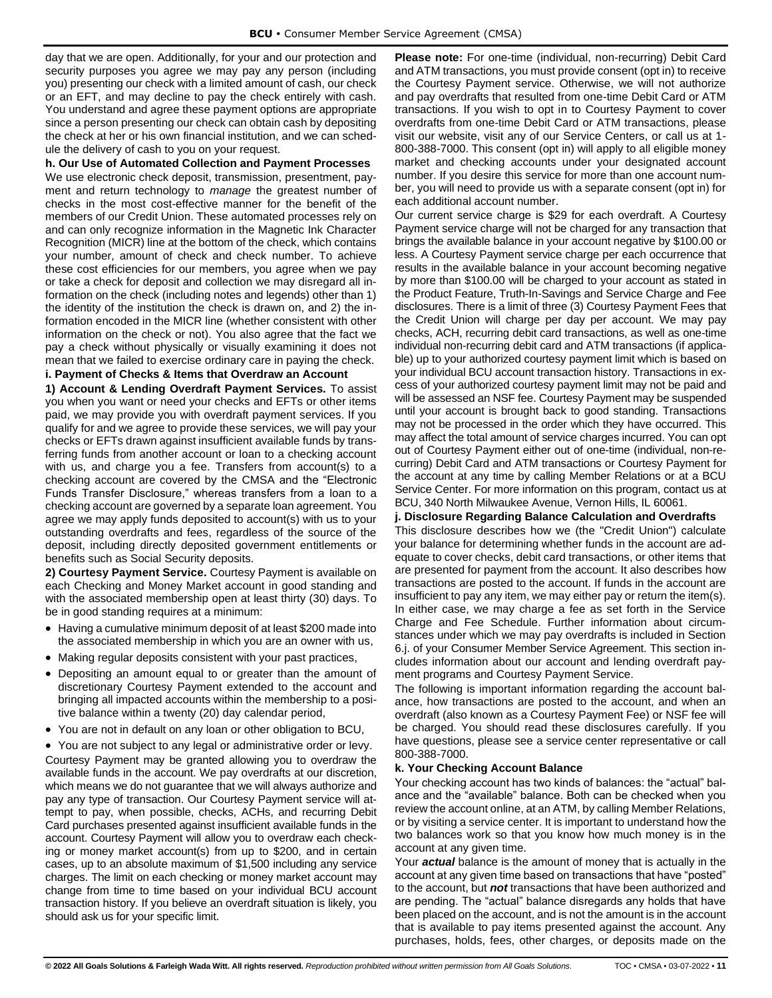day that we are open. Additionally, for your and our protection and security purposes you agree we may pay any person (including you) presenting our check with a limited amount of cash, our check or an EFT, and may decline to pay the check entirely with cash. You understand and agree these payment options are appropriate since a person presenting our check can obtain cash by depositing the check at her or his own financial institution, and we can schedule the delivery of cash to you on your request.

#### <span id="page-13-0"></span>**h. Our Use of Automated Collection and Payment Processes**

We use electronic check deposit, transmission, presentment, payment and return technology to *manage* the greatest number of checks in the most cost-effective manner for the benefit of the members of our Credit Union. These automated processes rely on and can only recognize information in the Magnetic Ink Character Recognition (MICR) line at the bottom of the check, which contains your number, amount of check and check number. To achieve these cost efficiencies for our members, you agree when we pay or take a check for deposit and collection we may disregard all information on the check (including notes and legends) other than 1) the identity of the institution the check is drawn on, and 2) the information encoded in the MICR line (whether consistent with other information on the check or not). You also agree that the fact we pay a check without physically or visually examining it does not mean that we failed to exercise ordinary care in paying the check.

## <span id="page-13-1"></span>**i. Payment of Checks & Items that Overdraw an Account**

**1) Account & Lending Overdraft Payment Services.** To assist you when you want or need your checks and EFTs or other items paid, we may provide you with overdraft payment services. If you qualify for and we agree to provide these services, we will pay your checks or EFTs drawn against insufficient available funds by transferring funds from another account or loan to a checking account with us, and charge you a fee. Transfers from account(s) to a checking account are covered by the CMSA and the "Electronic Funds Transfer Disclosure," whereas transfers from a loan to a checking account are governed by a separate loan agreement. You agree we may apply funds deposited to account(s) with us to your outstanding overdrafts and fees, regardless of the source of the deposit, including directly deposited government entitlements or benefits such as Social Security deposits.

**2) Courtesy Payment Service.** Courtesy Payment is available on each Checking and Money Market account in good standing and with the associated membership open at least thirty (30) days. To be in good standing requires at a minimum:

- Having a cumulative minimum deposit of at least \$200 made into the associated membership in which you are an owner with us,
- Making regular deposits consistent with your past practices,
- Depositing an amount equal to or greater than the amount of discretionary Courtesy Payment extended to the account and bringing all impacted accounts within the membership to a positive balance within a twenty (20) day calendar period,
- You are not in default on any loan or other obligation to BCU,

• You are not subject to any legal or administrative order or levy. Courtesy Payment may be granted allowing you to overdraw the available funds in the account. We pay overdrafts at our discretion, which means we do not guarantee that we will always authorize and pay any type of transaction. Our Courtesy Payment service will attempt to pay, when possible, checks, ACHs, and recurring Debit Card purchases presented against insufficient available funds in the account. Courtesy Payment will allow you to overdraw each checking or money market account(s) from up to \$200, and in certain cases, up to an absolute maximum of \$1,500 including any service charges. The limit on each checking or money market account may change from time to time based on your individual BCU account transaction history. If you believe an overdraft situation is likely, you should ask us for your specific limit.

**Please note:** For one-time (individual, non-recurring) Debit Card and ATM transactions, you must provide consent (opt in) to receive the Courtesy Payment service. Otherwise, we will not authorize and pay overdrafts that resulted from one-time Debit Card or ATM transactions. If you wish to opt in to Courtesy Payment to cover overdrafts from one-time Debit Card or ATM transactions, please visit our website, visit any of our Service Centers, or call us at 1- 800-388-7000. This consent (opt in) will apply to all eligible money market and checking accounts under your designated account number. If you desire this service for more than one account number, you will need to provide us with a separate consent (opt in) for each additional account number.

Our current service charge is \$29 for each overdraft. A Courtesy Payment service charge will not be charged for any transaction that brings the available balance in your account negative by \$100.00 or less. A Courtesy Payment service charge per each occurrence that results in the available balance in your account becoming negative by more than \$100.00 will be charged to your account as stated in the Product Feature, Truth-In-Savings and Service Charge and Fee disclosures. There is a limit of three (3) Courtesy Payment Fees that the Credit Union will charge per day per account. We may pay checks, ACH, recurring debit card transactions, as well as one-time individual non-recurring debit card and ATM transactions (if applicable) up to your authorized courtesy payment limit which is based on your individual BCU account transaction history. Transactions in excess of your authorized courtesy payment limit may not be paid and will be assessed an NSF fee. Courtesy Payment may be suspended until your account is brought back to good standing. Transactions may not be processed in the order which they have occurred. This may affect the total amount of service charges incurred. You can opt out of Courtesy Payment either out of one-time (individual, non-recurring) Debit Card and ATM transactions or Courtesy Payment for the account at any time by calling Member Relations or at a BCU Service Center. For more information on this program, contact us at BCU, 340 North Milwaukee Avenue, Vernon Hills, IL 60061.

#### <span id="page-13-2"></span>**j. Disclosure Regarding Balance Calculation and Overdrafts**

This disclosure describes how we (the "Credit Union") calculate your balance for determining whether funds in the account are adequate to cover checks, debit card transactions, or other items that are presented for payment from the account. It also describes how transactions are posted to the account. If funds in the account are insufficient to pay any item, we may either pay or return the item(s). In either case, we may charge a fee as set forth in the Service Charge and Fee Schedule. Further information about circumstances under which we may pay overdrafts is included in Section 6.j. of your Consumer Member Service Agreement. This section includes information about our account and lending overdraft payment programs and Courtesy Payment Service.

The following is important information regarding the account balance, how transactions are posted to the account, and when an overdraft (also known as a Courtesy Payment Fee) or NSF fee will be charged. You should read these disclosures carefully. If you have questions, please see a service center representative or call 800-388-7000.

#### <span id="page-13-3"></span>**k. Your Checking Account Balance**

Your checking account has two kinds of balances: the "actual" balance and the "available" balance. Both can be checked when you review the account online, at an ATM, by calling Member Relations, or by visiting a service center. It is important to understand how the two balances work so that you know how much money is in the account at any given time.

Your *actual* balance is the amount of money that is actually in the account at any given time based on transactions that have "posted" to the account, but *not* transactions that have been authorized and are pending. The "actual" balance disregards any holds that have been placed on the account, and is not the amount is in the account that is available to pay items presented against the account. Any purchases, holds, fees, other charges, or deposits made on the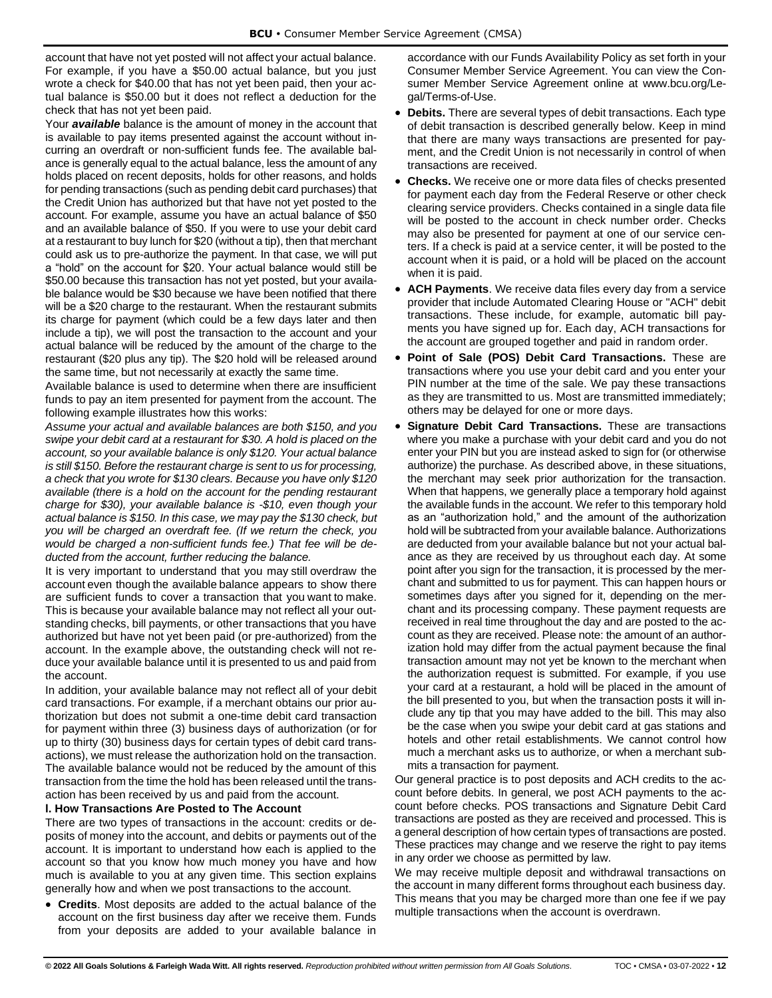account that have not yet posted will not affect your actual balance. For example, if you have a \$50.00 actual balance, but you just wrote a check for \$40.00 that has not yet been paid, then your actual balance is \$50.00 but it does not reflect a deduction for the check that has not yet been paid.

Your *available* balance is the amount of money in the account that is available to pay items presented against the account without incurring an overdraft or non-sufficient funds fee. The available balance is generally equal to the actual balance, less the amount of any holds placed on recent deposits, holds for other reasons, and holds for pending transactions (such as pending debit card purchases) that the Credit Union has authorized but that have not yet posted to the account. For example, assume you have an actual balance of \$50 and an available balance of \$50. If you were to use your debit card at a restaurant to buy lunch for \$20 (without a tip), then that merchant could ask us to pre-authorize the payment. In that case, we will put a "hold" on the account for \$20. Your actual balance would still be \$50.00 because this transaction has not yet posted, but your available balance would be \$30 because we have been notified that there will be a \$20 charge to the restaurant. When the restaurant submits its charge for payment (which could be a few days later and then include a tip), we will post the transaction to the account and your actual balance will be reduced by the amount of the charge to the restaurant (\$20 plus any tip). The \$20 hold will be released around the same time, but not necessarily at exactly the same time.

Available balance is used to determine when there are insufficient funds to pay an item presented for payment from the account. The following example illustrates how this works:

*Assume your actual and available balances are both \$150, and you swipe your debit card at a restaurant for \$30. A hold is placed on the account, so your available balance is only \$120. Your actual balance is still \$150. Before the restaurant charge is sent to us for processing, a check that you wrote for \$130 clears. Because you have only \$120 available (there is a hold on the account for the pending restaurant charge for \$30), your available balance is -\$10, even though your actual balance is \$150. In this case, we may pay the \$130 check, but you will be charged an overdraft fee. (If we return the check, you would be charged a non-sufficient funds fee.) That fee will be deducted from the account, further reducing the balance.* 

It is very important to understand that you may still overdraw the account even though the available balance appears to show there are sufficient funds to cover a transaction that you want to make. This is because your available balance may not reflect all your outstanding checks, bill payments, or other transactions that you have authorized but have not yet been paid (or pre-authorized) from the account. In the example above, the outstanding check will not reduce your available balance until it is presented to us and paid from the account.

In addition, your available balance may not reflect all of your debit card transactions. For example, if a merchant obtains our prior authorization but does not submit a one-time debit card transaction for payment within three (3) business days of authorization (or for up to thirty (30) business days for certain types of debit card transactions), we must release the authorization hold on the transaction. The available balance would not be reduced by the amount of this transaction from the time the hold has been released until the transaction has been received by us and paid from the account.

## <span id="page-14-0"></span>**l. How Transactions Are Posted to The Account**

There are two types of transactions in the account: credits or deposits of money into the account, and debits or payments out of the account. It is important to understand how each is applied to the account so that you know how much money you have and how much is available to you at any given time. This section explains generally how and when we post transactions to the account.

• **Credits**. Most deposits are added to the actual balance of the account on the first business day after we receive them. Funds from your deposits are added to your available balance in

accordance with our Funds Availability Policy as set forth in your Consumer Member Service Agreement. You can view the Consumer Member Service Agreement online at www.bcu.org/Legal/Terms-of-Use.

- **Debits.** There are several types of debit transactions. Each type of debit transaction is described generally below. Keep in mind that there are many ways transactions are presented for payment, and the Credit Union is not necessarily in control of when transactions are received.
- **Checks.** We receive one or more data files of checks presented for payment each day from the Federal Reserve or other check clearing service providers. Checks contained in a single data file will be posted to the account in check number order. Checks may also be presented for payment at one of our service centers. If a check is paid at a service center, it will be posted to the account when it is paid, or a hold will be placed on the account when it is paid.
- **ACH Payments**. We receive data files every day from a service provider that include Automated Clearing House or "ACH" debit transactions. These include, for example, automatic bill payments you have signed up for. Each day, ACH transactions for the account are grouped together and paid in random order.
- **Point of Sale (POS) Debit Card Transactions.** These are transactions where you use your debit card and you enter your PIN number at the time of the sale. We pay these transactions as they are transmitted to us. Most are transmitted immediately; others may be delayed for one or more days.
- **Signature Debit Card Transactions.** These are transactions where you make a purchase with your debit card and you do not enter your PIN but you are instead asked to sign for (or otherwise authorize) the purchase. As described above, in these situations, the merchant may seek prior authorization for the transaction. When that happens, we generally place a temporary hold against the available funds in the account. We refer to this temporary hold as an "authorization hold," and the amount of the authorization hold will be subtracted from your available balance. Authorizations are deducted from your available balance but not your actual balance as they are received by us throughout each day. At some point after you sign for the transaction, it is processed by the merchant and submitted to us for payment. This can happen hours or sometimes days after you signed for it, depending on the merchant and its processing company. These payment requests are received in real time throughout the day and are posted to the account as they are received. Please note: the amount of an authorization hold may differ from the actual payment because the final transaction amount may not yet be known to the merchant when the authorization request is submitted. For example, if you use your card at a restaurant, a hold will be placed in the amount of the bill presented to you, but when the transaction posts it will include any tip that you may have added to the bill. This may also be the case when you swipe your debit card at gas stations and hotels and other retail establishments. We cannot control how much a merchant asks us to authorize, or when a merchant submits a transaction for payment.

Our general practice is to post deposits and ACH credits to the account before debits. In general, we post ACH payments to the account before checks. POS transactions and Signature Debit Card transactions are posted as they are received and processed. This is a general description of how certain types of transactions are posted. These practices may change and we reserve the right to pay items in any order we choose as permitted by law.

We may receive multiple deposit and withdrawal transactions on the account in many different forms throughout each business day. This means that you may be charged more than one fee if we pay multiple transactions when the account is overdrawn.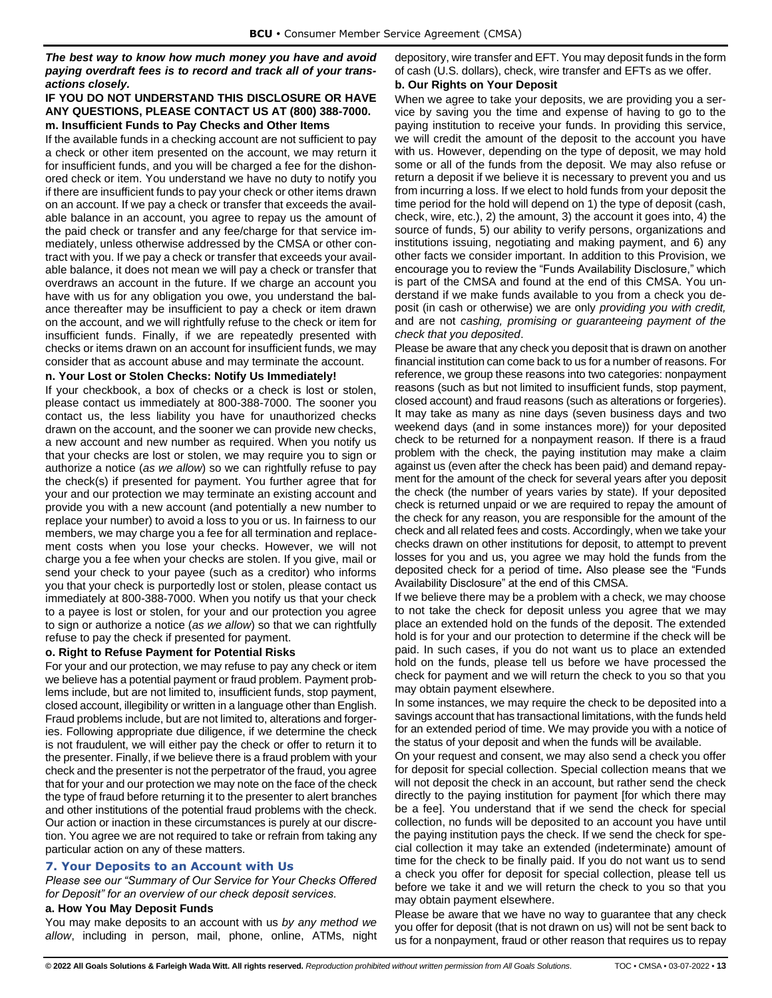*The best way to know how much money you have and avoid paying overdraft fees is to record and track all of your transactions closely.* 

## **IF YOU DO NOT UNDERSTAND THIS DISCLOSURE OR HAVE ANY QUESTIONS, PLEASE CONTACT US AT (800) 388-7000. m. Insufficient Funds to Pay Checks and Other Items**

<span id="page-15-0"></span>If the available funds in a checking account are not sufficient to pay a check or other item presented on the account, we may return it for insufficient funds, and you will be charged a fee for the dishonored check or item. You understand we have no duty to notify you if there are insufficient funds to pay your check or other items drawn on an account. If we pay a check or transfer that exceeds the available balance in an account, you agree to repay us the amount of the paid check or transfer and any fee/charge for that service immediately, unless otherwise addressed by the CMSA or other contract with you. If we pay a check or transfer that exceeds your available balance, it does not mean we will pay a check or transfer that overdraws an account in the future. If we charge an account you have with us for any obligation you owe, you understand the balance thereafter may be insufficient to pay a check or item drawn on the account, and we will rightfully refuse to the check or item for insufficient funds. Finally, if we are repeatedly presented with checks or items drawn on an account for insufficient funds, we may consider that as account abuse and may terminate the account.

### <span id="page-15-1"></span>**n. Your Lost or Stolen Checks: Notify Us Immediately!**

If your checkbook, a box of checks or a check is lost or stolen, please contact us immediately at 800-388-7000. The sooner you contact us, the less liability you have for unauthorized checks drawn on the account, and the sooner we can provide new checks, a new account and new number as required. When you notify us that your checks are lost or stolen, we may require you to sign or authorize a notice (*as we allow*) so we can rightfully refuse to pay the check(s) if presented for payment. You further agree that for your and our protection we may terminate an existing account and provide you with a new account (and potentially a new number to replace your number) to avoid a loss to you or us. In fairness to our members, we may charge you a fee for all termination and replacement costs when you lose your checks. However, we will not charge you a fee when your checks are stolen. If you give, mail or send your check to your payee (such as a creditor) who informs you that your check is purportedly lost or stolen, please contact us immediately at 800-388-7000. When you notify us that your check to a payee is lost or stolen, for your and our protection you agree to sign or authorize a notice (*as we allow*) so that we can rightfully refuse to pay the check if presented for payment.

## <span id="page-15-2"></span>**o. Right to Refuse Payment for Potential Risks**

For your and our protection, we may refuse to pay any check or item we believe has a potential payment or fraud problem. Payment problems include, but are not limited to, insufficient funds, stop payment, closed account, illegibility or written in a language other than English. Fraud problems include, but are not limited to, alterations and forgeries. Following appropriate due diligence, if we determine the check is not fraudulent, we will either pay the check or offer to return it to the presenter. Finally, if we believe there is a fraud problem with your check and the presenter is not the perpetrator of the fraud, you agree that for your and our protection we may note on the face of the check the type of fraud before returning it to the presenter to alert branches and other institutions of the potential fraud problems with the check. Our action or inaction in these circumstances is purely at our discretion. You agree we are not required to take or refrain from taking any particular action on any of these matters.

## <span id="page-15-3"></span>**7. Your Deposits to an Account with Us**

*Please see our "Summary of Our Service for Your Checks Offered for Deposit" for an overview of our check deposit services.*

## <span id="page-15-4"></span>**a. How You May Deposit Funds**

You may make deposits to an account with us *by any method we allow*, including in person, mail, phone, online, ATMs, night depository, wire transfer and EFT. You may deposit funds in the form of cash (U.S. dollars), check, wire transfer and EFTs as we offer.

## <span id="page-15-5"></span>**b. Our Rights on Your Deposit**

When we agree to take your deposits, we are providing you a service by saving you the time and expense of having to go to the paying institution to receive your funds. In providing this service, we will credit the amount of the deposit to the account you have with us. However, depending on the type of deposit, we may hold some or all of the funds from the deposit. We may also refuse or return a deposit if we believe it is necessary to prevent you and us from incurring a loss. If we elect to hold funds from your deposit the time period for the hold will depend on 1) the type of deposit (cash, check, wire, etc.), 2) the amount, 3) the account it goes into, 4) the source of funds, 5) our ability to verify persons, organizations and institutions issuing, negotiating and making payment, and 6) any other facts we consider important. In addition to this Provision, we encourage you to review the "Funds Availability Disclosure," which is part of the CMSA and found at the end of this CMSA. You understand if we make funds available to you from a check you deposit (in cash or otherwise) we are only *providing you with credit,*  and are not *cashing, promising or guaranteeing payment of the check that you deposited*.

Please be aware that any check you deposit that is drawn on another financial institution can come back to us for a number of reasons. For reference, we group these reasons into two categories: nonpayment reasons (such as but not limited to insufficient funds, stop payment, closed account) and fraud reasons (such as alterations or forgeries). It may take as many as nine days (seven business days and two weekend days (and in some instances more)) for your deposited check to be returned for a nonpayment reason. If there is a fraud problem with the check, the paying institution may make a claim against us (even after the check has been paid) and demand repayment for the amount of the check for several years after you deposit the check (the number of years varies by state). If your deposited check is returned unpaid or we are required to repay the amount of the check for any reason, you are responsible for the amount of the check and all related fees and costs. Accordingly, when we take your checks drawn on other institutions for deposit, to attempt to prevent losses for you and us, you agree we may hold the funds from the deposited check for a period of time**.** Also please see the "Funds Availability Disclosure" at the end of this CMSA.

If we believe there may be a problem with a check, we may choose to not take the check for deposit unless you agree that we may place an extended hold on the funds of the deposit. The extended hold is for your and our protection to determine if the check will be paid. In such cases, if you do not want us to place an extended hold on the funds, please tell us before we have processed the check for payment and we will return the check to you so that you may obtain payment elsewhere.

In some instances, we may require the check to be deposited into a savings account that has transactional limitations, with the funds held for an extended period of time. We may provide you with a notice of the status of your deposit and when the funds will be available.

On your request and consent, we may also send a check you offer for deposit for special collection. Special collection means that we will not deposit the check in an account, but rather send the check directly to the paying institution for payment [for which there may be a fee]. You understand that if we send the check for special collection, no funds will be deposited to an account you have until the paying institution pays the check. If we send the check for special collection it may take an extended (indeterminate) amount of time for the check to be finally paid. If you do not want us to send a check you offer for deposit for special collection, please tell us before we take it and we will return the check to you so that you may obtain payment elsewhere.

Please be aware that we have no way to guarantee that any check you offer for deposit (that is not drawn on us) will not be sent back to us for a nonpayment, fraud or other reason that requires us to repay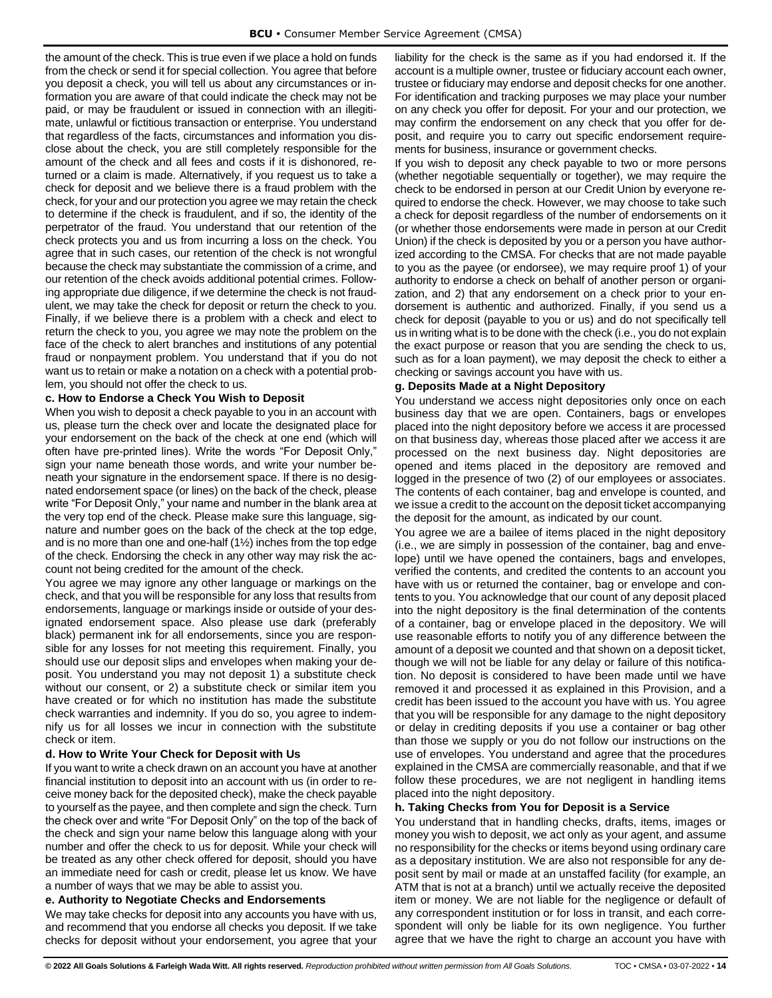the amount of the check. This is true even if we place a hold on funds from the check or send it for special collection. You agree that before you deposit a check, you will tell us about any circumstances or information you are aware of that could indicate the check may not be paid, or may be fraudulent or issued in connection with an illegitimate, unlawful or fictitious transaction or enterprise. You understand that regardless of the facts, circumstances and information you disclose about the check, you are still completely responsible for the amount of the check and all fees and costs if it is dishonored, returned or a claim is made. Alternatively, if you request us to take a check for deposit and we believe there is a fraud problem with the check, for your and our protection you agree we may retain the check to determine if the check is fraudulent, and if so, the identity of the perpetrator of the fraud. You understand that our retention of the check protects you and us from incurring a loss on the check. You agree that in such cases, our retention of the check is not wrongful because the check may substantiate the commission of a crime, and our retention of the check avoids additional potential crimes. Following appropriate due diligence, if we determine the check is not fraudulent, we may take the check for deposit or return the check to you. Finally, if we believe there is a problem with a check and elect to return the check to you, you agree we may note the problem on the face of the check to alert branches and institutions of any potential fraud or nonpayment problem. You understand that if you do not want us to retain or make a notation on a check with a potential problem, you should not offer the check to us.

#### <span id="page-16-0"></span>**c. How to Endorse a Check You Wish to Deposit**

When you wish to deposit a check payable to you in an account with us, please turn the check over and locate the designated place for your endorsement on the back of the check at one end (which will often have pre-printed lines). Write the words "For Deposit Only," sign your name beneath those words, and write your number beneath your signature in the endorsement space. If there is no designated endorsement space (or lines) on the back of the check, please write "For Deposit Only," your name and number in the blank area at the very top end of the check. Please make sure this language, signature and number goes on the back of the check at the top edge, and is no more than one and one-half (1½) inches from the top edge of the check. Endorsing the check in any other way may risk the account not being credited for the amount of the check.

You agree we may ignore any other language or markings on the check, and that you will be responsible for any loss that results from endorsements, language or markings inside or outside of your designated endorsement space. Also please use dark (preferably black) permanent ink for all endorsements, since you are responsible for any losses for not meeting this requirement. Finally, you should use our deposit slips and envelopes when making your deposit. You understand you may not deposit 1) a substitute check without our consent, or 2) a substitute check or similar item you have created or for which no institution has made the substitute check warranties and indemnity. If you do so, you agree to indemnify us for all losses we incur in connection with the substitute check or item.

#### <span id="page-16-1"></span>**d. How to Write Your Check for Deposit with Us**

If you want to write a check drawn on an account you have at another financial institution to deposit into an account with us (in order to receive money back for the deposited check), make the check payable to yourself as the payee, and then complete and sign the check. Turn the check over and write "For Deposit Only" on the top of the back of the check and sign your name below this language along with your number and offer the check to us for deposit. While your check will be treated as any other check offered for deposit, should you have an immediate need for cash or credit, please let us know. We have a number of ways that we may be able to assist you.

#### <span id="page-16-2"></span>**e. Authority to Negotiate Checks and Endorsements**

We may take checks for deposit into any accounts you have with us, and recommend that you endorse all checks you deposit. If we take checks for deposit without your endorsement, you agree that your liability for the check is the same as if you had endorsed it. If the account is a multiple owner, trustee or fiduciary account each owner, trustee or fiduciary may endorse and deposit checks for one another. For identification and tracking purposes we may place your number on any check you offer for deposit. For your and our protection, we may confirm the endorsement on any check that you offer for deposit, and require you to carry out specific endorsement requirements for business, insurance or government checks.

If you wish to deposit any check payable to two or more persons (whether negotiable sequentially or together), we may require the check to be endorsed in person at our Credit Union by everyone required to endorse the check. However, we may choose to take such a check for deposit regardless of the number of endorsements on it (or whether those endorsements were made in person at our Credit Union) if the check is deposited by you or a person you have authorized according to the CMSA. For checks that are not made payable to you as the payee (or endorsee), we may require proof 1) of your authority to endorse a check on behalf of another person or organization, and 2) that any endorsement on a check prior to your endorsement is authentic and authorized. Finally, if you send us a check for deposit (payable to you or us) and do not specifically tell us in writing what is to be done with the check (i.e., you do not explain the exact purpose or reason that you are sending the check to us, such as for a loan payment), we may deposit the check to either a checking or savings account you have with us.

#### <span id="page-16-3"></span>**g. Deposits Made at a Night Depository**

You understand we access night depositories only once on each business day that we are open. Containers, bags or envelopes placed into the night depository before we access it are processed on that business day, whereas those placed after we access it are processed on the next business day. Night depositories are opened and items placed in the depository are removed and logged in the presence of two (2) of our employees or associates. The contents of each container, bag and envelope is counted, and we issue a credit to the account on the deposit ticket accompanying the deposit for the amount, as indicated by our count.

You agree we are a bailee of items placed in the night depository (i.e., we are simply in possession of the container, bag and envelope) until we have opened the containers, bags and envelopes, verified the contents, and credited the contents to an account you have with us or returned the container, bag or envelope and contents to you. You acknowledge that our count of any deposit placed into the night depository is the final determination of the contents of a container, bag or envelope placed in the depository. We will use reasonable efforts to notify you of any difference between the amount of a deposit we counted and that shown on a deposit ticket, though we will not be liable for any delay or failure of this notification. No deposit is considered to have been made until we have removed it and processed it as explained in this Provision, and a credit has been issued to the account you have with us. You agree that you will be responsible for any damage to the night depository or delay in crediting deposits if you use a container or bag other than those we supply or you do not follow our instructions on the use of envelopes. You understand and agree that the procedures explained in the CMSA are commercially reasonable, and that if we follow these procedures, we are not negligent in handling items placed into the night depository.

#### <span id="page-16-4"></span>**h. Taking Checks from You for Deposit is a Service**

You understand that in handling checks, drafts, items, images or money you wish to deposit, we act only as your agent, and assume no responsibility for the checks or items beyond using ordinary care as a depositary institution. We are also not responsible for any deposit sent by mail or made at an unstaffed facility (for example, an ATM that is not at a branch) until we actually receive the deposited item or money. We are not liable for the negligence or default of any correspondent institution or for loss in transit, and each correspondent will only be liable for its own negligence. You further agree that we have the right to charge an account you have with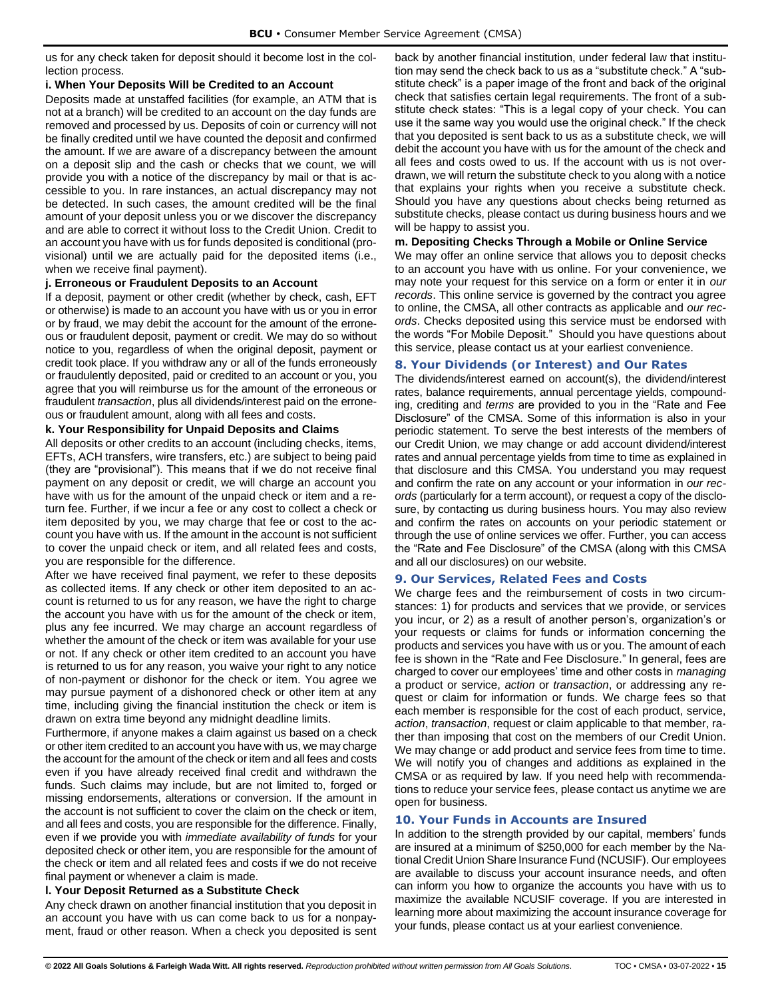us for any check taken for deposit should it become lost in the collection process.

### <span id="page-17-0"></span>**i. When Your Deposits Will be Credited to an Account**

Deposits made at unstaffed facilities (for example, an ATM that is not at a branch) will be credited to an account on the day funds are removed and processed by us. Deposits of coin or currency will not be finally credited until we have counted the deposit and confirmed the amount. If we are aware of a discrepancy between the amount on a deposit slip and the cash or checks that we count, we will provide you with a notice of the discrepancy by mail or that is accessible to you. In rare instances, an actual discrepancy may not be detected. In such cases, the amount credited will be the final amount of your deposit unless you or we discover the discrepancy and are able to correct it without loss to the Credit Union. Credit to an account you have with us for funds deposited is conditional (provisional) until we are actually paid for the deposited items (i.e., when we receive final payment).

## <span id="page-17-1"></span>**j. Erroneous or Fraudulent Deposits to an Account**

If a deposit, payment or other credit (whether by check, cash, EFT or otherwise) is made to an account you have with us or you in error or by fraud, we may debit the account for the amount of the erroneous or fraudulent deposit, payment or credit. We may do so without notice to you, regardless of when the original deposit, payment or credit took place. If you withdraw any or all of the funds erroneously or fraudulently deposited, paid or credited to an account or you, you agree that you will reimburse us for the amount of the erroneous or fraudulent *transaction*, plus all dividends/interest paid on the erroneous or fraudulent amount, along with all fees and costs.

#### <span id="page-17-2"></span>**k. Your Responsibility for Unpaid Deposits and Claims**

All deposits or other credits to an account (including checks, items, EFTs, ACH transfers, wire transfers, etc.) are subject to being paid (they are "provisional"). This means that if we do not receive final payment on any deposit or credit, we will charge an account you have with us for the amount of the unpaid check or item and a return fee. Further, if we incur a fee or any cost to collect a check or item deposited by you, we may charge that fee or cost to the account you have with us. If the amount in the account is not sufficient to cover the unpaid check or item, and all related fees and costs, you are responsible for the difference.

After we have received final payment, we refer to these deposits as collected items. If any check or other item deposited to an account is returned to us for any reason, we have the right to charge the account you have with us for the amount of the check or item, plus any fee incurred. We may charge an account regardless of whether the amount of the check or item was available for your use or not. If any check or other item credited to an account you have is returned to us for any reason, you waive your right to any notice of non-payment or dishonor for the check or item. You agree we may pursue payment of a dishonored check or other item at any time, including giving the financial institution the check or item is drawn on extra time beyond any midnight deadline limits.

Furthermore, if anyone makes a claim against us based on a check or other item credited to an account you have with us, we may charge the account for the amount of the check or item and all fees and costs even if you have already received final credit and withdrawn the funds. Such claims may include, but are not limited to, forged or missing endorsements, alterations or conversion. If the amount in the account is not sufficient to cover the claim on the check or item, and all fees and costs, you are responsible for the difference. Finally, even if we provide you with *immediate availability of funds* for your deposited check or other item, you are responsible for the amount of the check or item and all related fees and costs if we do not receive final payment or whenever a claim is made.

## <span id="page-17-3"></span>**l. Your Deposit Returned as a Substitute Check**

Any check drawn on another financial institution that you deposit in an account you have with us can come back to us for a nonpayment, fraud or other reason. When a check you deposited is sent back by another financial institution, under federal law that institution may send the check back to us as a "substitute check." A "substitute check" is a paper image of the front and back of the original check that satisfies certain legal requirements. The front of a substitute check states: "This is a legal copy of your check. You can use it the same way you would use the original check." If the check that you deposited is sent back to us as a substitute check, we will debit the account you have with us for the amount of the check and all fees and costs owed to us. If the account with us is not overdrawn, we will return the substitute check to you along with a notice that explains your rights when you receive a substitute check. Should you have any questions about checks being returned as substitute checks, please contact us during business hours and we will be happy to assist you.

#### <span id="page-17-4"></span>**m. Depositing Checks Through a Mobile or Online Service**

We may offer an online service that allows you to deposit checks to an account you have with us online. For your convenience, we may note your request for this service on a form or enter it in *our records*. This online service is governed by the contract you agree to online, the CMSA, all other contracts as applicable and *our records*. Checks deposited using this service must be endorsed with the words "For Mobile Deposit." Should you have questions about this service, please contact us at your earliest convenience.

## <span id="page-17-5"></span>**8. Your Dividends (or Interest) and Our Rates**

The dividends/interest earned on account(s), the dividend/interest rates, balance requirements, annual percentage yields, compounding, crediting and *terms* are provided to you in the "Rate and Fee Disclosure" of the CMSA. Some of this information is also in your periodic statement. To serve the best interests of the members of our Credit Union, we may change or add account dividend/interest rates and annual percentage yields from time to time as explained in that disclosure and this CMSA. You understand you may request and confirm the rate on any account or your information in *our records* (particularly for a term account), or request a copy of the disclosure, by contacting us during business hours. You may also review and confirm the rates on accounts on your periodic statement or through the use of online services we offer. Further, you can access the "Rate and Fee Disclosure" of the CMSA (along with this CMSA and all our disclosures) on our website.

## <span id="page-17-6"></span>**9. Our Services, Related Fees and Costs**

We charge fees and the reimbursement of costs in two circumstances: 1) for products and services that we provide, or services you incur, or 2) as a result of another person's, organization's or your requests or claims for funds or information concerning the products and services you have with us or you. The amount of each fee is shown in the "Rate and Fee Disclosure." In general, fees are charged to cover our employees' time and other costs in *managing* a product or service, *action* or *transaction*, or addressing any request or claim for information or funds. We charge fees so that each member is responsible for the cost of each product, service, *action*, *transaction*, request or claim applicable to that member, rather than imposing that cost on the members of our Credit Union. We may change or add product and service fees from time to time. We will notify you of changes and additions as explained in the CMSA or as required by law. If you need help with recommendations to reduce your service fees, please contact us anytime we are open for business.

## <span id="page-17-7"></span>**10. Your Funds in Accounts are Insured**

In addition to the strength provided by our capital, members' funds are insured at a minimum of \$250,000 for each member by the National Credit Union Share Insurance Fund (NCUSIF). Our employees are available to discuss your account insurance needs, and often can inform you how to organize the accounts you have with us to maximize the available NCUSIF coverage. If you are interested in learning more about maximizing the account insurance coverage for your funds, please contact us at your earliest convenience.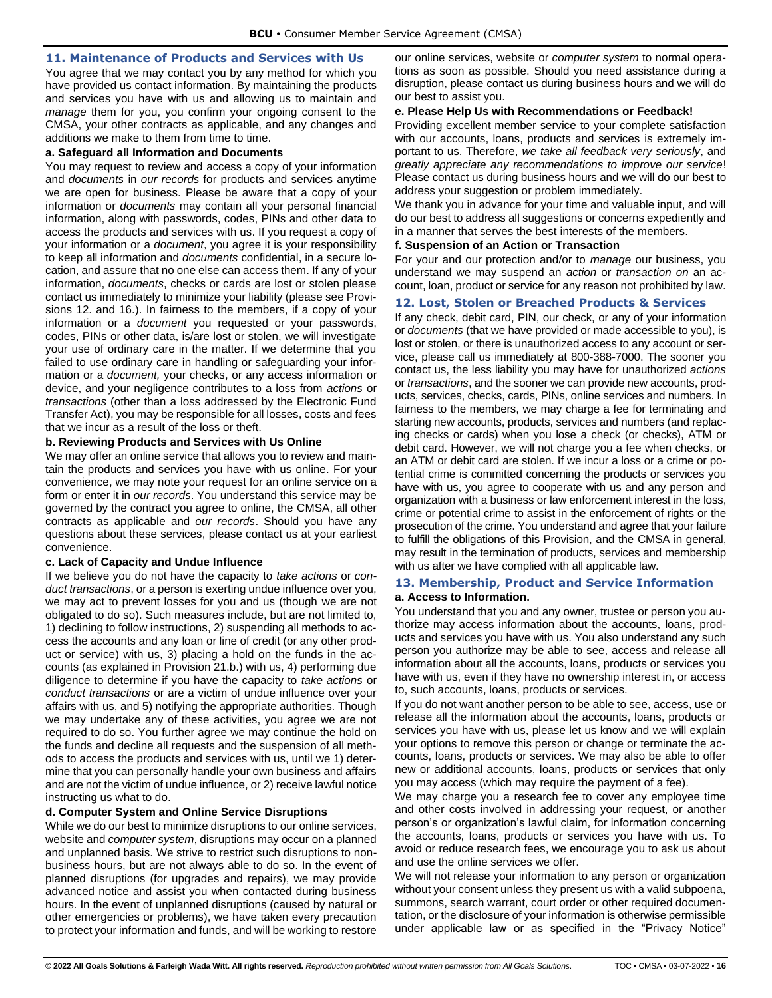### <span id="page-18-0"></span>**11. Maintenance of Products and Services with Us**

You agree that we may contact you by any method for which you have provided us contact information. By maintaining the products and services you have with us and allowing us to maintain and *manage* them for you, you confirm your ongoing consent to the CMSA, your other contracts as applicable, and any changes and additions we make to them from time to time.

#### <span id="page-18-1"></span>**a. Safeguard all Information and Documents**

You may request to review and access a copy of your information and *documents* in *our records* for products and services anytime we are open for business. Please be aware that a copy of your information or *documents* may contain all your personal financial information, along with passwords, codes, PINs and other data to access the products and services with us. If you request a copy of your information or a *document*, you agree it is your responsibility to keep all information and *documents* confidential, in a secure location, and assure that no one else can access them. If any of your information, *documents*, checks or cards are lost or stolen please contact us immediately to minimize your liability (please see Provisions 12. and 16.). In fairness to the members, if a copy of your information or a *document* you requested or your passwords, codes, PINs or other data, is/are lost or stolen, we will investigate your use of ordinary care in the matter. If we determine that you failed to use ordinary care in handling or safeguarding your information or a *document,* your checks, or any access information or device, and your negligence contributes to a loss from *actions* or *transactions* (other than a loss addressed by the Electronic Fund Transfer Act), you may be responsible for all losses, costs and fees that we incur as a result of the loss or theft.

#### <span id="page-18-2"></span>**b. Reviewing Products and Services with Us Online**

We may offer an online service that allows you to review and maintain the products and services you have with us online. For your convenience, we may note your request for an online service on a form or enter it in *our records*. You understand this service may be governed by the contract you agree to online, the CMSA, all other contracts as applicable and *our records*. Should you have any questions about these services, please contact us at your earliest convenience.

#### <span id="page-18-3"></span>**c. Lack of Capacity and Undue Influence**

If we believe you do not have the capacity to *take actions* or *conduct transactions*, or a person is exerting undue influence over you, we may act to prevent losses for you and us (though we are not obligated to do so). Such measures include, but are not limited to, 1) declining to follow instructions, 2) suspending all methods to access the accounts and any loan or line of credit (or any other product or service) with us, 3) placing a hold on the funds in the accounts (as explained in Provision 21.b.) with us, 4) performing due diligence to determine if you have the capacity to *take actions* or *conduct transactions* or are a victim of undue influence over your affairs with us, and 5) notifying the appropriate authorities. Though we may undertake any of these activities, you agree we are not required to do so. You further agree we may continue the hold on the funds and decline all requests and the suspension of all methods to access the products and services with us, until we 1) determine that you can personally handle your own business and affairs and are not the victim of undue influence, or 2) receive lawful notice instructing us what to do.

## <span id="page-18-4"></span>**d. Computer System and Online Service Disruptions**

While we do our best to minimize disruptions to our online services, website and *computer system*, disruptions may occur on a planned and unplanned basis. We strive to restrict such disruptions to nonbusiness hours, but are not always able to do so. In the event of planned disruptions (for upgrades and repairs), we may provide advanced notice and assist you when contacted during business hours. In the event of unplanned disruptions (caused by natural or other emergencies or problems), we have taken every precaution to protect your information and funds, and will be working to restore

our online services, website or *computer system* to normal operations as soon as possible. Should you need assistance during a disruption, please contact us during business hours and we will do our best to assist you.

#### <span id="page-18-5"></span>**e. Please Help Us with Recommendations or Feedback!**

Providing excellent member service to your complete satisfaction with our accounts, loans, products and services is extremely important to us. Therefore, *we take all feedback very seriously*, and *greatly appreciate any recommendations to improve our service*! Please contact us during business hours and we will do our best to address your suggestion or problem immediately.

We thank you in advance for your time and valuable input, and will do our best to address all suggestions or concerns expediently and in a manner that serves the best interests of the members.

#### <span id="page-18-6"></span>**f. Suspension of an Action or Transaction**

For your and our protection and/or to *manage* our business, you understand we may suspend an *action* or *transaction on* an account, loan, product or service for any reason not prohibited by law.

#### <span id="page-18-7"></span>**12. Lost, Stolen or Breached Products & Services**

If any check, debit card, PIN, our check, or any of your information or *documents* (that we have provided or made accessible to you), is lost or stolen, or there is unauthorized access to any account or service, please call us immediately at 800-388-7000. The sooner you contact us, the less liability you may have for unauthorized *actions* or *transactions*, and the sooner we can provide new accounts, products, services, checks, cards, PINs, online services and numbers. In fairness to the members, we may charge a fee for terminating and starting new accounts, products, services and numbers (and replacing checks or cards) when you lose a check (or checks), ATM or debit card. However, we will not charge you a fee when checks, or an ATM or debit card are stolen. If we incur a loss or a crime or potential crime is committed concerning the products or services you have with us, you agree to cooperate with us and any person and organization with a business or law enforcement interest in the loss, crime or potential crime to assist in the enforcement of rights or the prosecution of the crime. You understand and agree that your failure to fulfill the obligations of this Provision, and the CMSA in general, may result in the termination of products, services and membership with us after we have complied with all applicable law.

### <span id="page-18-9"></span><span id="page-18-8"></span>**13. Membership, Product and Service Information a. Access to Information.**

You understand that you and any owner, trustee or person you authorize may access information about the accounts, loans, products and services you have with us. You also understand any such person you authorize may be able to see, access and release all information about all the accounts, loans, products or services you have with us, even if they have no ownership interest in, or access to, such accounts, loans, products or services.

If you do not want another person to be able to see, access, use or release all the information about the accounts, loans, products or services you have with us, please let us know and we will explain your options to remove this person or change or terminate the accounts, loans, products or services. We may also be able to offer new or additional accounts, loans, products or services that only you may access (which may require the payment of a fee).

We may charge you a research fee to cover any employee time and other costs involved in addressing your request, or another person's or organization's lawful claim, for information concerning the accounts, loans, products or services you have with us. To avoid or reduce research fees, we encourage you to ask us about and use the online services we offer.

We will not release your information to any person or organization without your consent unless they present us with a valid subpoena, summons, search warrant, court order or other required documentation, or the disclosure of your information is otherwise permissible under applicable law or as specified in the "Privacy Notice"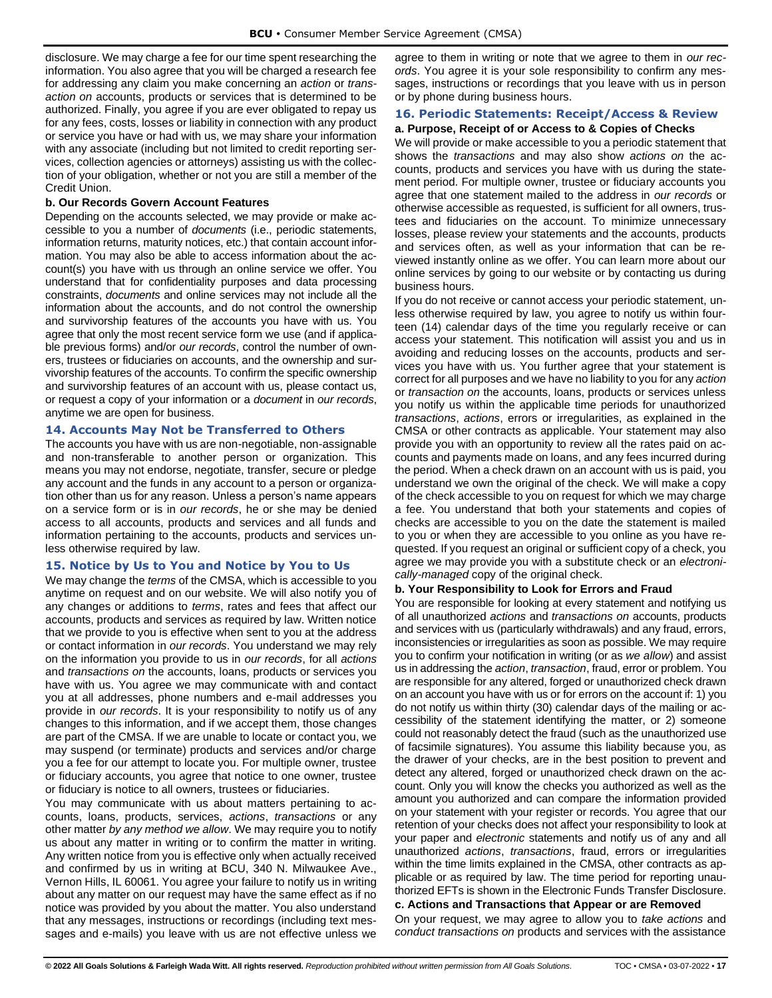disclosure. We may charge a fee for our time spent researching the information. You also agree that you will be charged a research fee for addressing any claim you make concerning an *action* or *transaction on* accounts, products or services that is determined to be authorized. Finally, you agree if you are ever obligated to repay us for any fees, costs, losses or liability in connection with any product or service you have or had with us, we may share your information with any associate (including but not limited to credit reporting services, collection agencies or attorneys) assisting us with the collection of your obligation, whether or not you are still a member of the Credit Union.

#### <span id="page-19-0"></span>**b. Our Records Govern Account Features**

Depending on the accounts selected, we may provide or make accessible to you a number of *documents* (i.e., periodic statements, information returns, maturity notices, etc.) that contain account information. You may also be able to access information about the account(s) you have with us through an online service we offer. You understand that for confidentiality purposes and data processing constraints, *documents* and online services may not include all the information about the accounts, and do not control the ownership and survivorship features of the accounts you have with us. You agree that only the most recent service form we use (and if applicable previous forms) and/or *our records*, control the number of owners, trustees or fiduciaries on accounts, and the ownership and survivorship features of the accounts. To confirm the specific ownership and survivorship features of an account with us, please contact us, or request a copy of your information or a *document* in *our records*, anytime we are open for business.

## <span id="page-19-1"></span>**14. Accounts May Not be Transferred to Others**

The accounts you have with us are non-negotiable, non-assignable and non-transferable to another person or organization. This means you may not endorse, negotiate, transfer, secure or pledge any account and the funds in any account to a person or organization other than us for any reason. Unless a person's name appears on a service form or is in *our records*, he or she may be denied access to all accounts, products and services and all funds and information pertaining to the accounts, products and services unless otherwise required by law.

## <span id="page-19-2"></span>**15. Notice by Us to You and Notice by You to Us**

We may change the *terms* of the CMSA, which is accessible to you anytime on request and on our website. We will also notify you of any changes or additions to *terms*, rates and fees that affect our accounts, products and services as required by law. Written notice that we provide to you is effective when sent to you at the address or contact information in *our records*. You understand we may rely on the information you provide to us in *our records*, for all *actions* and *transactions on* the accounts, loans, products or services you have with us. You agree we may communicate with and contact you at all addresses, phone numbers and e-mail addresses you provide in *our records*. It is your responsibility to notify us of any changes to this information, and if we accept them, those changes are part of the CMSA. If we are unable to locate or contact you, we may suspend (or terminate) products and services and/or charge you a fee for our attempt to locate you. For multiple owner, trustee or fiduciary accounts, you agree that notice to one owner, trustee or fiduciary is notice to all owners, trustees or fiduciaries.

You may communicate with us about matters pertaining to accounts, loans, products, services, *actions*, *transactions* or any other matter *by any method we allow*. We may require you to notify us about any matter in writing or to confirm the matter in writing. Any written notice from you is effective only when actually received and confirmed by us in writing at BCU, 340 N. Milwaukee Ave., Vernon Hills, IL 60061. You agree your failure to notify us in writing about any matter on our request may have the same effect as if no notice was provided by you about the matter. You also understand that any messages, instructions or recordings (including text messages and e-mails) you leave with us are not effective unless we

agree to them in writing or note that we agree to them in *our records*. You agree it is your sole responsibility to confirm any messages, instructions or recordings that you leave with us in person or by phone during business hours.

## <span id="page-19-3"></span>**16. Periodic Statements: Receipt/Access & Review**

## <span id="page-19-4"></span>**a. Purpose, Receipt of or Access to & Copies of Checks**

We will provide or make accessible to you a periodic statement that shows the *transactions* and may also show *actions on* the accounts, products and services you have with us during the statement period. For multiple owner, trustee or fiduciary accounts you agree that one statement mailed to the address in *our records* or otherwise accessible as requested, is sufficient for all owners, trustees and fiduciaries on the account. To minimize unnecessary losses, please review your statements and the accounts, products and services often, as well as your information that can be reviewed instantly online as we offer. You can learn more about our online services by going to our website or by contacting us during business hours.

If you do not receive or cannot access your periodic statement, unless otherwise required by law, you agree to notify us within fourteen (14) calendar days of the time you regularly receive or can access your statement. This notification will assist you and us in avoiding and reducing losses on the accounts, products and services you have with us. You further agree that your statement is correct for all purposes and we have no liability to you for any *action* or *transaction on* the accounts, loans, products or services unless you notify us within the applicable time periods for unauthorized *transactions*, *actions*, errors or irregularities, as explained in the CMSA or other contracts as applicable. Your statement may also provide you with an opportunity to review all the rates paid on accounts and payments made on loans, and any fees incurred during the period. When a check drawn on an account with us is paid, you understand we own the original of the check. We will make a copy of the check accessible to you on request for which we may charge a fee. You understand that both your statements and copies of checks are accessible to you on the date the statement is mailed to you or when they are accessible to you online as you have requested. If you request an original or sufficient copy of a check, you agree we may provide you with a substitute check or an *electronically-managed* copy of the original check.

## <span id="page-19-5"></span>**b. Your Responsibility to Look for Errors and Fraud**

You are responsible for looking at every statement and notifying us of all unauthorized *actions* and *transactions on* accounts, products and services with us (particularly withdrawals) and any fraud, errors, inconsistencies or irregularities as soon as possible. We may require you to confirm your notification in writing (or as *we allow*) and assist us in addressing the *action*, *transaction*, fraud, error or problem. You are responsible for any altered, forged or unauthorized check drawn on an account you have with us or for errors on the account if: 1) you do not notify us within thirty (30) calendar days of the mailing or accessibility of the statement identifying the matter, or 2) someone could not reasonably detect the fraud (such as the unauthorized use of facsimile signatures). You assume this liability because you, as the drawer of your checks, are in the best position to prevent and detect any altered, forged or unauthorized check drawn on the account. Only you will know the checks you authorized as well as the amount you authorized and can compare the information provided on your statement with your register or records. You agree that our retention of your checks does not affect your responsibility to look at your paper and *electronic* statements and notify us of any and all unauthorized *actions*, *transactions*, fraud, errors or irregularities within the time limits explained in the CMSA, other contracts as applicable or as required by law. The time period for reporting unauthorized EFTs is shown in the Electronic Funds Transfer Disclosure.

<span id="page-19-6"></span>**c. Actions and Transactions that Appear or are Removed** On your request, we may agree to allow you to *take actions* and *conduct transactions on* products and services with the assistance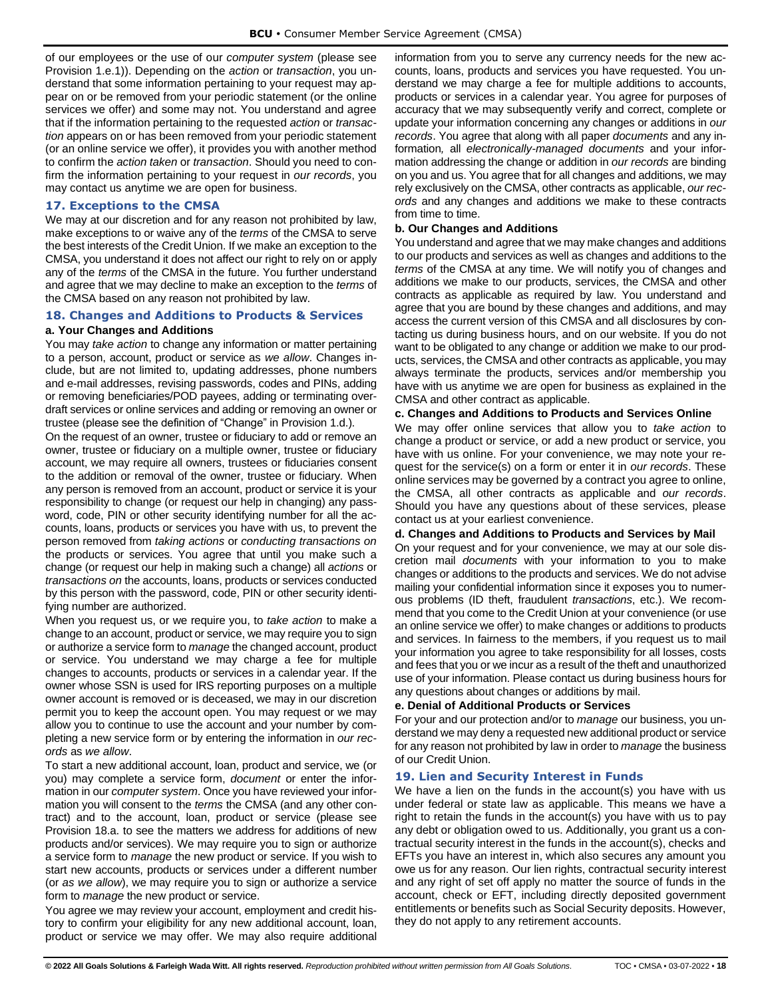of our employees or the use of our *computer system* (please see Provision 1.e.1)). Depending on the *action* or *transaction*, you understand that some information pertaining to your request may appear on or be removed from your periodic statement (or the online services we offer) and some may not. You understand and agree that if the information pertaining to the requested *action* or *transaction* appears on or has been removed from your periodic statement (or an online service we offer), it provides you with another method to confirm the *action taken* or *transaction*. Should you need to confirm the information pertaining to your request in *our records*, you may contact us anytime we are open for business.

#### <span id="page-20-0"></span>**17. Exceptions to the CMSA**

We may at our discretion and for any reason not prohibited by law, make exceptions to or waive any of the *terms* of the CMSA to serve the best interests of the Credit Union. If we make an exception to the CMSA, you understand it does not affect our right to rely on or apply any of the *terms* of the CMSA in the future. You further understand and agree that we may decline to make an exception to the *terms* of the CMSA based on any reason not prohibited by law.

#### <span id="page-20-1"></span>**18. Changes and Additions to Products & Services**

### <span id="page-20-2"></span>**a. Your Changes and Additions**

You may *take action* to change any information or matter pertaining to a person, account, product or service as *we allow*. Changes include, but are not limited to, updating addresses, phone numbers and e-mail addresses, revising passwords, codes and PINs, adding or removing beneficiaries/POD payees, adding or terminating overdraft services or online services and adding or removing an owner or trustee (please see the definition of "Change" in Provision 1.d.).

On the request of an owner, trustee or fiduciary to add or remove an owner, trustee or fiduciary on a multiple owner, trustee or fiduciary account, we may require all owners, trustees or fiduciaries consent to the addition or removal of the owner, trustee or fiduciary*.* When any person is removed from an account, product or service it is your responsibility to change (or request our help in changing) any password, code, PIN or other security identifying number for all the accounts, loans, products or services you have with us, to prevent the person removed from *taking actions* or *conducting transactions on* the products or services. You agree that until you make such a change (or request our help in making such a change) all *actions* or *transactions on* the accounts, loans, products or services conducted by this person with the password, code, PIN or other security identifying number are authorized.

When you request us, or we require you, to *take action* to make a change to an account, product or service, we may require you to sign or authorize a service form to *manage* the changed account, product or service. You understand we may charge a fee for multiple changes to accounts, products or services in a calendar year. If the owner whose SSN is used for IRS reporting purposes on a multiple owner account is removed or is deceased, we may in our discretion permit you to keep the account open. You may request or we may allow you to continue to use the account and your number by completing a new service form or by entering the information in *our records* as *we allow*.

To start a new additional account, loan, product and service, we (or you) may complete a service form, *document* or enter the information in our *computer system*. Once you have reviewed your information you will consent to the *terms* the CMSA (and any other contract) and to the account, loan, product or service (please see Provision 18.a. to see the matters we address for additions of new products and/or services). We may require you to sign or authorize a service form to *manage* the new product or service. If you wish to start new accounts, products or services under a different number (or *as we allow*), we may require you to sign or authorize a service form to *manage* the new product or service.

You agree we may review your account, employment and credit history to confirm your eligibility for any new additional account, loan, product or service we may offer. We may also require additional information from you to serve any currency needs for the new accounts, loans, products and services you have requested. You understand we may charge a fee for multiple additions to accounts, products or services in a calendar year. You agree for purposes of accuracy that we may subsequently verify and correct, complete or update your information concerning any changes or additions in *our records*. You agree that along with all paper *documents* and any information*,* all *electronically-managed documents* and your information addressing the change or addition in *our records* are binding on you and us. You agree that for all changes and additions, we may rely exclusively on the CMSA, other contracts as applicable, *our records* and any changes and additions we make to these contracts from time to time.

#### <span id="page-20-3"></span>**b. Our Changes and Additions**

You understand and agree that we may make changes and additions to our products and services as well as changes and additions to the *terms* of the CMSA at any time. We will notify you of changes and additions we make to our products, services, the CMSA and other contracts as applicable as required by law. You understand and agree that you are bound by these changes and additions, and may access the current version of this CMSA and all disclosures by contacting us during business hours, and on our website. If you do not want to be obligated to any change or addition we make to our products, services, the CMSA and other contracts as applicable, you may always terminate the products, services and/or membership you have with us anytime we are open for business as explained in the CMSA and other contract as applicable.

### <span id="page-20-4"></span>**c. Changes and Additions to Products and Services Online**

We may offer online services that allow you to *take action* to change a product or service, or add a new product or service, you have with us online. For your convenience, we may note your request for the service(s) on a form or enter it in *our records*. These online services may be governed by a contract you agree to online, the CMSA, all other contracts as applicable and *our records*. Should you have any questions about of these services, please contact us at your earliest convenience.

#### <span id="page-20-5"></span>**d. Changes and Additions to Products and Services by Mail**

On your request and for your convenience, we may at our sole discretion mail *documents* with your information to you to make changes or additions to the products and services. We do not advise mailing your confidential information since it exposes you to numerous problems (ID theft, fraudulent *transactions*, etc.). We recommend that you come to the Credit Union at your convenience (or use an online service we offer) to make changes or additions to products and services. In fairness to the members, if you request us to mail your information you agree to take responsibility for all losses, costs and fees that you or we incur as a result of the theft and unauthorized use of your information. Please contact us during business hours for any questions about changes or additions by mail.

## <span id="page-20-6"></span>**e. Denial of Additional Products or Services**

For your and our protection and/or to *manage* our business, you understand we may deny a requested new additional product or service for any reason not prohibited by law in order to *manage* the business of our Credit Union.

#### <span id="page-20-7"></span>**19. Lien and Security Interest in Funds**

We have a lien on the funds in the account(s) you have with us under federal or state law as applicable. This means we have a right to retain the funds in the account(s) you have with us to pay any debt or obligation owed to us. Additionally, you grant us a contractual security interest in the funds in the account(s), checks and EFTs you have an interest in, which also secures any amount you owe us for any reason. Our lien rights, contractual security interest and any right of set off apply no matter the source of funds in the account, check or EFT, including directly deposited government entitlements or benefits such as Social Security deposits. However, they do not apply to any retirement accounts.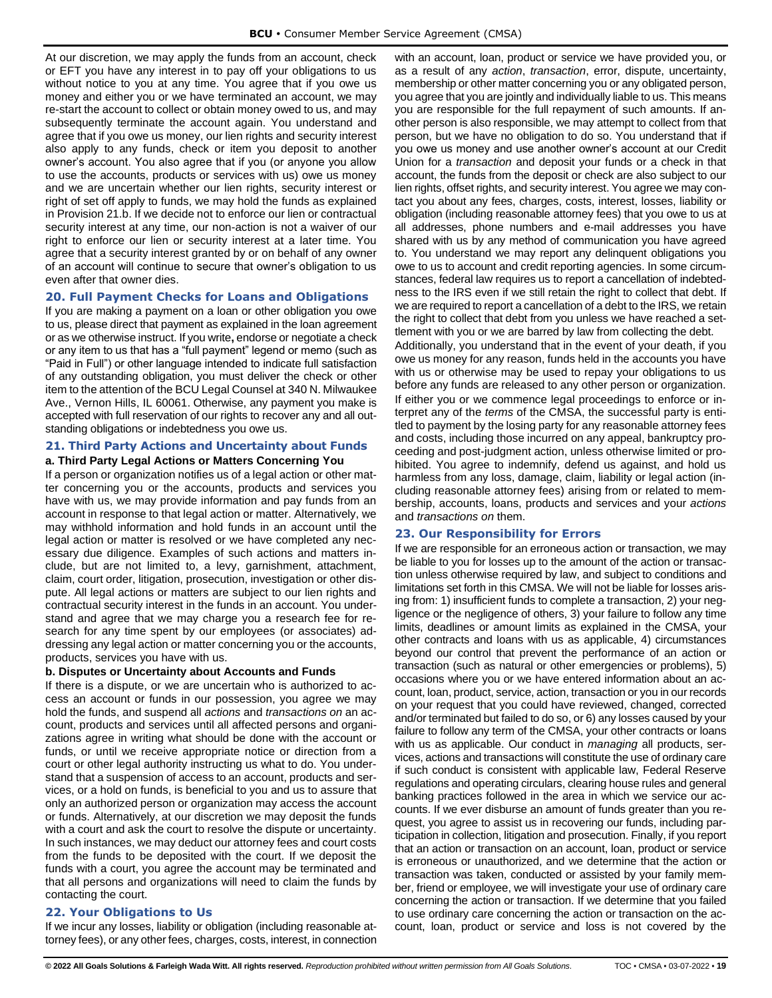At our discretion, we may apply the funds from an account, check or EFT you have any interest in to pay off your obligations to us without notice to you at any time. You agree that if you owe us money and either you or we have terminated an account, we may re-start the account to collect or obtain money owed to us, and may subsequently terminate the account again. You understand and agree that if you owe us money, our lien rights and security interest also apply to any funds, check or item you deposit to another owner's account. You also agree that if you (or anyone you allow to use the accounts, products or services with us) owe us money and we are uncertain whether our lien rights, security interest or right of set off apply to funds, we may hold the funds as explained in Provision 21.b. If we decide not to enforce our lien or contractual security interest at any time, our non-action is not a waiver of our right to enforce our lien or security interest at a later time. You agree that a security interest granted by or on behalf of any owner of an account will continue to secure that owner's obligation to us even after that owner dies.

## <span id="page-21-0"></span>**20. Full Payment Checks for Loans and Obligations**

If you are making a payment on a loan or other obligation you owe to us, please direct that payment as explained in the loan agreement or as we otherwise instruct. If you write**,** endorse or negotiate a check or any item to us that has a "full payment" legend or memo (such as "Paid in Full") or other language intended to indicate full satisfaction of any outstanding obligation, you must deliver the check or other item to the attention of the BCU Legal Counsel at 340 N. Milwaukee Ave., Vernon Hills, IL 60061. Otherwise, any payment you make is accepted with full reservation of our rights to recover any and all outstanding obligations or indebtedness you owe us.

## <span id="page-21-1"></span>**21. Third Party Actions and Uncertainty about Funds**

#### <span id="page-21-2"></span>**a. Third Party Legal Actions or Matters Concerning You**

If a person or organization notifies us of a legal action or other matter concerning you or the accounts, products and services you have with us, we may provide information and pay funds from an account in response to that legal action or matter. Alternatively, we may withhold information and hold funds in an account until the legal action or matter is resolved or we have completed any necessary due diligence. Examples of such actions and matters include, but are not limited to, a levy, garnishment, attachment, claim, court order, litigation, prosecution, investigation or other dispute. All legal actions or matters are subject to our lien rights and contractual security interest in the funds in an account. You understand and agree that we may charge you a research fee for research for any time spent by our employees (or associates) addressing any legal action or matter concerning you or the accounts, products, services you have with us.

#### <span id="page-21-3"></span>**b. Disputes or Uncertainty about Accounts and Funds**

If there is a dispute, or we are uncertain who is authorized to access an account or funds in our possession, you agree we may hold the funds, and suspend all *actions* and *transactions on* an account, products and services until all affected persons and organizations agree in writing what should be done with the account or funds, or until we receive appropriate notice or direction from a court or other legal authority instructing us what to do. You understand that a suspension of access to an account, products and services, or a hold on funds, is beneficial to you and us to assure that only an authorized person or organization may access the account or funds. Alternatively, at our discretion we may deposit the funds with a court and ask the court to resolve the dispute or uncertainty. In such instances, we may deduct our attorney fees and court costs from the funds to be deposited with the court. If we deposit the funds with a court, you agree the account may be terminated and that all persons and organizations will need to claim the funds by contacting the court.

## <span id="page-21-4"></span>**22. Your Obligations to Us**

If we incur any losses, liability or obligation (including reasonable attorney fees), or any other fees, charges, costs, interest, in connection with an account, loan, product or service we have provided you, or as a result of any *action*, *transaction*, error, dispute, uncertainty, membership or other matter concerning you or any obligated person, you agree that you are jointly and individually liable to us. This means you are responsible for the full repayment of such amounts. If another person is also responsible, we may attempt to collect from that person, but we have no obligation to do so. You understand that if you owe us money and use another owner's account at our Credit Union for a *transaction* and deposit your funds or a check in that account, the funds from the deposit or check are also subject to our lien rights, offset rights, and security interest. You agree we may contact you about any fees, charges, costs, interest, losses, liability or obligation (including reasonable attorney fees) that you owe to us at all addresses, phone numbers and e-mail addresses you have shared with us by any method of communication you have agreed to. You understand we may report any delinquent obligations you owe to us to account and credit reporting agencies. In some circumstances, federal law requires us to report a cancellation of indebtedness to the IRS even if we still retain the right to collect that debt. If we are required to report a cancellation of a debt to the IRS, we retain the right to collect that debt from you unless we have reached a settlement with you or we are barred by law from collecting the debt.

Additionally, you understand that in the event of your death, if you owe us money for any reason, funds held in the accounts you have with us or otherwise may be used to repay your obligations to us before any funds are released to any other person or organization. If either you or we commence legal proceedings to enforce or interpret any of the *terms* of the CMSA, the successful party is entitled to payment by the losing party for any reasonable attorney fees and costs, including those incurred on any appeal, bankruptcy proceeding and post-judgment action, unless otherwise limited or prohibited. You agree to indemnify, defend us against, and hold us harmless from any loss, damage, claim, liability or legal action (including reasonable attorney fees) arising from or related to membership, accounts, loans, products and services and your *actions* and *transactions on* them.

## <span id="page-21-5"></span>**23. Our Responsibility for Errors**

If we are responsible for an erroneous action or transaction, we may be liable to you for losses up to the amount of the action or transaction unless otherwise required by law, and subject to conditions and limitations set forth in this CMSA. We will not be liable for losses arising from: 1) insufficient funds to complete a transaction, 2) your negligence or the negligence of others, 3) your failure to follow any time limits, deadlines or amount limits as explained in the CMSA, your other contracts and loans with us as applicable, 4) circumstances beyond our control that prevent the performance of an action or transaction (such as natural or other emergencies or problems), 5) occasions where you or we have entered information about an account, loan, product, service, action, transaction or you in our records on your request that you could have reviewed, changed, corrected and/or terminated but failed to do so, or 6) any losses caused by your failure to follow any term of the CMSA, your other contracts or loans with us as applicable. Our conduct in *managing* all products, services, actions and transactions will constitute the use of ordinary care if such conduct is consistent with applicable law, Federal Reserve regulations and operating circulars, clearing house rules and general banking practices followed in the area in which we service our accounts. If we ever disburse an amount of funds greater than you request, you agree to assist us in recovering our funds, including participation in collection, litigation and prosecution. Finally, if you report that an action or transaction on an account, loan, product or service is erroneous or unauthorized, and we determine that the action or transaction was taken, conducted or assisted by your family member, friend or employee, we will investigate your use of ordinary care concerning the action or transaction. If we determine that you failed to use ordinary care concerning the action or transaction on the account, loan, product or service and loss is not covered by the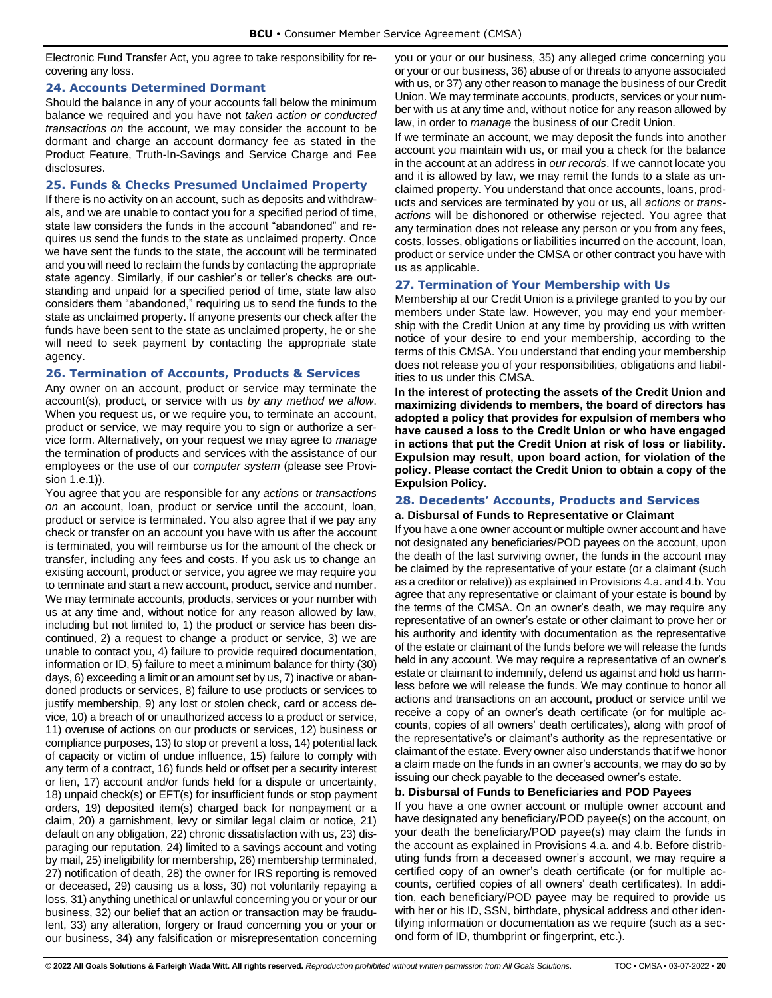Electronic Fund Transfer Act, you agree to take responsibility for recovering any loss.

#### <span id="page-22-0"></span>**24. Accounts Determined Dormant**

Should the balance in any of your accounts fall below the minimum balance we required and you have not *taken action or conducted transactions on* the account*,* we may consider the account to be dormant and charge an account dormancy fee as stated in the Product Feature, Truth-In-Savings and Service Charge and Fee disclosures.

#### <span id="page-22-1"></span>**25. Funds & Checks Presumed Unclaimed Property**

If there is no activity on an account, such as deposits and withdrawals, and we are unable to contact you for a specified period of time, state law considers the funds in the account "abandoned" and requires us send the funds to the state as unclaimed property. Once we have sent the funds to the state, the account will be terminated and you will need to reclaim the funds by contacting the appropriate state agency. Similarly, if our cashier's or teller's checks are outstanding and unpaid for a specified period of time, state law also considers them "abandoned," requiring us to send the funds to the state as unclaimed property. If anyone presents our check after the funds have been sent to the state as unclaimed property, he or she will need to seek payment by contacting the appropriate state agency.

## <span id="page-22-2"></span>**26. Termination of Accounts, Products & Services**

Any owner on an account, product or service may terminate the account(s), product, or service with us *by any method we allow*. When you request us, or we require you, to terminate an account, product or service, we may require you to sign or authorize a service form. Alternatively, on your request we may agree to *manage* the termination of products and services with the assistance of our employees or the use of our *computer system* (please see Provision 1.e.1)).

You agree that you are responsible for any *actions* or *transactions on* an account, loan, product or service until the account, loan, product or service is terminated. You also agree that if we pay any check or transfer on an account you have with us after the account is terminated, you will reimburse us for the amount of the check or transfer, including any fees and costs. If you ask us to change an existing account, product or service, you agree we may require you to terminate and start a new account, product, service and number. We may terminate accounts, products, services or your number with us at any time and, without notice for any reason allowed by law, including but not limited to, 1) the product or service has been discontinued, 2) a request to change a product or service, 3) we are unable to contact you, 4) failure to provide required documentation, information or ID, 5) failure to meet a minimum balance for thirty (30) days, 6) exceeding a limit or an amount set by us, 7) inactive or abandoned products or services, 8) failure to use products or services to justify membership, 9) any lost or stolen check, card or access device, 10) a breach of or unauthorized access to a product or service, 11) overuse of actions on our products or services, 12) business or compliance purposes, 13) to stop or prevent a loss, 14) potential lack of capacity or victim of undue influence, 15) failure to comply with any term of a contract, 16) funds held or offset per a security interest or lien, 17) account and/or funds held for a dispute or uncertainty, 18) unpaid check(s) or EFT(s) for insufficient funds or stop payment orders, 19) deposited item(s) charged back for nonpayment or a claim, 20) a garnishment, levy or similar legal claim or notice, 21) default on any obligation, 22) chronic dissatisfaction with us, 23) disparaging our reputation, 24) limited to a savings account and voting by mail, 25) ineligibility for membership, 26) membership terminated, 27) notification of death, 28) the owner for IRS reporting is removed or deceased, 29) causing us a loss, 30) not voluntarily repaying a loss, 31) anything unethical or unlawful concerning you or your or our business, 32) our belief that an action or transaction may be fraudulent, 33) any alteration, forgery or fraud concerning you or your or our business, 34) any falsification or misrepresentation concerning

you or your or our business, 35) any alleged crime concerning you or your or our business, 36) abuse of or threats to anyone associated with us, or 37) any other reason to manage the business of our Credit Union. We may terminate accounts, products, services or your number with us at any time and, without notice for any reason allowed by law, in order to *manage* the business of our Credit Union.

If we terminate an account, we may deposit the funds into another account you maintain with us, or mail you a check for the balance in the account at an address in *our records*. If we cannot locate you and it is allowed by law, we may remit the funds to a state as unclaimed property. You understand that once accounts, loans, products and services are terminated by you or us, all *actions* or *transactions* will be dishonored or otherwise rejected. You agree that any termination does not release any person or you from any fees, costs, losses, obligations or liabilities incurred on the account, loan, product or service under the CMSA or other contract you have with us as applicable.

## <span id="page-22-3"></span>**27. Termination of Your Membership with Us**

Membership at our Credit Union is a privilege granted to you by our members under State law. However, you may end your membership with the Credit Union at any time by providing us with written notice of your desire to end your membership, according to the terms of this CMSA. You understand that ending your membership does not release you of your responsibilities, obligations and liabilities to us under this CMSA.

**In the interest of protecting the assets of the Credit Union and maximizing dividends to members, the board of directors has adopted a policy that provides for expulsion of members who have caused a loss to the Credit Union or who have engaged in actions that put the Credit Union at risk of loss or liability. Expulsion may result, upon board action, for violation of the policy. Please contact the Credit Union to obtain a copy of the Expulsion Policy.**

## <span id="page-22-4"></span>**28. Decedents' Accounts, Products and Services**

## <span id="page-22-5"></span>**a. Disbursal of Funds to Representative or Claimant**

If you have a one owner account or multiple owner account and have not designated any beneficiaries/POD payees on the account, upon the death of the last surviving owner, the funds in the account may be claimed by the representative of your estate (or a claimant (such as a creditor or relative)) as explained in Provisions 4.a. and 4.b. You agree that any representative or claimant of your estate is bound by the terms of the CMSA. On an owner's death, we may require any representative of an owner's estate or other claimant to prove her or his authority and identity with documentation as the representative of the estate or claimant of the funds before we will release the funds held in any account. We may require a representative of an owner's estate or claimant to indemnify, defend us against and hold us harmless before we will release the funds. We may continue to honor all actions and transactions on an account, product or service until we receive a copy of an owner's death certificate (or for multiple accounts, copies of all owners' death certificates), along with proof of the representative's or claimant's authority as the representative or claimant of the estate. Every owner also understands that if we honor a claim made on the funds in an owner's accounts, we may do so by issuing our check payable to the deceased owner's estate.

#### <span id="page-22-6"></span>**b. Disbursal of Funds to Beneficiaries and POD Payees**

If you have a one owner account or multiple owner account and have designated any beneficiary/POD payee(s) on the account, on your death the beneficiary/POD payee(s) may claim the funds in the account as explained in Provisions 4.a. and 4.b. Before distributing funds from a deceased owner's account, we may require a certified copy of an owner's death certificate (or for multiple accounts, certified copies of all owners' death certificates). In addition, each beneficiary/POD payee may be required to provide us with her or his ID, SSN, birthdate, physical address and other identifying information or documentation as we require (such as a second form of ID, thumbprint or fingerprint, etc.).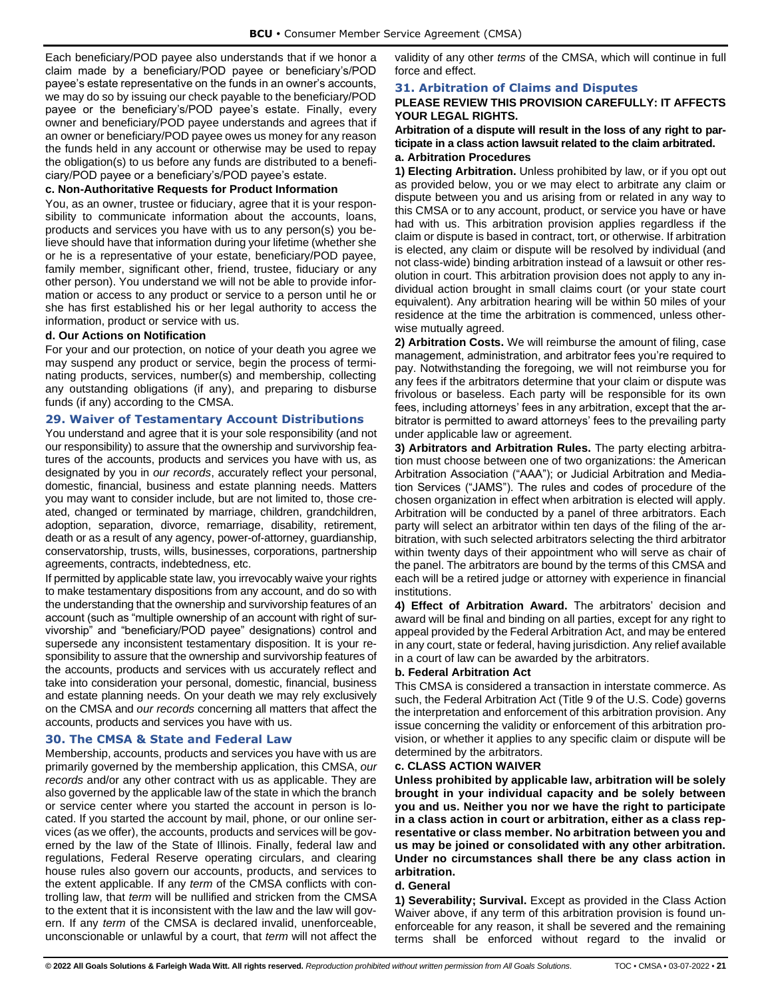Each beneficiary/POD payee also understands that if we honor a claim made by a beneficiary/POD payee or beneficiary's/POD payee's estate representative on the funds in an owner's accounts, we may do so by issuing our check payable to the beneficiary/POD payee or the beneficiary's/POD payee's estate. Finally, every owner and beneficiary/POD payee understands and agrees that if an owner or beneficiary/POD payee owes us money for any reason the funds held in any account or otherwise may be used to repay the obligation(s) to us before any funds are distributed to a beneficiary/POD payee or a beneficiary's/POD payee's estate.

#### <span id="page-23-0"></span>**c. Non-Authoritative Requests for Product Information**

You, as an owner, trustee or fiduciary, agree that it is your responsibility to communicate information about the accounts, loans, products and services you have with us to any person(s) you believe should have that information during your lifetime (whether she or he is a representative of your estate, beneficiary/POD payee, family member, significant other, friend, trustee, fiduciary or any other person). You understand we will not be able to provide information or access to any product or service to a person until he or she has first established his or her legal authority to access the information, product or service with us.

#### <span id="page-23-1"></span>**d. Our Actions on Notification**

For your and our protection, on notice of your death you agree we may suspend any product or service, begin the process of terminating products, services, number(s) and membership, collecting any outstanding obligations (if any), and preparing to disburse funds (if any) according to the CMSA.

## <span id="page-23-2"></span>**29. Waiver of Testamentary Account Distributions**

You understand and agree that it is your sole responsibility (and not our responsibility) to assure that the ownership and survivorship features of the accounts, products and services you have with us, as designated by you in *our records*, accurately reflect your personal, domestic, financial, business and estate planning needs. Matters you may want to consider include, but are not limited to, those created, changed or terminated by marriage, children, grandchildren, adoption, separation, divorce, remarriage, disability, retirement, death or as a result of any agency, power-of-attorney, guardianship, conservatorship, trusts, wills, businesses, corporations, partnership agreements, contracts, indebtedness, etc.

If permitted by applicable state law, you irrevocably waive your rights to make testamentary dispositions from any account, and do so with the understanding that the ownership and survivorship features of an account (such as "multiple ownership of an account with right of survivorship" and "beneficiary/POD payee" designations) control and supersede any inconsistent testamentary disposition. It is your responsibility to assure that the ownership and survivorship features of the accounts, products and services with us accurately reflect and take into consideration your personal, domestic, financial, business and estate planning needs. On your death we may rely exclusively on the CMSA and *our records* concerning all matters that affect the accounts, products and services you have with us.

## <span id="page-23-3"></span>**30. The CMSA & State and Federal Law**

Membership, accounts, products and services you have with us are primarily governed by the membership application, this CMSA, *our records* and/or any other contract with us as applicable. They are also governed by the applicable law of the state in which the branch or service center where you started the account in person is located. If you started the account by mail, phone, or our online services (as we offer), the accounts, products and services will be governed by the law of the State of Illinois. Finally, federal law and regulations, Federal Reserve operating circulars, and clearing house rules also govern our accounts, products, and services to the extent applicable. If any *term* of the CMSA conflicts with controlling law, that *term* will be nullified and stricken from the CMSA to the extent that it is inconsistent with the law and the law will govern. If any *term* of the CMSA is declared invalid, unenforceable, unconscionable or unlawful by a court, that *term* will not affect the validity of any other *terms* of the CMSA, which will continue in full force and effect.

#### <span id="page-23-4"></span>**31. Arbitration of Claims and Disputes**

## **PLEASE REVIEW THIS PROVISION CAREFULLY: IT AFFECTS YOUR LEGAL RIGHTS.**

#### **Arbitration of a dispute will result in the loss of any right to participate in a class action lawsuit related to the claim arbitrated. a. Arbitration Procedures**

<span id="page-23-5"></span>**1) Electing Arbitration.** Unless prohibited by law, or if you opt out as provided below, you or we may elect to arbitrate any claim or dispute between you and us arising from or related in any way to this CMSA or to any account, product, or service you have or have had with us. This arbitration provision applies regardless if the claim or dispute is based in contract, tort, or otherwise. If arbitration is elected, any claim or dispute will be resolved by individual (and not class-wide) binding arbitration instead of a lawsuit or other resolution in court. This arbitration provision does not apply to any individual action brought in small claims court (or your state court equivalent). Any arbitration hearing will be within 50 miles of your residence at the time the arbitration is commenced, unless otherwise mutually agreed.

**2) Arbitration Costs.** We will reimburse the amount of filing, case management, administration, and arbitrator fees you're required to pay. Notwithstanding the foregoing, we will not reimburse you for any fees if the arbitrators determine that your claim or dispute was frivolous or baseless. Each party will be responsible for its own fees, including attorneys' fees in any arbitration, except that the arbitrator is permitted to award attorneys' fees to the prevailing party under applicable law or agreement.

**3) Arbitrators and Arbitration Rules.** The party electing arbitration must choose between one of two organizations: the American Arbitration Association ("AAA"); or Judicial Arbitration and Mediation Services ("JAMS"). The rules and codes of procedure of the chosen organization in effect when arbitration is elected will apply. Arbitration will be conducted by a panel of three arbitrators. Each party will select an arbitrator within ten days of the filing of the arbitration, with such selected arbitrators selecting the third arbitrator within twenty days of their appointment who will serve as chair of the panel. The arbitrators are bound by the terms of this CMSA and each will be a retired judge or attorney with experience in financial institutions.

**4) Effect of Arbitration Award.** The arbitrators' decision and award will be final and binding on all parties, except for any right to appeal provided by the Federal Arbitration Act, and may be entered in any court, state or federal, having jurisdiction. Any relief available in a court of law can be awarded by the arbitrators.

#### <span id="page-23-6"></span>**b. Federal Arbitration Act**

This CMSA is considered a transaction in interstate commerce. As such, the Federal Arbitration Act (Title 9 of the U.S. Code) governs the interpretation and enforcement of this arbitration provision. Any issue concerning the validity or enforcement of this arbitration provision, or whether it applies to any specific claim or dispute will be determined by the arbitrators.

#### <span id="page-23-7"></span>**c. CLASS ACTION WAIVER**

**Unless prohibited by applicable law, arbitration will be solely brought in your individual capacity and be solely between you and us. Neither you nor we have the right to participate in a class action in court or arbitration, either as a class representative or class member. No arbitration between you and us may be joined or consolidated with any other arbitration. Under no circumstances shall there be any class action in arbitration.**

#### <span id="page-23-8"></span>**d. General**

**1) Severability; Survival.** Except as provided in the Class Action Waiver above, if any term of this arbitration provision is found unenforceable for any reason, it shall be severed and the remaining terms shall be enforced without regard to the invalid or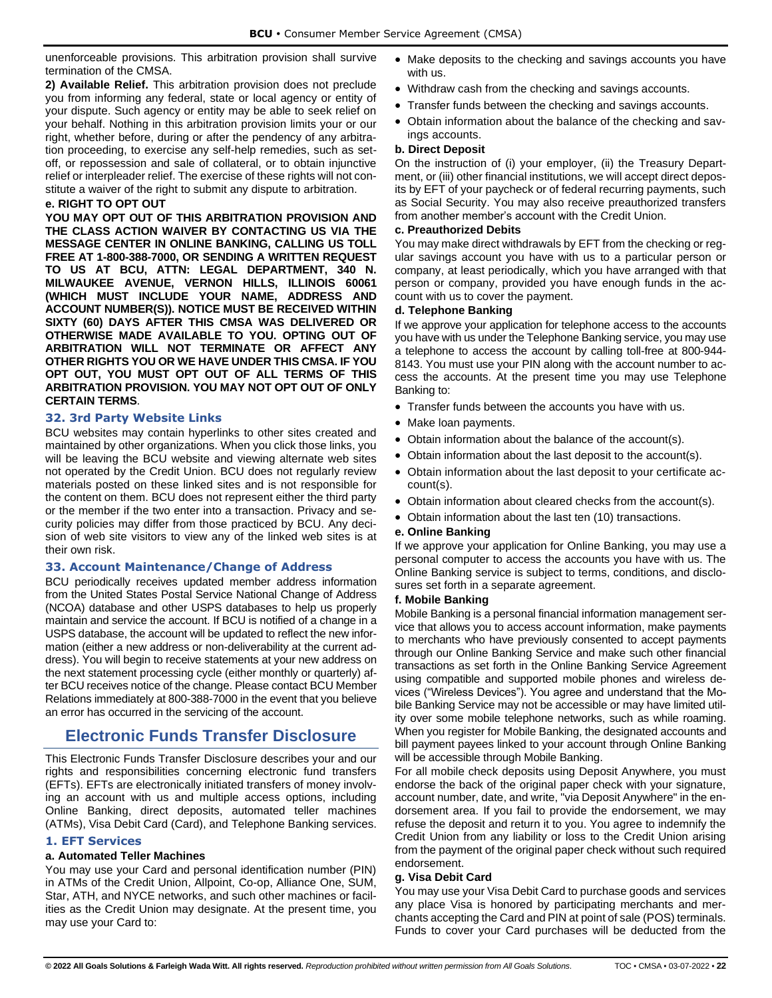unenforceable provisions. This arbitration provision shall survive termination of the CMSA.

**2) Available Relief.** This arbitration provision does not preclude you from informing any federal, state or local agency or entity of your dispute. Such agency or entity may be able to seek relief on your behalf. Nothing in this arbitration provision limits your or our right, whether before, during or after the pendency of any arbitration proceeding, to exercise any self-help remedies, such as setoff, or repossession and sale of collateral, or to obtain injunctive relief or interpleader relief. The exercise of these rights will not constitute a waiver of the right to submit any dispute to arbitration.

## <span id="page-24-0"></span>**e. RIGHT TO OPT OUT**

**YOU MAY OPT OUT OF THIS ARBITRATION PROVISION AND THE CLASS ACTION WAIVER BY CONTACTING US VIA THE MESSAGE CENTER IN ONLINE BANKING, CALLING US TOLL FREE AT 1-800-388-7000, OR SENDING A WRITTEN REQUEST TO US AT BCU, ATTN: LEGAL DEPARTMENT, 340 N. MILWAUKEE AVENUE, VERNON HILLS, ILLINOIS 60061 (WHICH MUST INCLUDE YOUR NAME, ADDRESS AND ACCOUNT NUMBER(S)). NOTICE MUST BE RECEIVED WITHIN SIXTY (60) DAYS AFTER THIS CMSA WAS DELIVERED OR OTHERWISE MADE AVAILABLE TO YOU. OPTING OUT OF ARBITRATION WILL NOT TERMINATE OR AFFECT ANY OTHER RIGHTS YOU OR WE HAVE UNDER THIS CMSA. IF YOU OPT OUT, YOU MUST OPT OUT OF ALL TERMS OF THIS ARBITRATION PROVISION. YOU MAY NOT OPT OUT OF ONLY CERTAIN TERMS**.

#### <span id="page-24-1"></span>**32. 3rd Party Website Links**

BCU websites may contain hyperlinks to other sites created and maintained by other organizations. When you click those links, you will be leaving the BCU website and viewing alternate web sites not operated by the Credit Union. BCU does not regularly review materials posted on these linked sites and is not responsible for the content on them. BCU does not represent either the third party or the member if the two enter into a transaction. Privacy and security policies may differ from those practiced by BCU. Any decision of web site visitors to view any of the linked web sites is at their own risk.

#### <span id="page-24-2"></span>**33. Account Maintenance/Change of Address**

BCU periodically receives updated member address information from the United States Postal Service National Change of Address (NCOA) database and other USPS databases to help us properly maintain and service the account. If BCU is notified of a change in a USPS database, the account will be updated to reflect the new information (either a new address or non-deliverability at the current address). You will begin to receive statements at your new address on the next statement processing cycle (either monthly or quarterly) after BCU receives notice of the change. Please contact BCU Member Relations immediately at 800-388-7000 in the event that you believe an error has occurred in the servicing of the account.

## <span id="page-24-3"></span>**Electronic Funds Transfer Disclosure**

This Electronic Funds Transfer Disclosure describes your and our rights and responsibilities concerning electronic fund transfers (EFTs). EFTs are electronically initiated transfers of money involving an account with us and multiple access options, including Online Banking, direct deposits, automated teller machines (ATMs), Visa Debit Card (Card), and Telephone Banking services.

## <span id="page-24-4"></span>**1. EFT Services**

## <span id="page-24-5"></span>**a. Automated Teller Machines**

You may use your Card and personal identification number (PIN) in ATMs of the Credit Union, Allpoint, Co-op, Alliance One, SUM, Star, ATH, and NYCE networks, and such other machines or facilities as the Credit Union may designate. At the present time, you may use your Card to:

- Make deposits to the checking and savings accounts you have with us.
- Withdraw cash from the checking and savings accounts.
- Transfer funds between the checking and savings accounts.
- Obtain information about the balance of the checking and savings accounts.

#### <span id="page-24-6"></span>**b. Direct Deposit**

On the instruction of (i) your employer, (ii) the Treasury Department, or (iii) other financial institutions, we will accept direct deposits by EFT of your paycheck or of federal recurring payments, such as Social Security. You may also receive preauthorized transfers from another member's account with the Credit Union.

#### <span id="page-24-7"></span>**c. Preauthorized Debits**

You may make direct withdrawals by EFT from the checking or regular savings account you have with us to a particular person or company, at least periodically, which you have arranged with that person or company, provided you have enough funds in the account with us to cover the payment.

#### <span id="page-24-8"></span>**d. Telephone Banking**

If we approve your application for telephone access to the accounts you have with us under the Telephone Banking service, you may use a telephone to access the account by calling toll-free at 800-944- 8143. You must use your PIN along with the account number to access the accounts. At the present time you may use Telephone Banking to:

- Transfer funds between the accounts you have with us.
- Make loan payments.
- Obtain information about the balance of the account(s).
- Obtain information about the last deposit to the account(s).
- Obtain information about the last deposit to your certificate account(s).
- Obtain information about cleared checks from the account(s).
- Obtain information about the last ten (10) transactions.

#### <span id="page-24-9"></span>**e. Online Banking**

If we approve your application for Online Banking, you may use a personal computer to access the accounts you have with us. The Online Banking service is subject to terms, conditions, and disclosures set forth in a separate agreement.

#### <span id="page-24-10"></span>**f. Mobile Banking**

Mobile Banking is a personal financial information management service that allows you to access account information, make payments to merchants who have previously consented to accept payments through our Online Banking Service and make such other financial transactions as set forth in the Online Banking Service Agreement using compatible and supported mobile phones and wireless devices ("Wireless Devices"). You agree and understand that the Mobile Banking Service may not be accessible or may have limited utility over some mobile telephone networks, such as while roaming. When you register for Mobile Banking, the designated accounts and bill payment payees linked to your account through Online Banking will be accessible through Mobile Banking.

For all mobile check deposits using Deposit Anywhere, you must endorse the back of the original paper check with your signature, account number, date, and write, "via Deposit Anywhere" in the endorsement area. If you fail to provide the endorsement, we may refuse the deposit and return it to you. You agree to indemnify the Credit Union from any liability or loss to the Credit Union arising from the payment of the original paper check without such required endorsement.

#### <span id="page-24-11"></span>**g. Visa Debit Card**

You may use your Visa Debit Card to purchase goods and services any place Visa is honored by participating merchants and merchants accepting the Card and PIN at point of sale (POS) terminals. Funds to cover your Card purchases will be deducted from the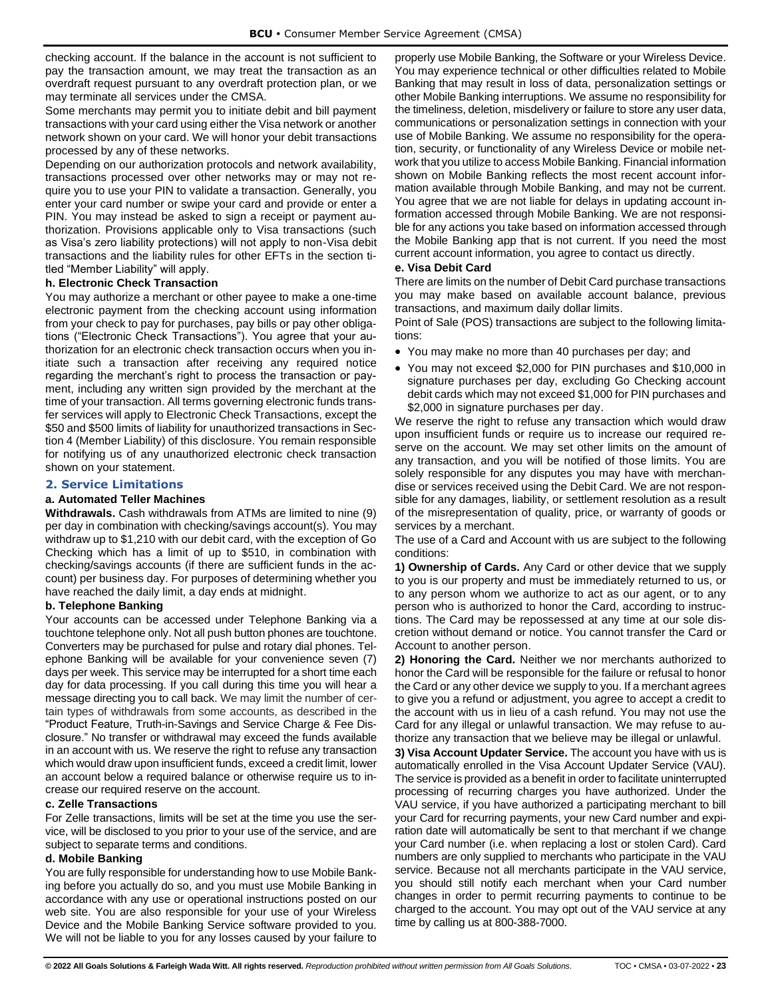checking account. If the balance in the account is not sufficient to pay the transaction amount, we may treat the transaction as an overdraft request pursuant to any overdraft protection plan, or we may terminate all services under the CMSA.

Some merchants may permit you to initiate debit and bill payment transactions with your card using either the Visa network or another network shown on your card. We will honor your debit transactions processed by any of these networks.

Depending on our authorization protocols and network availability, transactions processed over other networks may or may not require you to use your PIN to validate a transaction. Generally, you enter your card number or swipe your card and provide or enter a PIN. You may instead be asked to sign a receipt or payment authorization. Provisions applicable only to Visa transactions (such as Visa's zero liability protections) will not apply to non-Visa debit transactions and the liability rules for other EFTs in the section titled "Member Liability" will apply.

#### <span id="page-25-0"></span>**h. Electronic Check Transaction**

You may authorize a merchant or other payee to make a one-time electronic payment from the checking account using information from your check to pay for purchases, pay bills or pay other obligations ("Electronic Check Transactions"). You agree that your authorization for an electronic check transaction occurs when you initiate such a transaction after receiving any required notice regarding the merchant's right to process the transaction or payment, including any written sign provided by the merchant at the time of your transaction. All terms governing electronic funds transfer services will apply to Electronic Check Transactions, except the \$50 and \$500 limits of liability for unauthorized transactions in Section 4 (Member Liability) of this disclosure. You remain responsible for notifying us of any unauthorized electronic check transaction shown on your statement.

#### <span id="page-25-1"></span>**2. Service Limitations**

#### <span id="page-25-2"></span>**a. Automated Teller Machines**

**Withdrawals.** Cash withdrawals from ATMs are limited to nine (9) per day in combination with checking/savings account(s). You may withdraw up to \$1,210 with our debit card, with the exception of Go Checking which has a limit of up to \$510, in combination with checking/savings accounts (if there are sufficient funds in the account) per business day. For purposes of determining whether you have reached the daily limit, a day ends at midnight.

#### <span id="page-25-3"></span>**b. Telephone Banking**

Your accounts can be accessed under Telephone Banking via a touchtone telephone only. Not all push button phones are touchtone. Converters may be purchased for pulse and rotary dial phones. Telephone Banking will be available for your convenience seven (7) days per week. This service may be interrupted for a short time each day for data processing. If you call during this time you will hear a message directing you to call back. We may limit the number of certain types of withdrawals from some accounts, as described in the "Product Feature, Truth-in-Savings and Service Charge & Fee Disclosure." No transfer or withdrawal may exceed the funds available in an account with us. We reserve the right to refuse any transaction which would draw upon insufficient funds, exceed a credit limit, lower an account below a required balance or otherwise require us to increase our required reserve on the account.

#### <span id="page-25-4"></span>**c. Zelle Transactions**

For Zelle transactions, limits will be set at the time you use the service, will be disclosed to you prior to your use of the service, and are subject to separate terms and conditions.

#### **d. Mobile Banking**

You are fully responsible for understanding how to use Mobile Banking before you actually do so, and you must use Mobile Banking in accordance with any use or operational instructions posted on our web site. You are also responsible for your use of your Wireless Device and the Mobile Banking Service software provided to you. We will not be liable to you for any losses caused by your failure to properly use Mobile Banking, the Software or your Wireless Device. You may experience technical or other difficulties related to Mobile Banking that may result in loss of data, personalization settings or other Mobile Banking interruptions. We assume no responsibility for the timeliness, deletion, misdelivery or failure to store any user data, communications or personalization settings in connection with your use of Mobile Banking. We assume no responsibility for the operation, security, or functionality of any Wireless Device or mobile network that you utilize to access Mobile Banking. Financial information shown on Mobile Banking reflects the most recent account information available through Mobile Banking, and may not be current. You agree that we are not liable for delays in updating account information accessed through Mobile Banking. We are not responsible for any actions you take based on information accessed through the Mobile Banking app that is not current. If you need the most current account information, you agree to contact us directly.

#### <span id="page-25-5"></span>**e. Visa Debit Card**

There are limits on the number of Debit Card purchase transactions you may make based on available account balance, previous transactions, and maximum daily dollar limits.

Point of Sale (POS) transactions are subject to the following limitations:

- You may make no more than 40 purchases per day; and
- You may not exceed \$2,000 for PIN purchases and \$10,000 in signature purchases per day, excluding Go Checking account debit cards which may not exceed \$1,000 for PIN purchases and \$2,000 in signature purchases per day.

We reserve the right to refuse any transaction which would draw upon insufficient funds or require us to increase our required reserve on the account. We may set other limits on the amount of any transaction, and you will be notified of those limits. You are solely responsible for any disputes you may have with merchandise or services received using the Debit Card. We are not responsible for any damages, liability, or settlement resolution as a result of the misrepresentation of quality, price, or warranty of goods or services by a merchant.

The use of a Card and Account with us are subject to the following conditions:

**1) Ownership of Cards.** Any Card or other device that we supply to you is our property and must be immediately returned to us, or to any person whom we authorize to act as our agent, or to any person who is authorized to honor the Card, according to instructions. The Card may be repossessed at any time at our sole discretion without demand or notice. You cannot transfer the Card or Account to another person.

**2) Honoring the Card.** Neither we nor merchants authorized to honor the Card will be responsible for the failure or refusal to honor the Card or any other device we supply to you. If a merchant agrees to give you a refund or adjustment, you agree to accept a credit to the account with us in lieu of a cash refund. You may not use the Card for any illegal or unlawful transaction. We may refuse to authorize any transaction that we believe may be illegal or unlawful.

**3) Visa Account Updater Service.** The account you have with us is automatically enrolled in the Visa Account Updater Service (VAU). The service is provided as a benefit in order to facilitate uninterrupted processing of recurring charges you have authorized. Under the VAU service, if you have authorized a participating merchant to bill your Card for recurring payments, your new Card number and expiration date will automatically be sent to that merchant if we change your Card number (i.e. when replacing a lost or stolen Card). Card numbers are only supplied to merchants who participate in the VAU service. Because not all merchants participate in the VAU service, you should still notify each merchant when your Card number changes in order to permit recurring payments to continue to be charged to the account. You may opt out of the VAU service at any time by calling us at 800-388-7000.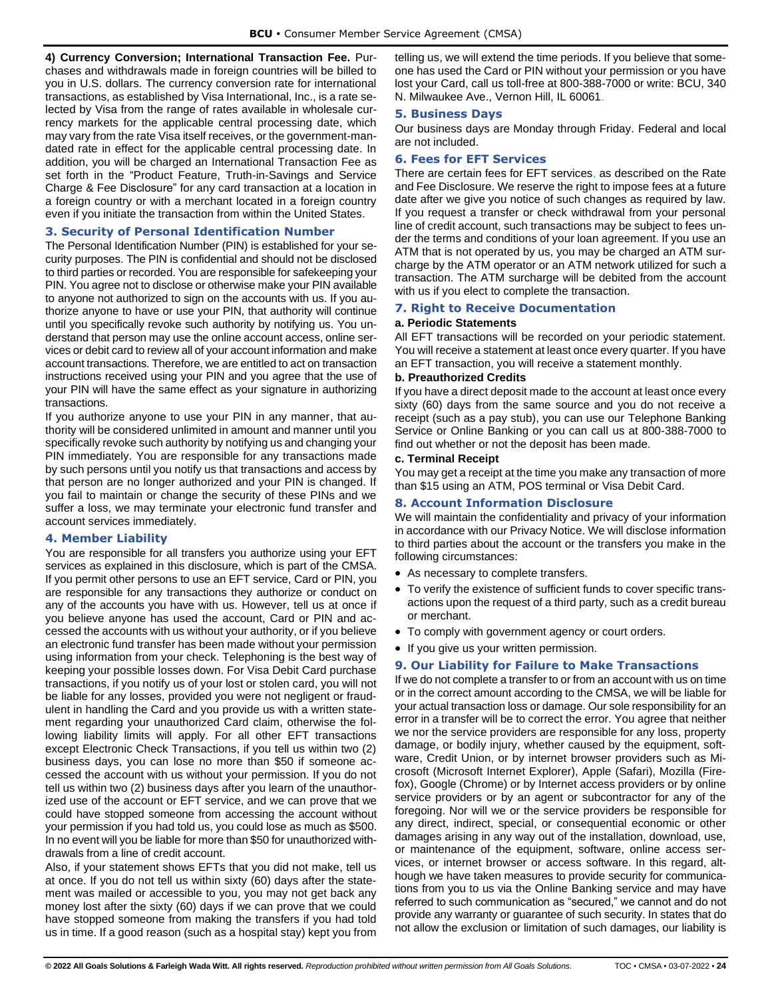**4) Currency Conversion; International Transaction Fee.** Purchases and withdrawals made in foreign countries will be billed to you in U.S. dollars. The currency conversion rate for international transactions, as established by Visa International, Inc., is a rate selected by Visa from the range of rates available in wholesale currency markets for the applicable central processing date, which may vary from the rate Visa itself receives, or the government-mandated rate in effect for the applicable central processing date. In addition, you will be charged an International Transaction Fee as set forth in the "Product Feature, Truth-in-Savings and Service Charge & Fee Disclosure" for any card transaction at a location in a foreign country or with a merchant located in a foreign country even if you initiate the transaction from within the United States.

## <span id="page-26-0"></span>**3. Security of Personal Identification Number**

The Personal Identification Number (PIN) is established for your security purposes. The PIN is confidential and should not be disclosed to third parties or recorded. You are responsible for safekeeping your PIN. You agree not to disclose or otherwise make your PIN available to anyone not authorized to sign on the accounts with us. If you authorize anyone to have or use your PIN, that authority will continue until you specifically revoke such authority by notifying us. You understand that person may use the online account access, online services or debit card to review all of your account information and make account transactions. Therefore, we are entitled to act on transaction instructions received using your PIN and you agree that the use of your PIN will have the same effect as your signature in authorizing transactions.

If you authorize anyone to use your PIN in any manner, that authority will be considered unlimited in amount and manner until you specifically revoke such authority by notifying us and changing your PIN immediately. You are responsible for any transactions made by such persons until you notify us that transactions and access by that person are no longer authorized and your PIN is changed. If you fail to maintain or change the security of these PINs and we suffer a loss, we may terminate your electronic fund transfer and account services immediately.

### <span id="page-26-1"></span>**4. Member Liability**

You are responsible for all transfers you authorize using your EFT services as explained in this disclosure, which is part of the CMSA. If you permit other persons to use an EFT service, Card or PIN, you are responsible for any transactions they authorize or conduct on any of the accounts you have with us. However, tell us at once if you believe anyone has used the account, Card or PIN and accessed the accounts with us without your authority, or if you believe an electronic fund transfer has been made without your permission using information from your check. Telephoning is the best way of keeping your possible losses down. For Visa Debit Card purchase transactions, if you notify us of your lost or stolen card, you will not be liable for any losses, provided you were not negligent or fraudulent in handling the Card and you provide us with a written statement regarding your unauthorized Card claim, otherwise the following liability limits will apply. For all other EFT transactions except Electronic Check Transactions, if you tell us within two (2) business days, you can lose no more than \$50 if someone accessed the account with us without your permission. If you do not tell us within two (2) business days after you learn of the unauthorized use of the account or EFT service, and we can prove that we could have stopped someone from accessing the account without your permission if you had told us, you could lose as much as \$500. In no event will you be liable for more than \$50 for unauthorized withdrawals from a line of credit account.

Also, if your statement shows EFTs that you did not make, tell us at once. If you do not tell us within sixty (60) days after the statement was mailed or accessible to you, you may not get back any money lost after the sixty (60) days if we can prove that we could have stopped someone from making the transfers if you had told us in time. If a good reason (such as a hospital stay) kept you from telling us, we will extend the time periods. If you believe that someone has used the Card or PIN without your permission or you have lost your Card, call us toll-free at 800-388-7000 or write: BCU, 340 N. Milwaukee Ave., Vernon Hill, IL 60061.

#### <span id="page-26-2"></span>**5. Business Days**

Our business days are Monday through Friday. Federal and local are not included.

## <span id="page-26-3"></span>**6. Fees for EFT Services**

There are certain fees for EFT services, as described on the Rate and Fee Disclosure. We reserve the right to impose fees at a future date after we give you notice of such changes as required by law. If you request a transfer or check withdrawal from your personal line of credit account, such transactions may be subject to fees under the terms and conditions of your loan agreement. If you use an ATM that is not operated by us, you may be charged an ATM surcharge by the ATM operator or an ATM network utilized for such a transaction. The ATM surcharge will be debited from the account with us if you elect to complete the transaction.

## <span id="page-26-4"></span>**7. Right to Receive Documentation**

#### <span id="page-26-5"></span>**a. Periodic Statements**

All EFT transactions will be recorded on your periodic statement. You will receive a statement at least once every quarter. If you have an EFT transaction, you will receive a statement monthly.

#### <span id="page-26-6"></span>**b. Preauthorized Credits**

If you have a direct deposit made to the account at least once every sixty (60) days from the same source and you do not receive a receipt (such as a pay stub), you can use our Telephone Banking Service or Online Banking or you can call us at 800-388-7000 to find out whether or not the deposit has been made.

#### <span id="page-26-7"></span>**c. Terminal Receipt**

You may get a receipt at the time you make any transaction of more than \$15 using an ATM, POS terminal or Visa Debit Card.

## <span id="page-26-8"></span>**8. Account Information Disclosure**

We will maintain the confidentiality and privacy of your information in accordance with our Privacy Notice. We will disclose information to third parties about the account or the transfers you make in the following circumstances:

- As necessary to complete transfers.
- To verify the existence of sufficient funds to cover specific transactions upon the request of a third party, such as a credit bureau or merchant.
- To comply with government agency or court orders.
- If you give us your written permission.

## <span id="page-26-9"></span>**9. Our Liability for Failure to Make Transactions**

If we do not complete a transfer to or from an account with us on time or in the correct amount according to the CMSA, we will be liable for your actual transaction loss or damage. Our sole responsibility for an error in a transfer will be to correct the error. You agree that neither we nor the service providers are responsible for any loss, property damage, or bodily injury, whether caused by the equipment, software, Credit Union, or by internet browser providers such as Microsoft (Microsoft Internet Explorer), Apple (Safari), Mozilla (Firefox), Google (Chrome) or by Internet access providers or by online service providers or by an agent or subcontractor for any of the foregoing. Nor will we or the service providers be responsible for any direct, indirect, special, or consequential economic or other damages arising in any way out of the installation, download, use, or maintenance of the equipment, software, online access services, or internet browser or access software. In this regard, although we have taken measures to provide security for communications from you to us via the Online Banking service and may have referred to such communication as "secured," we cannot and do not provide any warranty or guarantee of such security. In states that do not allow the exclusion or limitation of such damages, our liability is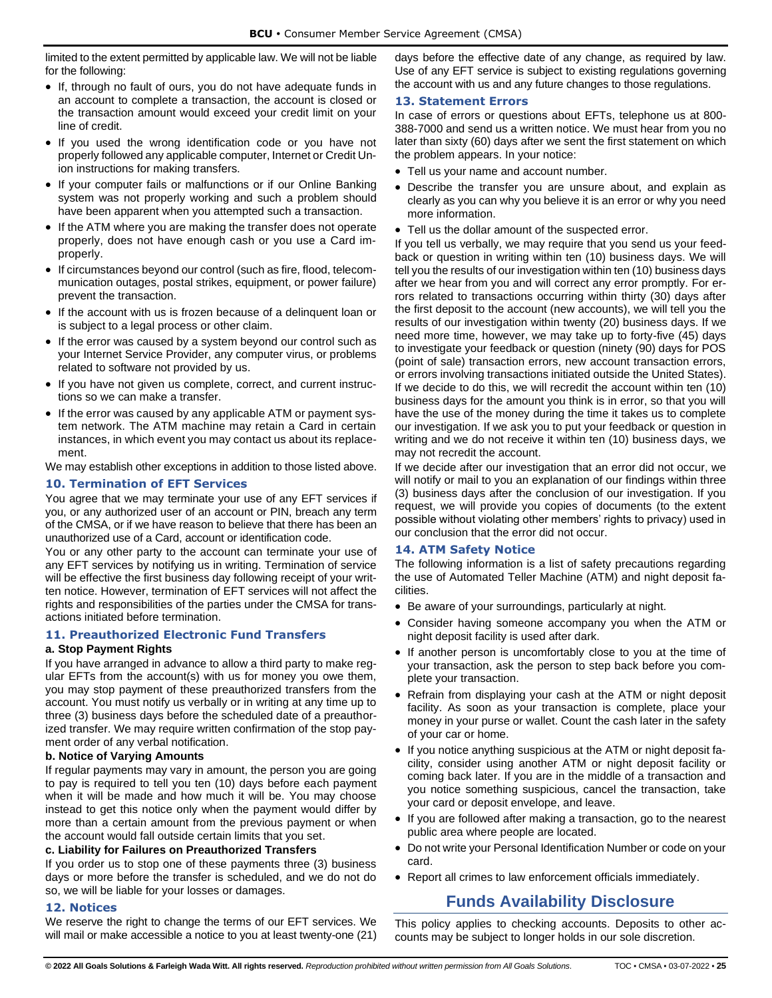limited to the extent permitted by applicable law. We will not be liable for the following:

- If, through no fault of ours, you do not have adequate funds in an account to complete a transaction, the account is closed or the transaction amount would exceed your credit limit on your line of credit.
- If you used the wrong identification code or you have not properly followed any applicable computer, Internet or Credit Union instructions for making transfers.
- If your computer fails or malfunctions or if our Online Banking system was not properly working and such a problem should have been apparent when you attempted such a transaction.
- If the ATM where you are making the transfer does not operate properly, does not have enough cash or you use a Card improperly.
- If circumstances beyond our control (such as fire, flood, telecommunication outages, postal strikes, equipment, or power failure) prevent the transaction.
- If the account with us is frozen because of a delinquent loan or is subject to a legal process or other claim.
- If the error was caused by a system beyond our control such as your Internet Service Provider, any computer virus, or problems related to software not provided by us.
- If you have not given us complete, correct, and current instructions so we can make a transfer.
- If the error was caused by any applicable ATM or payment system network. The ATM machine may retain a Card in certain instances, in which event you may contact us about its replacement.

We may establish other exceptions in addition to those listed above.

#### <span id="page-27-0"></span>**10. Termination of EFT Services**

You agree that we may terminate your use of any EFT services if you, or any authorized user of an account or PIN, breach any term of the CMSA, or if we have reason to believe that there has been an unauthorized use of a Card, account or identification code.

You or any other party to the account can terminate your use of any EFT services by notifying us in writing. Termination of service will be effective the first business day following receipt of your written notice. However, termination of EFT services will not affect the rights and responsibilities of the parties under the CMSA for transactions initiated before termination.

#### <span id="page-27-1"></span>**11. Preauthorized Electronic Fund Transfers**

#### <span id="page-27-2"></span>**a. Stop Payment Rights**

If you have arranged in advance to allow a third party to make regular EFTs from the account(s) with us for money you owe them, you may stop payment of these preauthorized transfers from the account. You must notify us verbally or in writing at any time up to three (3) business days before the scheduled date of a preauthorized transfer. We may require written confirmation of the stop payment order of any verbal notification.

#### <span id="page-27-3"></span>**b. Notice of Varying Amounts**

If regular payments may vary in amount, the person you are going to pay is required to tell you ten (10) days before each payment when it will be made and how much it will be. You may choose instead to get this notice only when the payment would differ by more than a certain amount from the previous payment or when the account would fall outside certain limits that you set.

#### <span id="page-27-4"></span>**c. Liability for Failures on Preauthorized Transfers**

If you order us to stop one of these payments three (3) business days or more before the transfer is scheduled, and we do not do so, we will be liable for your losses or damages.

## <span id="page-27-5"></span>**12. Notices**

We reserve the right to change the terms of our EFT services. We will mail or make accessible a notice to you at least twenty-one (21) days before the effective date of any change, as required by law. Use of any EFT service is subject to existing regulations governing the account with us and any future changes to those regulations.

## <span id="page-27-6"></span>**13. Statement Errors**

In case of errors or questions about EFTs, telephone us at 800- 388-7000 and send us a written notice. We must hear from you no later than sixty (60) days after we sent the first statement on which the problem appears. In your notice:

- Tell us your name and account number.
- Describe the transfer you are unsure about, and explain as clearly as you can why you believe it is an error or why you need more information.
- Tell us the dollar amount of the suspected error.

If you tell us verbally, we may require that you send us your feedback or question in writing within ten (10) business days. We will tell you the results of our investigation within ten (10) business days after we hear from you and will correct any error promptly. For errors related to transactions occurring within thirty (30) days after the first deposit to the account (new accounts), we will tell you the results of our investigation within twenty (20) business days. If we need more time, however, we may take up to forty-five (45) days to investigate your feedback or question (ninety (90) days for POS (point of sale) transaction errors, new account transaction errors, or errors involving transactions initiated outside the United States). If we decide to do this, we will recredit the account within ten (10) business days for the amount you think is in error, so that you will have the use of the money during the time it takes us to complete our investigation. If we ask you to put your feedback or question in writing and we do not receive it within ten (10) business days, we may not recredit the account.

If we decide after our investigation that an error did not occur, we will notify or mail to you an explanation of our findings within three (3) business days after the conclusion of our investigation. If you request, we will provide you copies of documents (to the extent possible without violating other members' rights to privacy) used in our conclusion that the error did not occur.

## <span id="page-27-7"></span>**14. ATM Safety Notice**

The following information is a list of safety precautions regarding the use of Automated Teller Machine (ATM) and night deposit facilities.

- Be aware of your surroundings, particularly at night.
- Consider having someone accompany you when the ATM or night deposit facility is used after dark.
- If another person is uncomfortably close to you at the time of your transaction, ask the person to step back before you complete your transaction.
- Refrain from displaying your cash at the ATM or night deposit facility. As soon as your transaction is complete, place your money in your purse or wallet. Count the cash later in the safety of your car or home.
- If you notice anything suspicious at the ATM or night deposit facility, consider using another ATM or night deposit facility or coming back later. If you are in the middle of a transaction and you notice something suspicious, cancel the transaction, take your card or deposit envelope, and leave.
- If you are followed after making a transaction, go to the nearest public area where people are located.
- Do not write your Personal Identification Number or code on your card.
- <span id="page-27-8"></span>• Report all crimes to law enforcement officials immediately.

## **Funds Availability Disclosure**

This policy applies to checking accounts. Deposits to other accounts may be subject to longer holds in our sole discretion.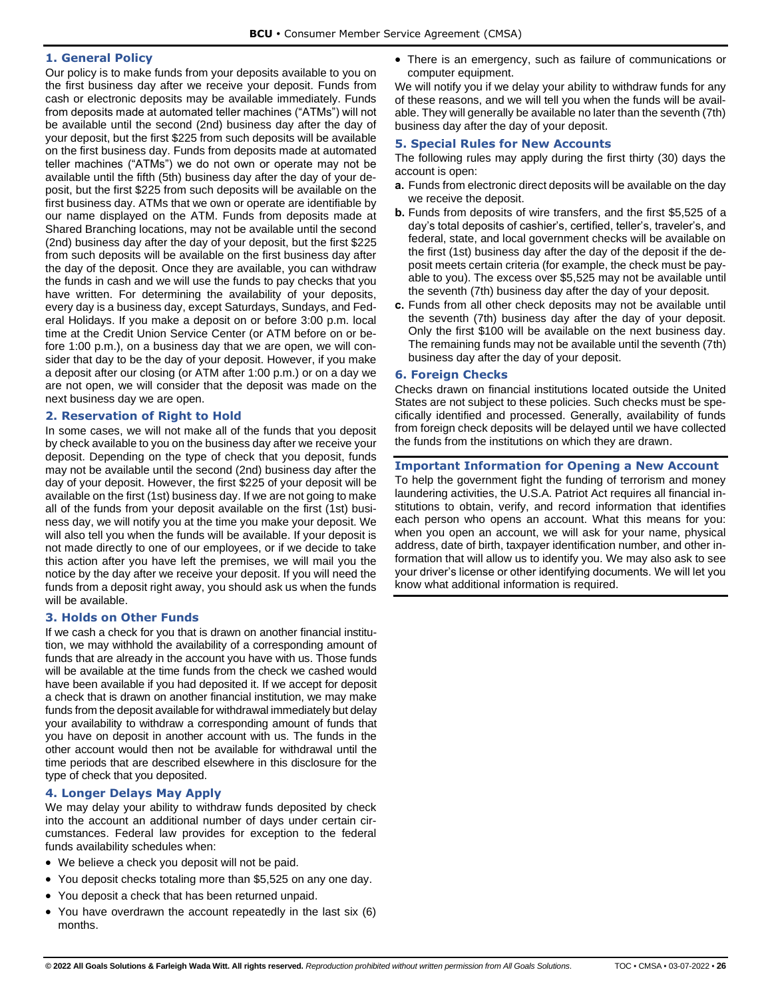## <span id="page-28-0"></span>**1. General Policy**

Our policy is to make funds from your deposits available to you on the first business day after we receive your deposit. Funds from cash or electronic deposits may be available immediately. Funds from deposits made at automated teller machines ("ATMs") will not be available until the second (2nd) business day after the day of your deposit, but the first \$225 from such deposits will be available on the first business day. Funds from deposits made at automated teller machines ("ATMs") we do not own or operate may not be available until the fifth (5th) business day after the day of your deposit, but the first \$225 from such deposits will be available on the first business day. ATMs that we own or operate are identifiable by our name displayed on the ATM. Funds from deposits made at Shared Branching locations, may not be available until the second (2nd) business day after the day of your deposit, but the first \$225 from such deposits will be available on the first business day after the day of the deposit. Once they are available, you can withdraw the funds in cash and we will use the funds to pay checks that you have written. For determining the availability of your deposits, every day is a business day, except Saturdays, Sundays, and Federal Holidays. If you make a deposit on or before 3:00 p.m. local time at the Credit Union Service Center (or ATM before on or before 1:00 p.m.), on a business day that we are open, we will consider that day to be the day of your deposit. However, if you make a deposit after our closing (or ATM after 1:00 p.m.) or on a day we are not open, we will consider that the deposit was made on the next business day we are open.

## <span id="page-28-1"></span>**2. Reservation of Right to Hold**

In some cases, we will not make all of the funds that you deposit by check available to you on the business day after we receive your deposit. Depending on the type of check that you deposit, funds may not be available until the second (2nd) business day after the day of your deposit. However, the first \$225 of your deposit will be available on the first (1st) business day. If we are not going to make all of the funds from your deposit available on the first (1st) business day, we will notify you at the time you make your deposit. We will also tell you when the funds will be available. If your deposit is not made directly to one of our employees, or if we decide to take this action after you have left the premises, we will mail you the notice by the day after we receive your deposit. If you will need the funds from a deposit right away, you should ask us when the funds will be available.

#### <span id="page-28-2"></span>**3. Holds on Other Funds**

If we cash a check for you that is drawn on another financial institution, we may withhold the availability of a corresponding amount of funds that are already in the account you have with us. Those funds will be available at the time funds from the check we cashed would have been available if you had deposited it. If we accept for deposit a check that is drawn on another financial institution, we may make funds from the deposit available for withdrawal immediately but delay your availability to withdraw a corresponding amount of funds that you have on deposit in another account with us. The funds in the other account would then not be available for withdrawal until the time periods that are described elsewhere in this disclosure for the type of check that you deposited.

## <span id="page-28-3"></span>**4. Longer Delays May Apply**

We may delay your ability to withdraw funds deposited by check into the account an additional number of days under certain circumstances. Federal law provides for exception to the federal funds availability schedules when:

- We believe a check you deposit will not be paid.
- You deposit checks totaling more than \$5,525 on any one day.
- You deposit a check that has been returned unpaid.
- You have overdrawn the account repeatedly in the last six (6) months.

• There is an emergency, such as failure of communications or computer equipment.

We will notify you if we delay your ability to withdraw funds for any of these reasons, and we will tell you when the funds will be available. They will generally be available no later than the seventh (7th) business day after the day of your deposit.

#### <span id="page-28-4"></span>**5. Special Rules for New Accounts**

The following rules may apply during the first thirty (30) days the account is open:

- **a.** Funds from electronic direct deposits will be available on the day we receive the deposit.
- **b.** Funds from deposits of wire transfers, and the first \$5,525 of a day's total deposits of cashier's, certified, teller's, traveler's, and federal, state, and local government checks will be available on the first (1st) business day after the day of the deposit if the deposit meets certain criteria (for example, the check must be payable to you). The excess over \$5,525 may not be available until the seventh (7th) business day after the day of your deposit.
- **c.** Funds from all other check deposits may not be available until the seventh (7th) business day after the day of your deposit. Only the first \$100 will be available on the next business day. The remaining funds may not be available until the seventh (7th) business day after the day of your deposit.

### <span id="page-28-5"></span>**6. Foreign Checks**

Checks drawn on financial institutions located outside the United States are not subject to these policies. Such checks must be specifically identified and processed. Generally, availability of funds from foreign check deposits will be delayed until we have collected the funds from the institutions on which they are drawn.

## <span id="page-28-6"></span>**Important Information for Opening a New Account**

To help the government fight the funding of terrorism and money laundering activities, the U.S.A. Patriot Act requires all financial institutions to obtain, verify, and record information that identifies each person who opens an account. What this means for you: when you open an account, we will ask for your name, physical address, date of birth, taxpayer identification number, and other information that will allow us to identify you. We may also ask to see your driver's license or other identifying documents. We will let you know what additional information is required.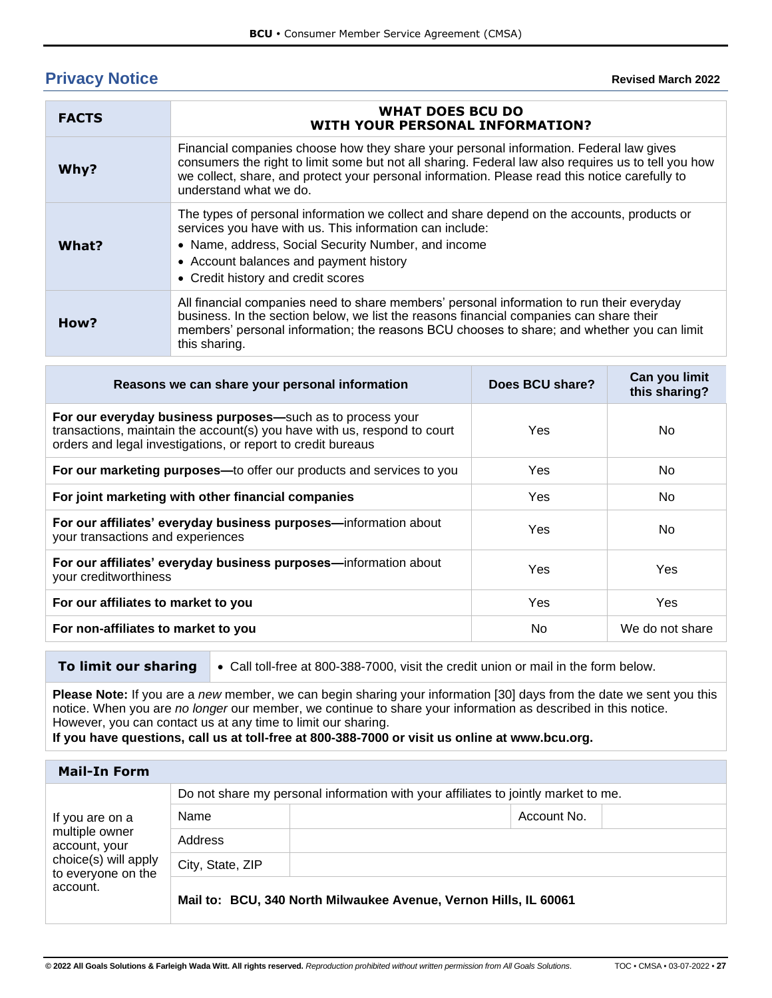# <span id="page-29-0"></span>**Privacy Notice**

| <b>FACTS</b> | <b>WHAT DOES BCU DO</b><br><b>WITH YOUR PERSONAL INFORMATION?</b>                                                                                                                                                                                                                                                         |
|--------------|---------------------------------------------------------------------------------------------------------------------------------------------------------------------------------------------------------------------------------------------------------------------------------------------------------------------------|
| Why?         | Financial companies choose how they share your personal information. Federal law gives<br>consumers the right to limit some but not all sharing. Federal law also requires us to tell you how<br>we collect, share, and protect your personal information. Please read this notice carefully to<br>understand what we do. |
| What?        | The types of personal information we collect and share depend on the accounts, products or<br>services you have with us. This information can include:<br>• Name, address, Social Security Number, and income<br>• Account balances and payment history<br>• Credit history and credit scores                             |
| How?         | All financial companies need to share members' personal information to run their everyday<br>business. In the section below, we list the reasons financial companies can share their<br>members' personal information; the reasons BCU chooses to share; and whether you can limit<br>this sharing.                       |

| Does BCU share? | Can you limit<br>this sharing? |
|-----------------|--------------------------------|
| Yes.            | No.                            |
| Yes             | No.                            |
| Yes             | No.                            |
| Yes             | No                             |
| Yes             | Yes                            |
| Yes             | <b>Yes</b>                     |
| No.             | We do not share                |
|                 |                                |

**To limit our sharing**  $\bullet$  Call toll-free at 800-388-7000, visit the credit union or mail in the form below.

**Please Note:** If you are a *new* member, we can begin sharing your information [30] days from the date we sent you this notice. When you are *no longer* our member, we continue to share your information as described in this notice. However, you can contact us at any time to limit our sharing.

**If you have questions, call us at toll-free at 800-388-7000 or visit us online at www.bcu.org.**

| <b>Mail-In Form</b>                                                                                          |                                                                                    |                                                                  |  |
|--------------------------------------------------------------------------------------------------------------|------------------------------------------------------------------------------------|------------------------------------------------------------------|--|
| If you are on a<br>multiple owner<br>account, your<br>choice(s) will apply<br>to everyone on the<br>account. | Do not share my personal information with your affiliates to jointly market to me. |                                                                  |  |
|                                                                                                              | Name                                                                               | Account No.                                                      |  |
|                                                                                                              | Address                                                                            |                                                                  |  |
|                                                                                                              | City, State, ZIP                                                                   |                                                                  |  |
|                                                                                                              |                                                                                    | Mail to: BCU, 340 North Milwaukee Avenue, Vernon Hills, IL 60061 |  |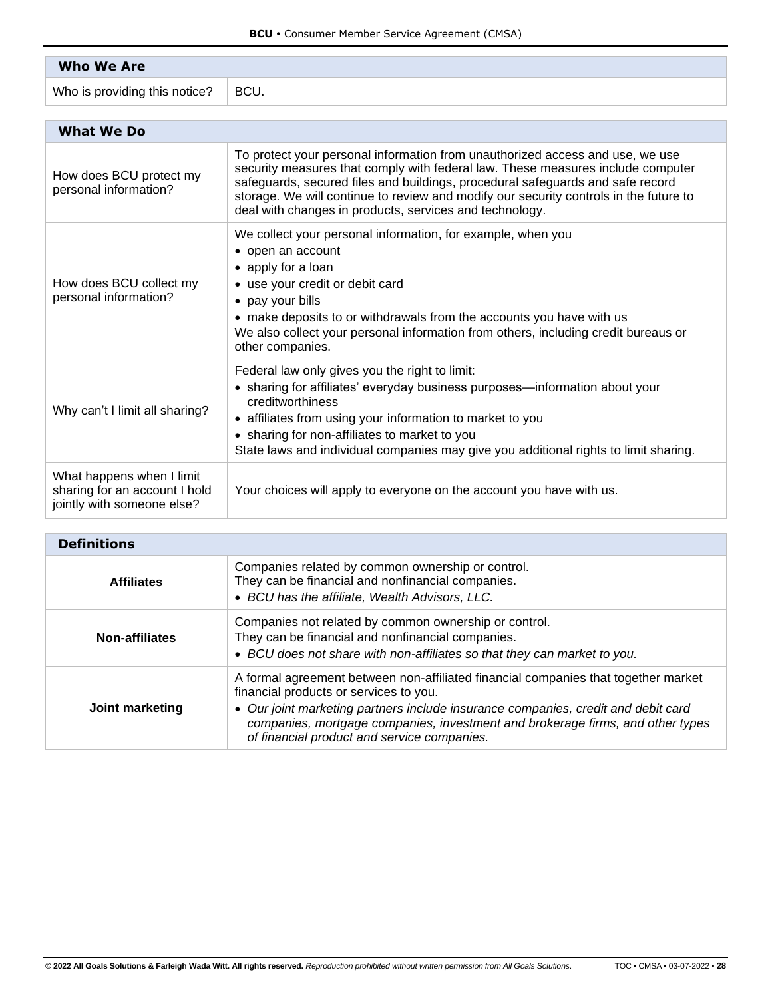| <b>Who We Are</b>             |      |
|-------------------------------|------|
| Who is providing this notice? | BCU. |

| <b>What We Do</b>                                                                        |                                                                                                                                                                                                                                                                                                                                                                                                        |
|------------------------------------------------------------------------------------------|--------------------------------------------------------------------------------------------------------------------------------------------------------------------------------------------------------------------------------------------------------------------------------------------------------------------------------------------------------------------------------------------------------|
| How does BCU protect my<br>personal information?                                         | To protect your personal information from unauthorized access and use, we use<br>security measures that comply with federal law. These measures include computer<br>safeguards, secured files and buildings, procedural safeguards and safe record<br>storage. We will continue to review and modify our security controls in the future to<br>deal with changes in products, services and technology. |
| How does BCU collect my<br>personal information?                                         | We collect your personal information, for example, when you<br>• open an account<br>• apply for a loan<br>• use your credit or debit card<br>• pay your bills<br>• make deposits to or withdrawals from the accounts you have with us<br>We also collect your personal information from others, including credit bureaus or<br>other companies.                                                        |
| Why can't I limit all sharing?                                                           | Federal law only gives you the right to limit:<br>• sharing for affiliates' everyday business purposes—information about your<br>creditworthiness<br>• affiliates from using your information to market to you<br>• sharing for non-affiliates to market to you<br>State laws and individual companies may give you additional rights to limit sharing.                                                |
| What happens when I limit<br>sharing for an account I hold<br>jointly with someone else? | Your choices will apply to everyone on the account you have with us.                                                                                                                                                                                                                                                                                                                                   |

| <b>Definitions</b>    |                                                                                                                                                                                                                                                                                                                                                    |  |
|-----------------------|----------------------------------------------------------------------------------------------------------------------------------------------------------------------------------------------------------------------------------------------------------------------------------------------------------------------------------------------------|--|
| <b>Affiliates</b>     | Companies related by common ownership or control.<br>They can be financial and nonfinancial companies.<br>• BCU has the affiliate, Wealth Advisors, LLC.                                                                                                                                                                                           |  |
| <b>Non-affiliates</b> | Companies not related by common ownership or control.<br>They can be financial and nonfinancial companies.<br>• BCU does not share with non-affiliates so that they can market to you.                                                                                                                                                             |  |
| Joint marketing       | A formal agreement between non-affiliated financial companies that together market<br>financial products or services to you.<br>• Our joint marketing partners include insurance companies, credit and debit card<br>companies, mortgage companies, investment and brokerage firms, and other types<br>of financial product and service companies. |  |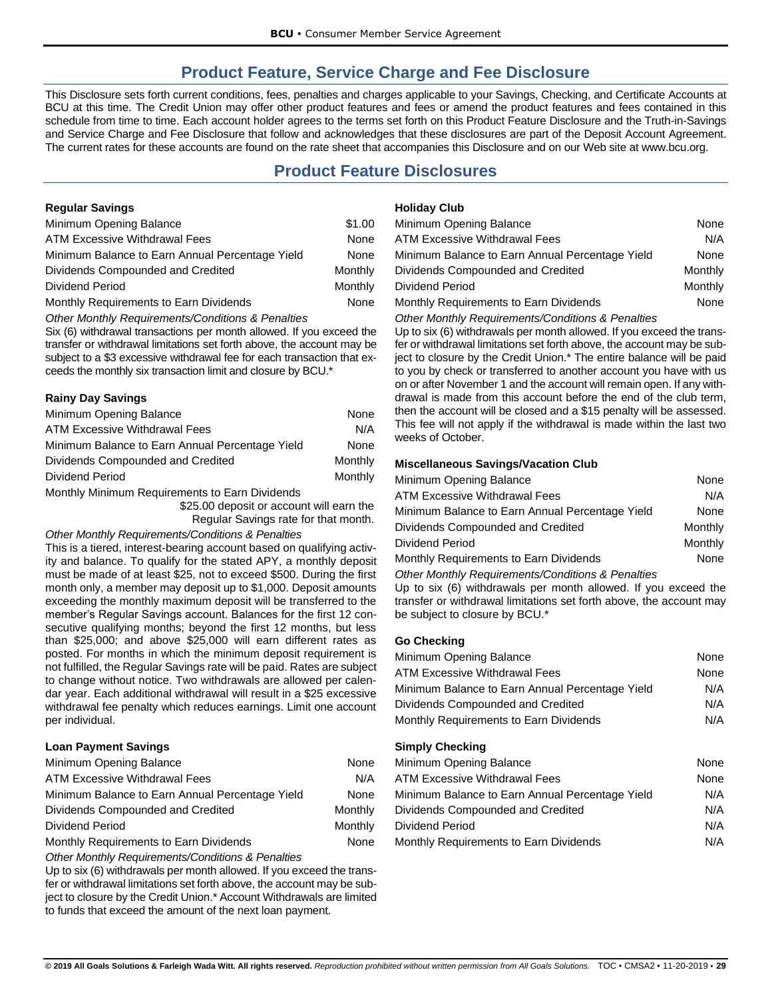# **Product Feature, Service Charge and Fee Disclosure**

<span id="page-31-0"></span>This Disclosure sets forth current conditions, fees, penalties and charges applicable to your Savings, Checking, and Certificate Accounts at BCU at this time. The Credit Union may offer other product features and fees or amend the product features and fees contained in this schedule from time to time. Each account holder agrees to the terms set forth on this Product Feature Disclosure and the Truth-in-Savings and Service Charge and Fee Disclosure that follow and acknowledges that these disclosures are part of the Deposit Account Agreement. The current rates for these accounts are found on the rate sheet that accompanies this Disclosure and on our Web site at www.bcu.org.

# **Product Feature Disclosures**

## <span id="page-31-2"></span><span id="page-31-1"></span>**Regular Savings**

| Minimum Opening Balance                         | \$1.00  |
|-------------------------------------------------|---------|
| ATM Excessive Withdrawal Fees                   | None    |
| Minimum Balance to Earn Annual Percentage Yield | None    |
| Dividends Compounded and Credited               | Monthly |
| Dividend Period                                 | Monthly |
| Monthly Requirements to Earn Dividends          | None    |

*Other Monthly Requirements/Conditions & Penalties*

Six (6) withdrawal transactions per month allowed. If you exceed the transfer or withdrawal limitations set forth above, the account may be subject to a \$3 excessive withdrawal fee for each transaction that exceeds the monthly six transaction limit and closure by BCU.\*

## <span id="page-31-3"></span>**Rainy Day Savings**

| Minimum Opening Balance                         | None    |
|-------------------------------------------------|---------|
| ATM Excessive Withdrawal Fees                   | N/A     |
| Minimum Balance to Earn Annual Percentage Yield | None    |
| Dividends Compounded and Credited               | Monthly |
| Dividend Period                                 | Monthly |
| Monthly Minimum Requirements to Farn Dividends  |         |

Monthly Minimum Requirements to Earn Dividends

\$25.00 deposit or account will earn the Regular Savings rate for that month.

## *Other Monthly Requirements/Conditions & Penalties*

This is a tiered, interest-bearing account based on qualifying activity and balance. To qualify for the stated APY, a monthly deposit must be made of at least \$25, not to exceed \$500. During the first month only, a member may deposit up to \$1,000. Deposit amounts exceeding the monthly maximum deposit will be transferred to the member's Regular Savings account. Balances for the first 12 consecutive qualifying months; beyond the first 12 months, but less than \$25,000; and above \$25,000 will earn different rates as posted. For months in which the minimum deposit requirement is not fulfilled, the Regular Savings rate will be paid. Rates are subject to change without notice. Two withdrawals are allowed per calendar year. Each additional withdrawal will result in a \$25 excessive withdrawal fee penalty which reduces earnings. Limit one account per individual.

## <span id="page-31-4"></span>**Loan Payment Savings**

| Minimum Opening Balance                         | None    |
|-------------------------------------------------|---------|
| <b>ATM Excessive Withdrawal Fees</b>            | N/A     |
| Minimum Balance to Earn Annual Percentage Yield | None    |
| Dividends Compounded and Credited               | Monthly |
| Dividend Period                                 | Monthly |
| Monthly Requirements to Earn Dividends          | None    |

*Other Monthly Requirements/Conditions & Penalties*

Up to six (6) withdrawals per month allowed. If you exceed the transfer or withdrawal limitations set forth above, the account may be subject to closure by the Credit Union.\* Account Withdrawals are limited to funds that exceed the amount of the next loan payment.

## <span id="page-31-5"></span>**Holiday Club**

| Minimum Opening Balance                         | None    |
|-------------------------------------------------|---------|
| <b>ATM Excessive Withdrawal Fees</b>            | N/A     |
| Minimum Balance to Earn Annual Percentage Yield | None    |
| Dividends Compounded and Credited               | Monthly |
| Dividend Period                                 | Monthly |
| Monthly Requirements to Earn Dividends          | None    |

## *Other Monthly Requirements/Conditions & Penalties*

Up to six (6) withdrawals per month allowed. If you exceed the transfer or withdrawal limitations set forth above, the account may be subject to closure by the Credit Union.\* The entire balance will be paid to you by check or transferred to another account you have with us on or after November 1 and the account will remain open. If any withdrawal is made from this account before the end of the club term, then the account will be closed and a \$15 penalty will be assessed. This fee will not apply if the withdrawal is made within the last two weeks of October.

## <span id="page-31-6"></span>**Miscellaneous Savings/Vacation Club**

| Minimum Opening Balance                         | None        |
|-------------------------------------------------|-------------|
| <b>ATM Excessive Withdrawal Fees</b>            | N/A         |
| Minimum Balance to Earn Annual Percentage Yield | None        |
| Dividends Compounded and Credited               | Monthly     |
| Dividend Period                                 | Monthly     |
| Monthly Requirements to Earn Dividends          | <b>None</b> |
|                                                 |             |

*Other Monthly Requirements/Conditions & Penalties*

Up to six (6) withdrawals per month allowed. If you exceed the transfer or withdrawal limitations set forth above, the account may be subject to closure by BCU.\*

## <span id="page-31-7"></span>**Go Checking**

| Minimum Opening Balance                         | None |
|-------------------------------------------------|------|
| <b>ATM Excessive Withdrawal Fees</b>            | None |
| Minimum Balance to Earn Annual Percentage Yield | N/A  |
| Dividends Compounded and Credited               | N/A  |
| Monthly Requirements to Earn Dividends          | N/A  |
|                                                 |      |

## <span id="page-31-8"></span>**Simply Checking**

| Minimum Opening Balance                         | None |
|-------------------------------------------------|------|
| ATM Excessive Withdrawal Fees                   | None |
| Minimum Balance to Earn Annual Percentage Yield | N/A  |
| Dividends Compounded and Credited               | N/A  |
| Dividend Period                                 | N/A  |
| Monthly Requirements to Earn Dividends          | N/A  |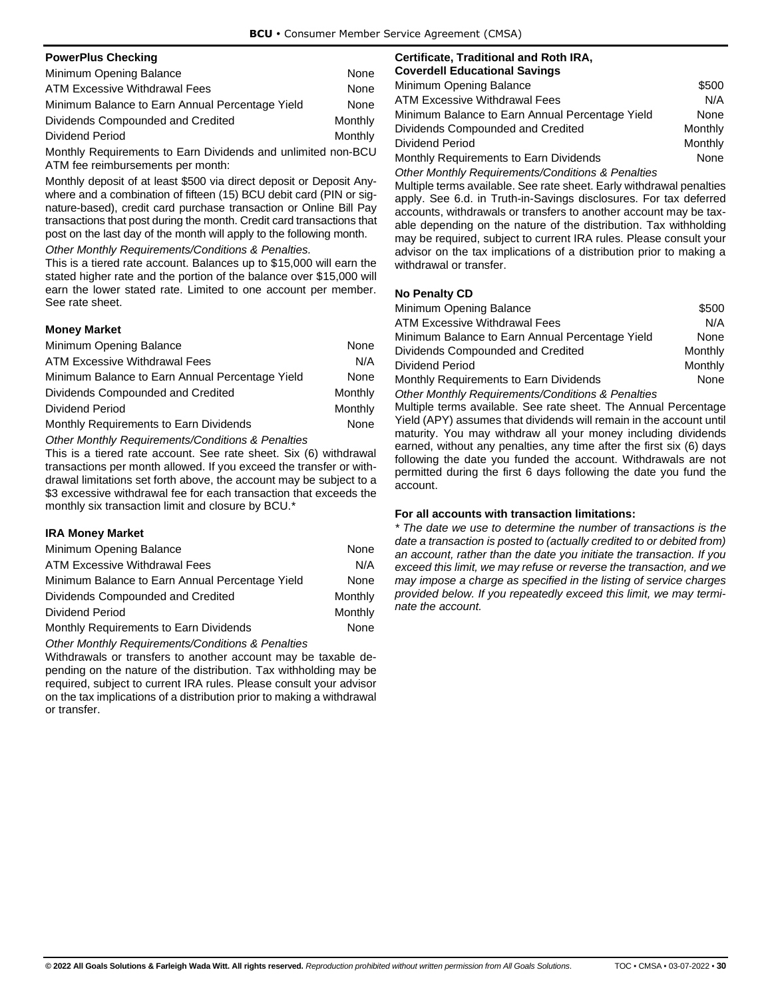<span id="page-32-0"></span>

| <b>PowerPlus Checking</b>                       |         |
|-------------------------------------------------|---------|
| Minimum Opening Balance                         | None    |
| <b>ATM Excessive Withdrawal Fees</b>            | None    |
| Minimum Balance to Earn Annual Percentage Yield | None    |
| Dividends Compounded and Credited               | Monthly |
| Dividend Period                                 | Monthly |

Monthly Requirements to Earn Dividends and unlimited non-BCU ATM fee reimbursements per month:

Monthly deposit of at least \$500 via direct deposit or Deposit Anywhere and a combination of fifteen (15) BCU debit card (PIN or signature-based), credit card purchase transaction or Online Bill Pay transactions that post during the month. Credit card transactions that post on the last day of the month will apply to the following month.

*Other Monthly Requirements/Conditions & Penalties.*

This is a tiered rate account. Balances up to \$15,000 will earn the stated higher rate and the portion of the balance over \$15,000 will earn the lower stated rate. Limited to one account per member. See rate sheet.

## <span id="page-32-1"></span>**Money Market**

| Minimum Opening Balance                         | None    |
|-------------------------------------------------|---------|
| <b>ATM Excessive Withdrawal Fees</b>            | N/A     |
| Minimum Balance to Earn Annual Percentage Yield | None    |
| Dividends Compounded and Credited               | Monthly |
| Dividend Period                                 | Monthly |
| Monthly Requirements to Earn Dividends          | None    |

*Other Monthly Requirements/Conditions & Penalties*

This is a tiered rate account. See rate sheet. Six (6) withdrawal transactions per month allowed. If you exceed the transfer or withdrawal limitations set forth above, the account may be subject to a \$3 excessive withdrawal fee for each transaction that exceeds the monthly six transaction limit and closure by BCU.\*

## <span id="page-32-2"></span>**IRA Money Market**

| Minimum Opening Balance                         | None    |
|-------------------------------------------------|---------|
| <b>ATM Excessive Withdrawal Fees</b>            | N/A     |
| Minimum Balance to Earn Annual Percentage Yield | None    |
| Dividends Compounded and Credited               | Monthly |
| Dividend Period                                 | Monthly |
| Monthly Requirements to Earn Dividends          | None    |

*Other Monthly Requirements/Conditions & Penalties*

Withdrawals or transfers to another account may be taxable depending on the nature of the distribution. Tax withholding may be required, subject to current IRA rules. Please consult your advisor on the tax implications of a distribution prior to making a withdrawal or transfer.

#### <span id="page-32-3"></span>**Certificate, Traditional and Roth IRA, Coverdell Educational Savings**

| <u>99191998 Educational Outfings</u>            |         |
|-------------------------------------------------|---------|
| Minimum Opening Balance                         | \$500   |
| <b>ATM Excessive Withdrawal Fees</b>            | N/A     |
| Minimum Balance to Earn Annual Percentage Yield | None    |
| Dividends Compounded and Credited               | Monthly |
| Dividend Period                                 | Monthly |
| Monthly Requirements to Earn Dividends          | None    |

*Other Monthly Requirements/Conditions & Penalties*

Multiple terms available. See rate sheet. Early withdrawal penalties apply. See 6.d. in Truth-in-Savings disclosures. For tax deferred accounts, withdrawals or transfers to another account may be taxable depending on the nature of the distribution. Tax withholding may be required, subject to current IRA rules. Please consult your advisor on the tax implications of a distribution prior to making a withdrawal or transfer.

## <span id="page-32-4"></span>**No Penalty CD**

| Minimum Opening Balance                                      | \$500   |
|--------------------------------------------------------------|---------|
| <b>ATM Excessive Withdrawal Fees</b>                         | N/A     |
| Minimum Balance to Earn Annual Percentage Yield              | None    |
| Dividends Compounded and Credited                            | Monthly |
| Dividend Period                                              | Monthly |
| Monthly Requirements to Earn Dividends                       | None    |
| <b>Other Monthly Requirements/Conditions &amp; Penalties</b> |         |

Multiple terms available. See rate sheet. The Annual Percentage Yield (APY) assumes that dividends will remain in the account until maturity. You may withdraw all your money including dividends earned, without any penalties, any time after the first six (6) days following the date you funded the account. Withdrawals are not permitted during the first 6 days following the date you fund the account.

## **For all accounts with transaction limitations:**

*\* The date we use to determine the number of transactions is the date a transaction is posted to (actually credited to or debited from) an account, rather than the date you initiate the transaction. If you exceed this limit, we may refuse or reverse the transaction, and we may impose a charge as specified in the listing of service charges provided below. If you repeatedly exceed this limit, we may terminate the account.*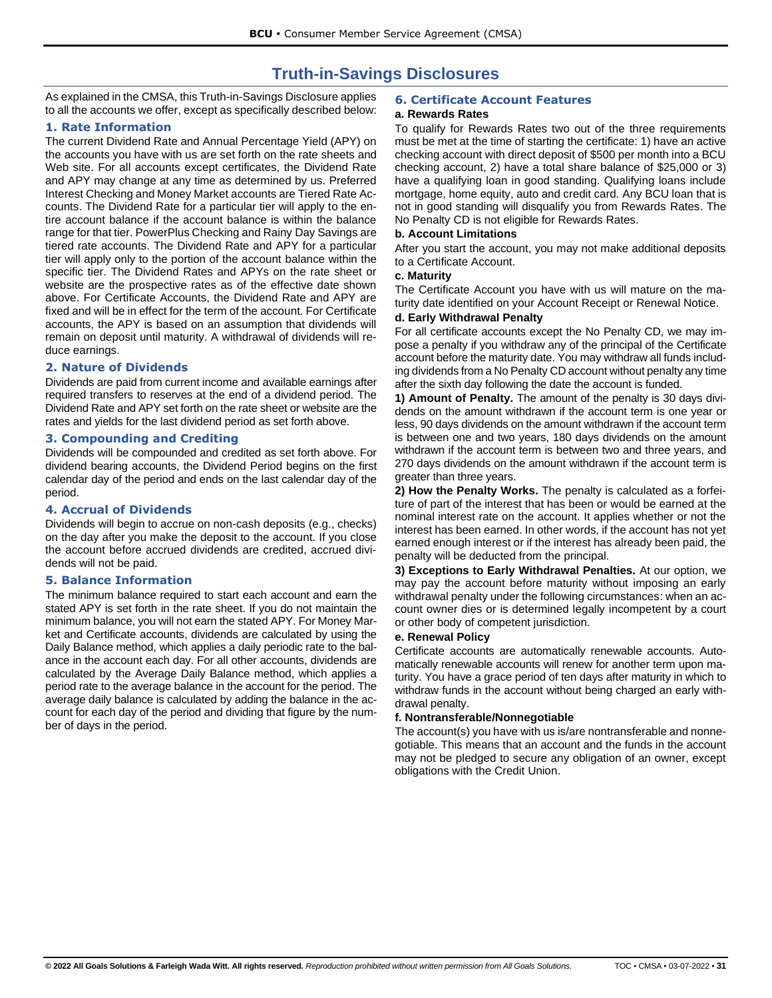# **Truth-in-Savings Disclosures**

<span id="page-33-0"></span>As explained in the CMSA, this Truth-in-Savings Disclosure applies to all the accounts we offer, except as specifically described below:

## <span id="page-33-1"></span>**1. Rate Information**

The current Dividend Rate and Annual Percentage Yield (APY) on the accounts you have with us are set forth on the rate sheets and Web site. For all accounts except certificates, the Dividend Rate and APY may change at any time as determined by us. Preferred Interest Checking and Money Market accounts are Tiered Rate Accounts. The Dividend Rate for a particular tier will apply to the entire account balance if the account balance is within the balance range for that tier. PowerPlus Checking and Rainy Day Savings are tiered rate accounts. The Dividend Rate and APY for a particular tier will apply only to the portion of the account balance within the specific tier. The Dividend Rates and APYs on the rate sheet or website are the prospective rates as of the effective date shown above. For Certificate Accounts, the Dividend Rate and APY are fixed and will be in effect for the term of the account. For Certificate accounts, the APY is based on an assumption that dividends will remain on deposit until maturity. A withdrawal of dividends will reduce earnings.

## <span id="page-33-2"></span>**2. Nature of Dividends**

Dividends are paid from current income and available earnings after required transfers to reserves at the end of a dividend period. The Dividend Rate and APY set forth on the rate sheet or website are the rates and yields for the last dividend period as set forth above.

## <span id="page-33-3"></span>**3. Compounding and Crediting**

Dividends will be compounded and credited as set forth above. For dividend bearing accounts, the Dividend Period begins on the first calendar day of the period and ends on the last calendar day of the period.

## <span id="page-33-4"></span>**4. Accrual of Dividends**

Dividends will begin to accrue on non-cash deposits (e.g., checks) on the day after you make the deposit to the account. If you close the account before accrued dividends are credited, accrued dividends will not be paid.

## <span id="page-33-5"></span>**5. Balance Information**

The minimum balance required to start each account and earn the stated APY is set forth in the rate sheet. If you do not maintain the minimum balance, you will not earn the stated APY. For Money Market and Certificate accounts, dividends are calculated by using the Daily Balance method, which applies a daily periodic rate to the balance in the account each day. For all other accounts, dividends are calculated by the Average Daily Balance method, which applies a period rate to the average balance in the account for the period. The average daily balance is calculated by adding the balance in the account for each day of the period and dividing that figure by the number of days in the period.

## <span id="page-33-6"></span>**6. Certificate Account Features**

## <span id="page-33-7"></span>**a. Rewards Rates**

To qualify for Rewards Rates two out of the three requirements must be met at the time of starting the certificate: 1) have an active checking account with direct deposit of \$500 per month into a BCU checking account, 2) have a total share balance of \$25,000 or 3) have a qualifying loan in good standing. Qualifying loans include mortgage, home equity, auto and credit card. Any BCU loan that is not in good standing will disqualify you from Rewards Rates. The No Penalty CD is not eligible for Rewards Rates.

## <span id="page-33-8"></span>**b. Account Limitations**

After you start the account, you may not make additional deposits to a Certificate Account.

### <span id="page-33-9"></span>**c. Maturity**

The Certificate Account you have with us will mature on the maturity date identified on your Account Receipt or Renewal Notice.

## <span id="page-33-10"></span>**d. Early Withdrawal Penalty**

For all certificate accounts except the No Penalty CD, we may impose a penalty if you withdraw any of the principal of the Certificate account before the maturity date. You may withdraw all funds including dividends from a No Penalty CD account without penalty any time after the sixth day following the date the account is funded.

**1) Amount of Penalty.** The amount of the penalty is 30 days dividends on the amount withdrawn if the account term is one year or less, 90 days dividends on the amount withdrawn if the account term is between one and two years, 180 days dividends on the amount withdrawn if the account term is between two and three years, and 270 days dividends on the amount withdrawn if the account term is greater than three years.

**2) How the Penalty Works.** The penalty is calculated as a forfeiture of part of the interest that has been or would be earned at the nominal interest rate on the account. It applies whether or not the interest has been earned. In other words, if the account has not yet earned enough interest or if the interest has already been paid, the penalty will be deducted from the principal.

**3) Exceptions to Early Withdrawal Penalties.** At our option, we may pay the account before maturity without imposing an early withdrawal penalty under the following circumstances: when an account owner dies or is determined legally incompetent by a court or other body of competent jurisdiction.

#### <span id="page-33-11"></span>**e. Renewal Policy**

Certificate accounts are automatically renewable accounts. Automatically renewable accounts will renew for another term upon maturity. You have a grace period of ten days after maturity in which to withdraw funds in the account without being charged an early withdrawal penalty.

#### <span id="page-33-12"></span>**f. Nontransferable/Nonnegotiable**

The account(s) you have with us is/are nontransferable and nonnegotiable. This means that an account and the funds in the account may not be pledged to secure any obligation of an owner, except obligations with the Credit Union.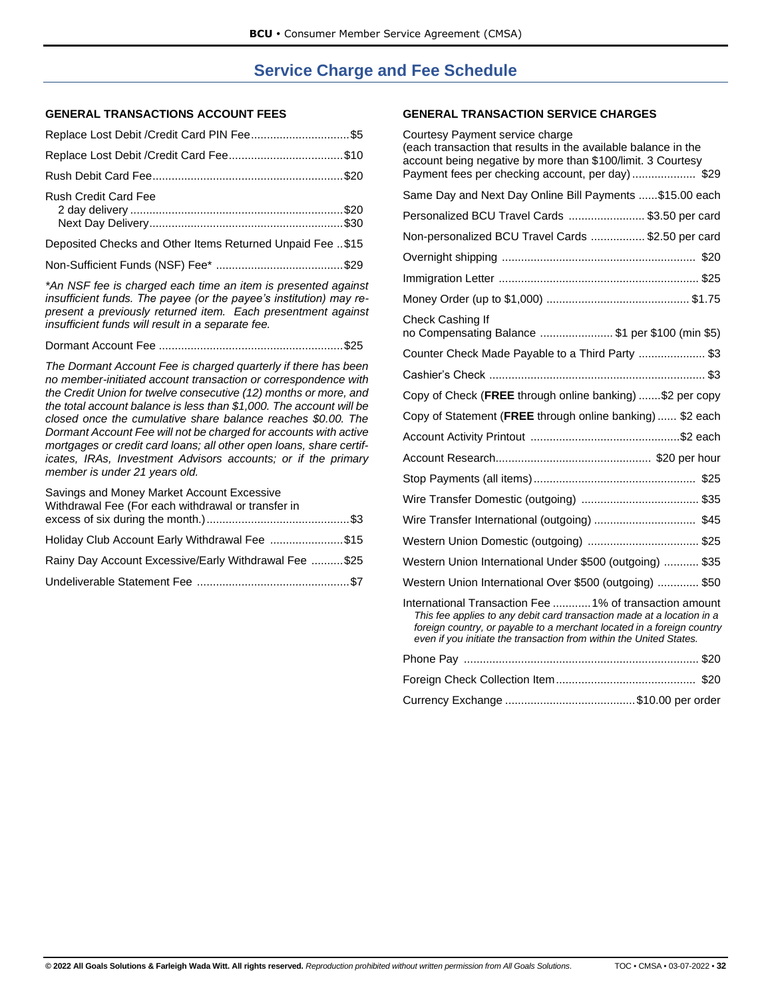# **Service Charge and Fee Schedule**

## <span id="page-34-0"></span>**GENERAL TRANSACTIONS ACCOUNT FEES**

| Replace Lost Debit / Credit Card PIN Fee \$5              |  |
|-----------------------------------------------------------|--|
|                                                           |  |
|                                                           |  |
| <b>Rush Credit Card Fee</b>                               |  |
| Deposited Checks and Other Items Returned Unpaid Fee \$15 |  |
|                                                           |  |
|                                                           |  |

*\*An NSF fee is charged each time an item is presented against insufficient funds. The payee (or the payee's institution) may represent a previously returned item. Each presentment against insufficient funds will result in a separate fee.*

Dormant Account Fee ..........................................................\$25

*The Dormant Account Fee is charged quarterly if there has been no member-initiated account transaction or correspondence with the Credit Union for twelve consecutive (12) months or more, and the total account balance is less than \$1,000. The account will be closed once the cumulative share balance reaches \$0.00. The Dormant Account Fee will not be charged for accounts with active mortgages or credit card loans; all other open loans, share certificates, IRAs, Investment Advisors accounts; or if the primary member is under 21 years old.*

| Savings and Money Market Account Excessive<br>Withdrawal Fee (For each withdrawal or transfer in |  |
|--------------------------------------------------------------------------------------------------|--|
|                                                                                                  |  |
| Holiday Club Account Early Withdrawal Fee \$15                                                   |  |
| Rainy Day Account Excessive/Early Withdrawal Fee \$25                                            |  |
|                                                                                                  |  |

## **GENERAL TRANSACTION SERVICE CHARGES**

| Courtesy Payment service charge<br>(each transaction that results in the available balance in the<br>account being negative by more than \$100/limit. 3 Courtesy<br>Payment fees per checking account, per day)\$29                                                               |
|-----------------------------------------------------------------------------------------------------------------------------------------------------------------------------------------------------------------------------------------------------------------------------------|
| Same Day and Next Day Online Bill Payments  \$15.00 each                                                                                                                                                                                                                          |
| Personalized BCU Travel Cards  \$3.50 per card                                                                                                                                                                                                                                    |
| Non-personalized BCU Travel Cards  \$2.50 per card                                                                                                                                                                                                                                |
|                                                                                                                                                                                                                                                                                   |
|                                                                                                                                                                                                                                                                                   |
|                                                                                                                                                                                                                                                                                   |
| Check Cashing If<br>no Compensating Balance \$1 per \$100 (min \$5)                                                                                                                                                                                                               |
| Counter Check Made Payable to a Third Party  \$3                                                                                                                                                                                                                                  |
|                                                                                                                                                                                                                                                                                   |
| Copy of Check (FREE through online banking)  \$2 per copy                                                                                                                                                                                                                         |
| Copy of Statement (FREE through online banking) \$2 each                                                                                                                                                                                                                          |
|                                                                                                                                                                                                                                                                                   |
|                                                                                                                                                                                                                                                                                   |
|                                                                                                                                                                                                                                                                                   |
|                                                                                                                                                                                                                                                                                   |
| Wire Transfer International (outgoing)  \$45                                                                                                                                                                                                                                      |
|                                                                                                                                                                                                                                                                                   |
| Western Union International Under \$500 (outgoing)  \$35                                                                                                                                                                                                                          |
| Western Union International Over \$500 (outgoing)  \$50                                                                                                                                                                                                                           |
| International Transaction Fee 1% of transaction amount<br>This fee applies to any debit card transaction made at a location in a<br>foreign country, or payable to a merchant located in a foreign country<br>even if you initiate the transaction from within the United States. |
|                                                                                                                                                                                                                                                                                   |
|                                                                                                                                                                                                                                                                                   |
|                                                                                                                                                                                                                                                                                   |